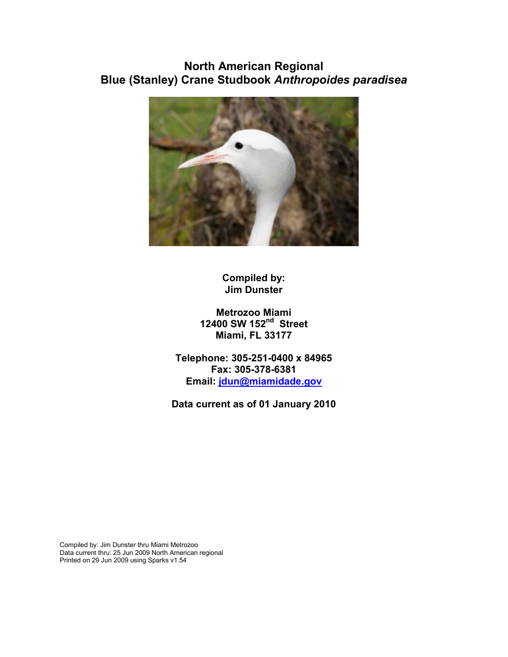# **North American Regional Blue (Stanley) Crane Studbook** *Anthropoides paradisea*



**Compiled by: Jim Dunster** 

**Metrozoo Miami 12400 SW 152nd Street Miami, FL 33177** 

**Telephone: 305-251-0400 x 84965 Fax: 305-378-6381 Email: jdun@miamidade.gov**

**Data current as of 01 January 2010** 

Compiled by: Jim Dunster thru Miami Metrozoo Data current thru: 25 Jun 2009 North American regional Printed on 29 Jun 2009 using Sparks v1.54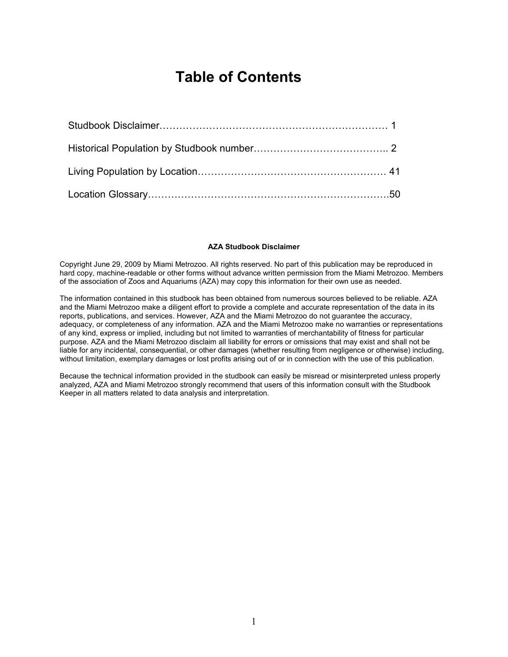# **Table of Contents**

#### **AZA Studbook Disclaimer**

Copyright June 29, 2009 by Miami Metrozoo. All rights reserved. No part of this publication may be reproduced in hard copy, machine-readable or other forms without advance written permission from the Miami Metrozoo. Members of the association of Zoos and Aquariums (AZA) may copy this information for their own use as needed.

The information contained in this studbook has been obtained from numerous sources believed to be reliable. AZA and the Miami Metrozoo make a diligent effort to provide a complete and accurate representation of the data in its reports, publications, and services. However, AZA and the Miami Metrozoo do not guarantee the accuracy, adequacy, or completeness of any information. AZA and the Miami Metrozoo make no warranties or representations of any kind, express or implied, including but not limited to warranties of merchantability of fitness for particular purpose. AZA and the Miami Metrozoo disclaim all liability for errors or omissions that may exist and shall not be liable for any incidental, consequential, or other damages (whether resulting from negligence or otherwise) including, without limitation, exemplary damages or lost profits arising out of or in connection with the use of this publication.

Because the technical information provided in the studbook can easily be misread or misinterpreted unless properly analyzed, AZA and Miami Metrozoo strongly recommend that users of this information consult with the Studbook Keeper in all matters related to data analysis and interpretation.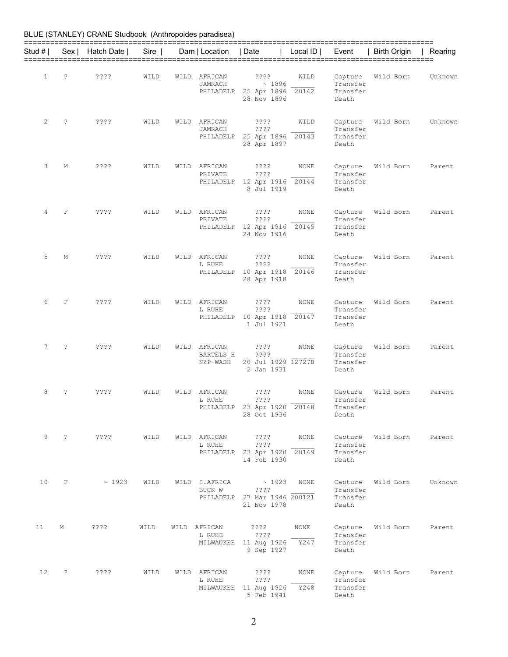|                 |                      | BLUE (STANLEY) CRANE Studbook (Anthropoides paradisea) |      |      |                                         |                                                                                          |                 |                                          |                   |         |
|-----------------|----------------------|--------------------------------------------------------|------|------|-----------------------------------------|------------------------------------------------------------------------------------------|-----------------|------------------------------------------|-------------------|---------|
| Stud # I        |                      | Sex   Hatch Date                                       | Sire |      | Dam   Location   Date                   |                                                                                          | Local $ID \mid$ | Event                                    | Birth Origin      | Rearing |
| $\mathbf{1}$    | ?                    | ????                                                   | WILD | WILD | AFRICAN<br>JAMRACH                      | ????<br>~1896<br>PHILADELP 25 Apr 1896 20142<br>28 Nov 1896                              | WILD            | Capture<br>Transfer<br>Transfer<br>Death | Wild Born         | Unknown |
| 2               | $\ddot{\phantom{0}}$ | ? ? ? ?                                                | WILD | WILD | AFRICAN<br>JAMRACH<br>PHILADELP         | ????<br>????<br>25 Apr 1896 20143<br>28 Apr 1897                                         | WILD            | Capture<br>Transfer<br>Transfer<br>Death | Wild Born         | Unknown |
| 3               | М                    | ????                                                   | WILD | WILD | AFRICAN<br>PRIVATE<br>PHILADELP         | $??\,?\,?$<br>????<br>12 Apr 1916<br>8 Jul 1919                                          | NONE<br>20144   | Capture<br>Transfer<br>Transfer<br>Death | Wild Born         | Parent  |
| 4               | F                    | ????                                                   | WILD | WILD | AFRICAN<br>PRIVATE                      | ????<br>????<br>PHILADELP 12 Apr 1916 20145<br>24 Nov 1916                               | NONE            | Capture<br>Transfer<br>Transfer<br>Death | Wild Born         | Parent  |
| 5               | М                    | ? ? ? ?                                                | WILD | WILD | AFRICAN<br>L RUHE                       | ????<br>????<br>PHILADELP 10 Apr 1918 20146<br>28 Apr 1918                               | NONE            | Capture<br>Transfer<br>Transfer<br>Death | Wild Born         | Parent  |
| 6               | F                    | ????                                                   | WILD | WILD | AFRICAN<br>L RUHE<br>PHILADELP          | ????<br>????<br>10 Apr 1918 20147<br>1 Jul 1921                                          | NONE            | Capture<br>Transfer<br>Transfer<br>Death | Wild Born         | Parent  |
| 7               | $\overline{?}$       | ? ? ? ?                                                | WILD | WILD | AFRICAN<br><b>BARTELS H</b><br>NZP-WASH | ????<br>????<br>20 Jul 1929 12727B<br>2 Jan 1931                                         | NONE            | Capture<br>Transfer<br>Transfer<br>Death | Wild Born         | Parent  |
| 8               | ?                    | ????                                                   | WILD |      | WILD AFRICAN<br>L RUHE                  | $??\mathbin{?}$<br>$??\mathrel{?}?$<br>PHILADELP 23 Apr 1920 20148<br>28 Oct 1936        | NONE            | Capture<br>Transfer<br>Transfer<br>Death | Wild Born         | Parent  |
|                 | $9 \qquad ?$         | ? ? ? ?                                                | WILD |      | WILD AFRICAN<br>L RUHE                  | ????<br>$??\mathord{?}\mathord{?}$<br>PHILADELP 23 Apr 1920 20149<br>14 Feb 1930         | NONE            | Transfer<br>Transfer<br>Death            | Capture Wild Born | Parent  |
| 10 <sub>1</sub> | F                    | $\sim 1923$                                            | WILD |      | WILD S.AFRICA<br>BUCK W                 | $\sim 1923$<br>$??\mathrel{?}\mathrel{?}$<br>PHILADELP 27 Mar 1946 200121<br>21 Nov 1978 | <b>NONE</b>     | Capture<br>Transfer<br>Transfer<br>Death | Wild Born         | Unknown |
| 11              | М                    | $??\mathord{?}\mathord{?}$                             | WILD |      | L RUHE                                  | WILD AFRICAN ????<br>????<br>MILWAUKEE 11 Aug 1926 Y247<br>9 Sep 1927                    | <b>NONE</b>     | Capture<br>Transfer<br>Transfer<br>Death | Wild Born         | Parent  |
| 12 <sup>°</sup> | $\ddot{\phantom{0}}$ | ????                                                   | WILD |      | WILD AFRICAN<br>L RUHE                  | $??\,\,?\,?$<br>$??\mathrel{?}?$<br>MILWAUKEE 11 Aug 1926<br>5 Feb 1941                  | NONE<br>Y248    | Capture<br>Transfer<br>Transfer<br>Death | Wild Born         | Parent  |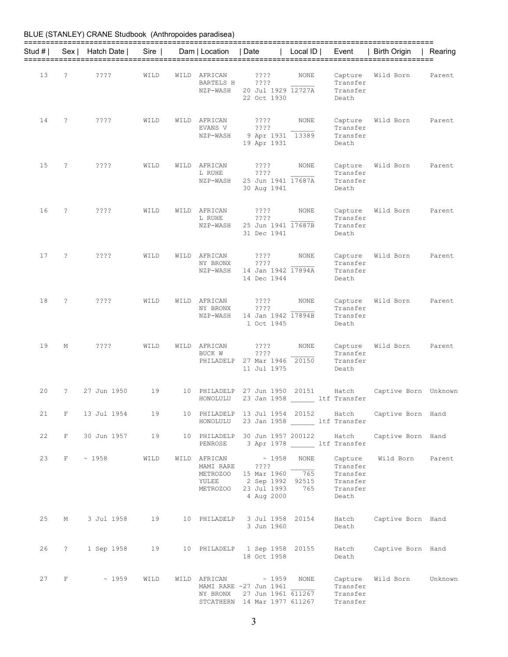| Stud # I |                   | Sex   Hatch Date | Sire |      | Dam   Location                             | Date                                                                                                               | Local ID      | Event                                                            | <b>Birth Origin</b>  | Rearing |
|----------|-------------------|------------------|------|------|--------------------------------------------|--------------------------------------------------------------------------------------------------------------------|---------------|------------------------------------------------------------------|----------------------|---------|
| 13       | S.                | ????             | WILD |      | WILD AFRICAN<br>BARTELS H<br>NZP-WASH      | ????<br>????<br>20 Jul 1929 12727A<br>22 Oct 1930                                                                  | NONE          | Capture<br>Transfer<br>Transfer<br>Death                         | Wild Born            | Parent  |
| 14       | S.                | ????             | WILD |      | WILD AFRICAN<br>EVANS V<br>NZP-WASH        | ????<br>????<br>9 Apr 1931 13389<br>19 Apr 1931                                                                    | <b>NONE</b>   | Capture<br>Transfer<br>Transfer<br>Death                         | Wild Born            | Parent  |
| 15       | ?                 | ????             | WILD | WILD | AFRICAN<br>L RUHE<br>NZP-WASH              | ????<br>? ? ? ?<br>25 Jun 1941 17687A<br>30 Aug 1941                                                               | <b>NONE</b>   | Capture<br>Transfer<br>Transfer<br>Death                         | Wild Born            | Parent  |
| 16       | $\tilde{.}$       | ????             | WILD | WILD | AFRICAN<br>L RUHE<br>NZP-WASH              | ????<br>? ? ? ?<br>25 Jun 1941 17687B<br>31 Dec 1941                                                               | <b>NONE</b>   | Capture<br>Transfer<br>Transfer<br>Death                         | Wild Born            | Parent  |
| 17       | ?                 | ????             | WILD | WILD | AFRICAN<br>NY BRONX<br>NZP-WASH            | ????<br>????<br>14 Jan 1942 17894A<br>14 Dec 1944                                                                  | NONE          | Capture<br>Transfer<br>Transfer<br>Death                         | Wild Born            | Parent  |
| 18       | 2                 | ????             | WILD |      | WILD AFRICAN<br>NY BRONX<br>NZP-WASH       | ????<br>????<br>14 Jan 1942 17894B<br>1 Oct 1945                                                                   | NONE          | Capture<br>Transfer<br>Transfer<br>Death                         | Wild Born            | Parent  |
| 19       | М                 | ????             | WILD | WILD | AFRICAN<br>BUCK W<br>PHILADELP             | ????<br>? ? ? ?<br>27 Mar 1946<br>11 Jul 1975                                                                      | NONE<br>20150 | Capture<br>Transfer<br>Transfer<br>Death                         | Wild Born            | Parent  |
| 20       | $\tilde{ }$ ?     | 27 Jun 1950      | 19   | 10   | PHILADELP<br>HONOLULU                      | 27 Jun 1950<br>23 Jan 1958                                                                                         | 20151         | Hatch<br>ltf Transfer                                            | Captive Born Unknown |         |
| 21       | $\mathbf{F}$      | 13 Jul 1954      | 19   |      | HONOLULU                                   | 10 PHILADELP 13 Jul 1954 20152<br>23 Jan 1958 ltf Transfer                                                         |               | Hatch                                                            | Captive Born Hand    |         |
| 22       | $F^-$             | 30 Jun 1957 19   |      |      | PENROSE                                    | 10 PHILADELP 30 Jun 1957 200122                                                                                    |               | Hatch<br>3 Apr 1978 _______ ltf Transfer                         | Captive Born Hand    |         |
| 23       | F                 | $\sim 1958$      | WILD |      | MAMI RARE<br>METROZOO<br>YULEE<br>METROZOO | $\verb WILD AFRICAN + 1958 $<br>$??\,?\,?$<br>15 Mar 1960 765<br>2 Sep 1992 92515<br>23 Jul 1993 765<br>4 Aug 2000 | <b>NONE</b>   | Capture<br>Transfer<br>Transfer<br>Transfer<br>Transfer<br>Death | Wild Born            | Parent  |
| 25       | М                 | 3 Jul 1958       | 19   |      |                                            | 10 PHILADELP 3 Jul 1958 20154<br>3 Jun 1960                                                                        |               | Hatch<br>Death                                                   | Captive Born Hand    |         |
| 26       | $\ddot{\text{?}}$ | 1 Sep 1958       | 19   |      |                                            | 10 PHILADELP 1 Sep 1958 20155<br>18 Oct 1958                                                                       |               | Hatch<br>Death                                                   | Captive Born Hand    |         |
| 27       | F                 | $\sim 1959$      | WILD |      | WILD AFRICAN<br>NY BRONX                   | $\sim 1959$ NONE<br>MAMI RARE ~27 Jun 1961<br>27 Jun 1961 611267<br>STCATHERN 14 Mar 1977 611267                   |               | Capture<br>Transfer<br>Transfer<br>Transfer                      | Wild Born            | Unknown |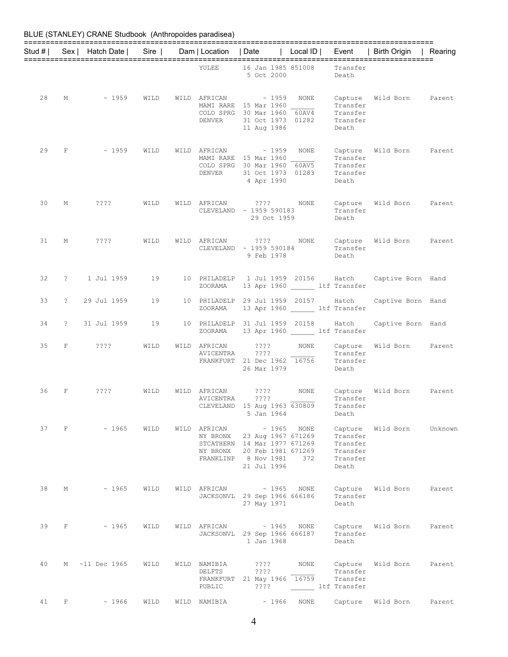| Stud # I |              | Sex   Hatch Date | $Sire$ | Dam   Location   Date                         |                                                                                                                          | Local ID      | Event                                                            | <b>Birth Origin</b> | Rearing |
|----------|--------------|------------------|--------|-----------------------------------------------|--------------------------------------------------------------------------------------------------------------------------|---------------|------------------------------------------------------------------|---------------------|---------|
|          |              |                  |        | YULEE                                         | 16 Jan 1985 851008<br>5 Oct 2000                                                                                         |               | Transfer<br>Death                                                |                     |         |
| 28       | М            | $~\sim~1959$     | WILD   | WILD AFRICAN<br>DENVER                        | $\sim$ 1959<br>MAMI RARE 15 Mar 1960<br>COLO SPRG 30 Mar 1960<br>31 Oct 1973 01282<br>11 Aug 1986                        | NONE<br>60AV4 | Transfer<br>Transfer<br>Transfer<br>Death                        | Capture Wild Born   | Parent  |
| 29       | F            | ~1959            | WILD   | WILD AFRICAN<br><b>DENVER</b>                 | $\sim 1959$<br>MAMI RARE 15 Mar 1960<br>COLO SPRG 30 Mar 1960 60AV5<br>31 Oct 1973 01283<br>4 Apr 1990                   | <b>NONE</b>   | Capture<br>Transfer<br>Transfer<br>Transfer<br>Death             | Wild Born           | Parent  |
| 30       | М            | ????             | WILD   | WILD AFRICAN                                  | 2222<br>CLEVELAND ~ 1959 590183<br>29 Oct 1959                                                                           | NONE          | Capture<br>Transfer<br>Death                                     | Wild Born           | Parent  |
| 31       | М            | $??\,?\,?$       | WILD   | WILD AFRICAN                                  | ????<br>CLEVELAND ~ 1959 590184<br>9 Feb 1978                                                                            | NONE          | Capture<br>Transfer<br>Death                                     | Wild Born           | Parent  |
| 32       | $\mathbb{R}$ | 1 Jul 1959       | 19     | 10 PHILADELP<br>ZOORAMA                       | 1 Jul 1959 20156<br>13 Apr 1960 ltf Transfer                                                                             |               | Hatch                                                            | Captive Born Hand   |         |
| 33       | $\tilde{z}$  | 29 Jul 1959      | 19     | ZOORAMA                                       | 10 PHILADELP 29 Jul 1959 20157<br>13 Apr 1960 _______ ltf Transfer                                                       |               | Hatch                                                            | Captive Born Hand   |         |
| 34       | $\tilde{f}$  | 31 Jul 1959      | 19     | ZOORAMA                                       | 10 PHILADELP 31 Jul 1959 20158<br>13 Apr 1960 ltf Transfer                                                               |               | Hatch                                                            | Captive Born Hand   |         |
| 35       | F            | $??\,?\,?$       | WILD   | WILD AFRICAN<br>AVICENTRA                     | ????<br>????<br>FRANKFURT 21 Dec 1962 16756<br>26 Mar 1979                                                               | <b>NONE</b>   | Capture<br>Transfer<br>Transfer<br>Death                         | Wild Born           | Parent  |
| 36       | F            | ????             | WILD   | WILD AFRICAN<br>AVICENTRA                     | $??\,?\,?$<br>????<br>CLEVELAND 15 Aug 1963 630809<br>5 Jan 1964                                                         | NONE          | Transfer<br>Transfer<br>Death                                    | Capture Wild Born   | Parent  |
|          | 37 F         | ~1965            | WILD   | WILD AFRICAN<br>NY BRONX<br>NY BRONX          | ~1965<br>23 Aug 1967 671269<br>STCATHERN 14 Mar 1977 671269<br>20 Feb 1981 671269<br>FRANKLINP 8 Nov 1981<br>21 Jul 1996 | NONE<br>372   | Capture<br>Transfer<br>Transfer<br>Transfer<br>Transfer<br>Death | Wild Born           | Unknown |
| 38       | М            | $\sim 1965$      | WILD   | WILD AFRICAN                                  | $\sim 1965$<br>JACKSONVL 29 Sep 1966 666186<br>27 May 1971                                                               | NONE          | Capture<br>Transfer<br>Death                                     | Wild Born           | Parent  |
| 39       | F            | $\sim 1965$      | WILD   | WILD AFRICAN                                  | $\sim 1965$<br>JACKSONVL 29 Sep 1966 666187<br>1 Jan 1968                                                                | NONE          | Capture<br>Transfer<br>Death                                     | Wild Born           | Parent  |
| 40       | M            | $~11$ Dec 1965   | WILD   | WILD NAMIBIA<br>DELFTS<br>FRANKFURT<br>PUBLIC | ????<br>$??\mathord{?}\mathord{?}$<br>21 May 1966 16759<br>$??\mathord{?}\mathord{?}$                                    | NONE          | Capture<br>Transfer<br>Transfer<br>ltf Transfer                  | Wild Born           | Parent  |
| 41       | F            | ~1966            | WILD   | WILD NAMIBIA                                  | ~1966                                                                                                                    | NONE          | Capture                                                          | Wild Born           | Parent  |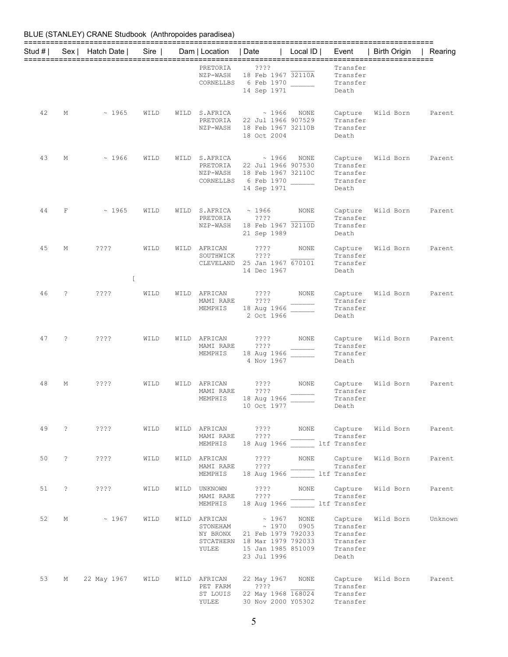| Stud # I |             | Sex   Hatch Date                                                    | Sire |      | Dam   Location                                | I Date                                                                                                                                                                                                                                                                         | Local $ID \mid$ | Event                                                | <b>Birth Origin</b>                             | Rearing |
|----------|-------------|---------------------------------------------------------------------|------|------|-----------------------------------------------|--------------------------------------------------------------------------------------------------------------------------------------------------------------------------------------------------------------------------------------------------------------------------------|-----------------|------------------------------------------------------|-------------------------------------------------|---------|
|          |             |                                                                     |      |      | PRETORIA<br>NZP-WASH<br>CORNELLBS             | ????<br>18 Feb 1967 32110A<br>6 Feb 1970<br>14 Sep 1971                                                                                                                                                                                                                        |                 | Transfer<br>Transfer<br>Transfer<br>Death            |                                                 |         |
| 42       | М           | ~1965                                                               | WILD |      | WILD S.AFRICA<br>PRETORIA<br>NZP-WASH         | ~1966<br>22 Jul 1966 907529<br>18 Feb 1967 32110B<br>18 Oct 2004                                                                                                                                                                                                               | NONE            | Capture<br>Transfer<br>Transfer<br>Death             | Wild Born                                       | Parent  |
| 43       | М           | ~1966                                                               | WILD | WILD | S.AFRICA<br>PRETORIA<br>NZP-WASH<br>CORNELLBS | ~1966<br>22 Jul 1966 907530<br>18 Feb 1967 32110C<br>6 Feb 1970<br>14 Sep 1971                                                                                                                                                                                                 | NONE            | Capture<br>Transfer<br>Transfer<br>Transfer<br>Death | Wild Born                                       | Parent  |
| 44       | $\mathbf F$ | ~1965                                                               | WILD | WILD | S.AFRICA<br>PRETORIA<br>NZP-WASH              | ~1966<br>? ? ? ?<br>18 Feb 1967 32110D<br>21 Sep 1989                                                                                                                                                                                                                          | NONE            | Capture<br>Transfer<br>Transfer<br>Death             | Wild Born                                       | Parent  |
| 45       | М           | ????<br>ſ                                                           | WILD |      | WILD AFRICAN<br>SOUTHWICK<br>CLEVELAND        | ????<br>? ? ? ?<br>25 Jan 1967 670101<br>14 Dec 1967                                                                                                                                                                                                                           | NONE            | Capture<br>Transfer<br>Transfer<br>Death             | Wild Born                                       | Parent  |
| 46       | ?           | ? ? ? ?                                                             | WILD | WILD | AFRICAN<br>MAMI RARE<br>MEMPHIS               | ????<br>????<br>18 Aug 1966<br>2 Oct 1966                                                                                                                                                                                                                                      | NONE            | Capture<br>Transfer<br>Transfer<br>Death             | Wild Born                                       | Parent  |
| 47       | ?           | ? ? ? ?                                                             | WILD | WILD | AFRICAN<br>MAMI RARE<br>MEMPHIS               | ????<br>????<br>18 Aug 1966<br>4 Nov 1967                                                                                                                                                                                                                                      | NONE            | Capture<br>Transfer<br>Transfer<br>Death             | Wild Born                                       | Parent  |
| 48       | М           | ????                                                                | WILD | WILD | AFRICAN<br>MAMI RARE<br>MEMPHIS               | $??\mathbin{?}$<br>????<br>18 Aug 1966<br>$10 \text{ Oct } 1977$ $\overline{\qquad}$                                                                                                                                                                                           | NONE            | Capture<br>Transfer<br>Transfer<br>Death             | Wild Born                                       | Parent  |
|          |             | 49 ? ???? WILD WILD AFRICAN ???? NONE Capture Wild Born Parent      |      |      |                                               | MAMIRARE ????<br>MEMPHIS 18 Aug 1966 _______ ltf Transfer                                                                                                                                                                                                                      |                 |                                                      |                                                 |         |
|          |             | 50 ? ???? WILD                                                      |      |      |                                               | MAMI RARE ????<br>MAMIRARE ????<br>MEMPHIS 18 Aug 1966 11 It Transfer                                                                                                                                                                                                          |                 |                                                      |                                                 |         |
|          |             |                                                                     | WILD |      |                                               | MAMI RARE ????<br>MEMPHIS 18 Aug 1966 Itf Transfer                                                                                                                                                                                                                             |                 | Transfer                                             | WILD UNKNOWN ???? NONE Capture Wild Born Parent |         |
|          |             | 52 M ~ 1967 WILD WILD AFRICAN ~ 1967 NONE Capture Wild Born Unknown |      |      |                                               | $\begin{tabular}{lcccc} \texttt{STONEHAM} & $\sim$ 1970 & 0905 & \texttt{Transfer} \\ \texttt{NY}\texttt{BRONX} & 21 \texttt{ Feb} 1979 792033 & \texttt{Transfer} \end{tabular}$<br>STCATHERN 18 Mar 1979 792033 Transfer<br>YULEE 15 Jan 1985 851009 Transfer<br>23 Jul 1996 |                 | Transfer<br>Death                                    |                                                 |         |
|          |             | 53 M 22 May 1967 WILD WILD AFRICAN 22 May 1967 NONE                 |      |      |                                               | PET FARM ????<br>ST LOUIS 22 May 1968 168024 Transfer<br>YULEE 30 Nov 2000 Y05302 Transfer                                                                                                                                                                                     |                 | Transfer                                             | Capture Wild Born Parent                        |         |

#### 5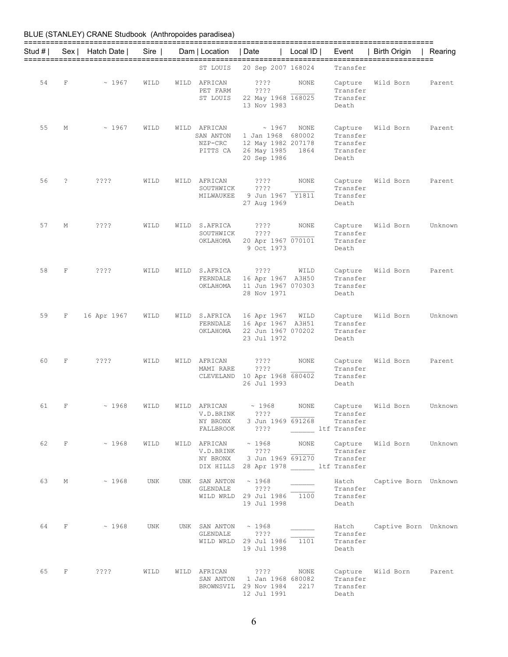| BLUE (STANLEY) CRANE Studbook (Anthropoides paradisea) |  |
|--------------------------------------------------------|--|
|--------------------------------------------------------|--|

| Stud # I |             | Sex   Hatch Date | Sire | Dam   Location   Date                              |                                                                                                           | Local ID     | Event                                                | Birth Origin               | Rearing |
|----------|-------------|------------------|------|----------------------------------------------------|-----------------------------------------------------------------------------------------------------------|--------------|------------------------------------------------------|----------------------------|---------|
|          |             |                  |      | ST LOUIS                                           | 20 Sep 2007 168024                                                                                        |              | Transfer                                             |                            |         |
| 54       | $\mathbf F$ | ~1967            | WILD | WILD AFRICAN<br>PET FARM<br>ST LOUIS               | $??\mathrel{?}?$<br>????<br>22 May 1968 168025<br>13 Nov 1983                                             | NONE         | Capture<br>Transfer<br>Transfer<br>Death             | Wild Born                  | Parent  |
| 55       | М           | ~1967            | WILD | WILD AFRICAN<br>SAN ANTON<br>NZP-CRC<br>PITTS CA   | ~1967<br>1 Jan 1968 680002<br>12 May 1982 207178<br>26 May 1985 1864<br>20 Sep 1986                       | NONE         | Capture<br>Transfer<br>Transfer<br>Transfer<br>Death | Wild Born                  | Parent  |
| 56       | $\tilde{ }$ | ????             | WILD | WILD AFRICAN<br>SOUTHWICK<br>MILWAUKEE             | ????<br>????<br>9 Jun 1967 Y1811<br>27 Aug 1969                                                           | NONE         | Capture<br>Transfer<br>Transfer<br>Death             | Wild Born                  | Parent  |
| 57       | М           | $??\,?\,?$       | WILD | WILD S.AFRICA<br>SOUTHWICK<br>OKLAHOMA             | $??\,?\,?$<br>$??\,?\,?$<br>20 Apr 1967 070101<br>9 Oct 1973                                              | NONE         | Capture<br>Transfer<br>Transfer<br>Death             | Wild Born                  | Unknown |
| 58       | F           | ????             | WILD | WILD S.AFRICA<br>OKLAHOMA                          | ? ? ? ?<br>FERNDALE 16 Apr 1967 A3H50<br>11 Jun 1967 070303<br>28 Nov 1971                                | WILD         | Capture<br>Transfer<br>Transfer<br>Death             | Wild Born                  | Parent  |
| 59       | F           | 16 Apr 1967      | WILD | WILD S.AFRICA<br>FERNDALE<br>OKLAHOMA              | 16 Apr 1967<br>16 Apr 1967 A3H51<br>22 Jun 1967 070202<br>23 Jul 1972                                     | WILD         | Capture<br>Transfer<br>Transfer<br>Death             | Wild Born                  | Unknown |
| 60       | F           | ????             | WILD | WILD AFRICAN<br>MAMI RARE                          | ????<br>????<br>CLEVELAND 10 Apr 1968 680402<br>26 Jul 1993                                               | NONE         | Capture<br>Transfer<br>Transfer<br>Death             | Wild Born                  | Parent  |
| 61       | F           | ~1968            | WILD | WILD AFRICAN<br>V.D.BRINK<br>NY BRONX<br>FALLBROOK | ~1968<br>? ? ? ?<br>3 Jun 1969 691268<br>? ? ? ?                                                          | <b>NONE</b>  | Capture<br>Transfer<br>Transfer<br>ltf Transfer      | Wild Born                  | Unknown |
| 62       |             | $F \sim 1968$    | WILD | V.D.BRINK                                          | WILD AFRICAN $\sim 1968$ NONE<br>????<br>NY BRONX 3 Jun 1969 691270<br>DIX HILLS 28 Apr 1978 ltf Transfer |              | Capture<br>Transfer<br>Transfer                      | Wild Born                  | Unknown |
| 63       | М           | ~1968            | UNK  | UNK SAN ANTON $\sim$ 1968<br>GLENDALE ????         | WILD WRLD 29 Jul 1986 1100<br>19 Jul 1998                                                                 |              | Hatch<br>Transfer<br>Transfer<br>Death               | Captive Born Unknown       |         |
|          | 64 F        | $\sim 1968$      | UNK  | UNK SAN ANTON $\sim$ 1968<br>GLENDALE ????         | WILD WRLD 29 Jul 1986 1101<br>19 Jul 1998                                                                 |              | Transfer<br>Transfer<br>Death                        | Hatch Captive Born Unknown |         |
| 65       | F           | ????             | WILD |                                                    | WILD AFRICAN ????<br>SAN ANTON 1 Jan 1968 680082<br>BROWNSVIL 29 Nov 1984<br>12 Jul 1991                  | NONE<br>2217 | Capture<br>Transfer<br>Transfer<br>Death             | Wild Born                  | Parent  |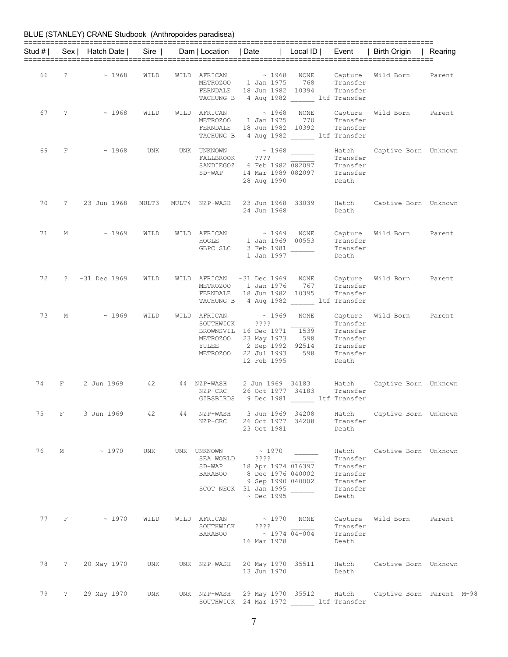| Stud # I |             | Sex   Hatch Date  | Sire |    |                                                                         | Dam   Location   Date   Local ID   Event                                                                                              |                            |                                                                   | Birth Origin                                                  | Rearing |
|----------|-------------|-------------------|------|----|-------------------------------------------------------------------------|---------------------------------------------------------------------------------------------------------------------------------------|----------------------------|-------------------------------------------------------------------|---------------------------------------------------------------|---------|
| 66       | ?           | ~1968             | WILD |    | WILD AFRICAN<br>METROZOO<br>FERNDALE<br>TACHUNG B                       | $\sim 1968$<br>1 Jan 1975<br>18 Jun 1982 10394<br>4 Aug 1982 ltf Transfer                                                             | NONE<br>768                | Transfer<br>Transfer                                              | Capture Wild Born                                             | Parent  |
| 67       | $\cdot$     | ~1968             | WILD |    | WILD AFRICAN<br>METROZOO<br>FERNDALE                                    | ~1968<br>1 Jan 1975<br>18 Jun 1982 10392<br>TACHUNG B 4 Aug 1982 ltf Transfer                                                         | NONE<br>770                | Transfer<br>Transfer                                              | Capture Wild Born                                             | Parent  |
| 69       | F           | ~1968             | UNK  |    | UNK UNKNOWN<br>FALLBROOK<br>SANDIEGOZ<br>SD-WAP                         | ????<br>6 Feb 1982 082097<br>14 Mar 1989 082097<br>28 Aug 1990                                                                        | $\sim$ 1968                | Transfer<br>Transfer<br>Transfer<br>Death                         | Hatch Captive Born Unknown                                    |         |
| 70       | $\ddot{?}$  | 23 Jun 1968 MULT3 |      |    | MULT4 NZP-WASH                                                          | 23 Jun 1968 33039<br>24 Jun 1968                                                                                                      |                            | Hatch<br>Death                                                    | Captive Born Unknown                                          |         |
| 71       | М           | ~1969             | WILD |    | WILD AFRICAN<br>HOGLE<br>GBPC SLC                                       | ~1969<br>1 Jan 1969 00553<br>3 Feb 1981<br>1 Jan 1997                                                                                 | NONE                       | Transfer<br>Transfer<br>Death                                     | Capture Wild Born                                             | Parent  |
| 72       | $\ddot{?}$  | ~1969             | WILD |    | WILD AFRICAN<br>FERNDALE                                                | $~100$ $~1969$ NONE<br>METROZOO 1 Jan 1976<br>18 Jun 1982 10395<br>TACHUNG B 4 Aug 1982 ltf Transfer                                  | 767                        | Transfer<br>Transfer                                              | Capture Wild Born                                             | Parent  |
| 73       | М           | ~1969             | WILD |    | WILD AFRICAN<br>SOUTHWICK<br>BROWNSVIL<br>METROZOO<br>YULEE<br>METROZOO | $\sim 1969$<br>$??\,?\,?$<br>16 Dec 1971<br>23 May 1973<br>2 Sep 1992 92514<br>22 Jul 1993<br>12 Feb 1995                             | NONE<br>1539<br>598<br>598 | Transfer<br>Transfer<br>Transfer<br>Transfer<br>Transfer<br>Death | Capture Wild Born                                             | Parent  |
| 74       | F           | 2 Jun 1969        | 42   |    | 44 NZP-WASH<br>NZP-CRC                                                  | 2 Jun 1969 34183<br>26 Oct 1977 34183<br>GIBSBIRDS 9 Dec 1981 ltf Transfer                                                            |                            | Hatch<br>Transfer                                                 | Captive Born Unknown                                          |         |
| 75       | $F$ and $F$ | 3 Jun 1969        | 42   | 44 | NZP-CRC                                                                 | NZP-WASH 3 Jun 1969 34208<br>26 Oct 1977 34208<br>23 Oct 1981                                                                         |                            | Transfer<br>Death                                                 | Hatch Captive Born Unknown                                    |         |
| 76       | М           | $\sim 1970$       | UNK  |    | UNK UNKNOWN<br>SEA WORLD<br>SD-WAP<br>BARABOO                           | $\sim 1970$<br>$??\,?\,?$<br>18 Apr 1974 016397<br>8 Dec 1976 040002<br>9 Sep 1990 040002<br>SCOT NECK 31 Jan 1995<br>$\sim$ Dec 1995 |                            | Transfer<br>Transfer<br>Transfer<br>Transfer<br>Transfer<br>Death | Hatch Captive Born Unknown                                    |         |
| 77       | $F$ and $F$ | $\sim 1970$       | WILD |    | WILD AFRICAN<br>SOUTHWICK                                               | $\sim$ 1970 NONE<br>????<br>BARABOO $\sim 1974 \overline{04-004}$<br>16 Mar 1978                                                      |                            | Transfer<br>Transfer<br>Death                                     | Capture Wild Born                                             | Parent  |
| 78       | $\cdot$     | 20 May 1970       | UNK  |    |                                                                         | UNK NZP-WASH 20 May 1970 35511<br>13 Jun 1970                                                                                         |                            | Death                                                             | Hatch Captive Born Unknown                                    |         |
| 79       | $\ddot{?}$  | 29 May 1970       | UNK  |    |                                                                         | SOUTHWICK 24 Mar 1972 ltf Transfer                                                                                                    |                            |                                                                   | UNK NZP-WASH 29 May 1970 35512 Hatch Captive Born Parent M-98 |         |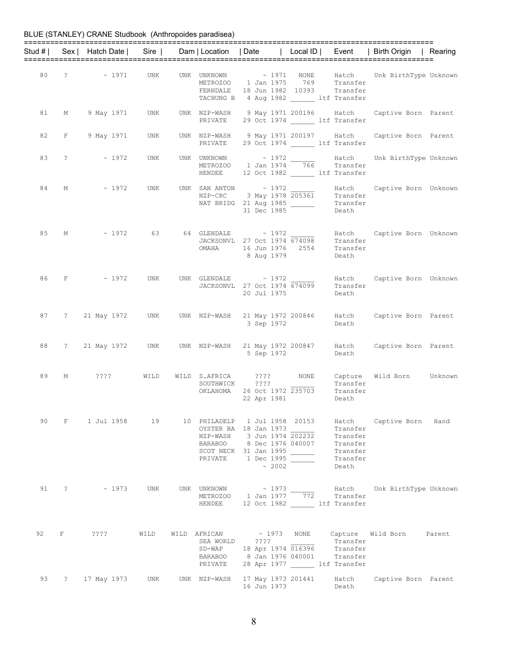|    |   |                                                                                            |      |                           |                                                                                                                                                |                                                                            | Stud #   Sex   Hatch Date   Sire   Dam   Location   Date   Local ID   Event   Birth Origin   Rearing |  |
|----|---|--------------------------------------------------------------------------------------------|------|---------------------------|------------------------------------------------------------------------------------------------------------------------------------------------|----------------------------------------------------------------------------|------------------------------------------------------------------------------------------------------|--|
|    |   | $80 \qquad ? \qquad \sim 1971$                                                             | UNK  |                           | METROZOO 1 Jan 1975 769 Transfer<br>FERNDALE 18 Jun 1982 10393 Transfer<br>TACHUNG B 4 Aug 1982 ______ ltf Transfer                            |                                                                            | UNK UNKNOWN ~ 1971 NONE Hatch Unk BirthType Unknown                                                  |  |
|    |   | 81 M 9 May 1971 UNK                                                                        |      | PRIVATE                   | 29 Oct 1974 ltf Transfer                                                                                                                       |                                                                            | UNK NZP-WASH 9 May 1971 200196 Hatch Captive Born Parent                                             |  |
|    |   | 82 F 9 May 1971 UNK                                                                        |      |                           | UNK NZP-WASH 9 May 1971 200197 Hatch<br>PRIVATE 29 Oct 1974 ________ ltf Transfer                                                              |                                                                            | Captive Born Parent                                                                                  |  |
|    |   | $83 \qquad ? \qquad \sim 1972$                                                             | UNK  |                           | HENDEE 12 Oct 1982 _______ ltf Transfer                                                                                                        |                                                                            | UNK UNKNOWN $\sim 1972$ Hatch Unk BirthType Unknown<br>METROZOO 1 Jan 1974 766 Transfer              |  |
| 84 | M | ~ 1972 UNK                                                                                 |      |                           | UNK SAN ANTON $\sim 1972$ Hatch<br>NZP-CRC 3 May 1978 205361 Transfer<br>NAT BRIDG 21 Aug 1985<br>31 Dec 1985 - Transfer<br>231 Dec 1985       |                                                                            | Hatch Captive Born Unknown                                                                           |  |
|    |   | 85 M $\sim$ 1972 63 64 GLENDALE $\sim$ 1972 Hatch<br>JACKSONVL 27 Oct 1974 674098 Transfer |      |                           | OMAHA 16 Jun 1976 2554 Transfer<br>8 Aug 1979                                                                                                  | Death                                                                      | Hatch Captive Born Unknown                                                                           |  |
|    |   | 86 F ~ 1972                                                                                | UNK  |                           | UNK GLENDALE $\sim 1972$<br>JACKSONVL 27 Oct 1974 674099<br>20 Jul 1975                                                                        | Transfer<br>Death                                                          | Hatch Captive Born Unknown                                                                           |  |
|    |   |                                                                                            |      |                           | 3 Sep 1972                                                                                                                                     | Death                                                                      | 87 ? 21 May 1972 UNK UNK NZP-WASH 21 May 1972 200846 Hatch Captive Born Parent                       |  |
|    |   |                                                                                            |      |                           | 5 Sep 1972                                                                                                                                     | Death                                                                      | 88 ? 21 May 1972 UNK UNK NZP-WASH 21 May 1972 200847 Hatch Captive Born Parent                       |  |
| 89 |   | M ???? WILD                                                                                |      |                           | WILD S.AFRICA ???? NONE<br>SOUTHWICK ????<br>SOUTHWICK ????<br>OKLAHOMA 26 Oct 1972 235703 Transfer<br>20 1081 2981 Death                      | Transfer                                                                   | Capture Wild Born Unknown                                                                            |  |
| 90 |   | F    1 Jul 1958    19    10    PHILADELP    1 Jul 1958    20153                            |      |                           | OYSTER BA 18 Jan 1973<br>NZP-WASH 3 Jun 1974 202232<br>BARABOO 8 Dec 1976 040007<br>SCOT NECK 31 Jan 1995<br>PRIVATE 1 Dec 1995<br>$\sim 2002$ | Hatch<br>Transfer<br>Transfer<br>Transfer<br>Transfer<br>Transfer<br>Death | Captive Born Hand                                                                                    |  |
|    |   | 91 ? ~ 1973 UNK                                                                            |      | HENDEE                    | UNK UNKNOWN ~ 1973<br>METROZOO 1 Jan 1977 772 Transfer<br>12 Oct 1982 ltf Transfer                                                             |                                                                            | Hatch Unk BirthType Unknown                                                                          |  |
|    |   | 92 F ????                                                                                  | WILD | SEA WORLD ????<br>PRIVATE | SD-WAP 18 Apr 1974 016396<br>BARABOO 8 Jan 1976 040001 Transfer<br>28 Apr 1977 ltf Transfer                                                    | Transfer<br>Transfer                                                       | WILD AFRICAN $\sim$ 1973 NONE Capture Wild Born Parent                                               |  |
|    |   | 93 ? 17 May 1973 UNK                                                                       |      | UNK NZP-WASH              | 17 May 1973 201441<br>16 Jun 1973                                                                                                              | Hatch<br>Death                                                             | Captive Born Parent                                                                                  |  |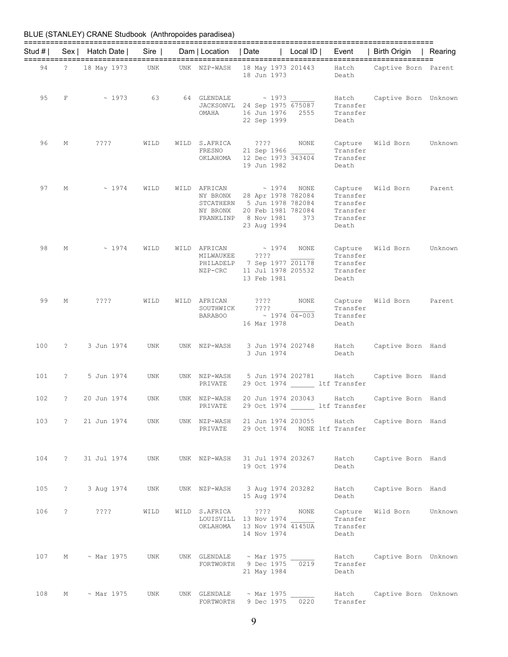| Stud # I |              | Sex   Hatch Date | $Sire$     | Dam   Location   Date                             |                                                                                                               | Local $ID \mid$ | Event                                                            | Birth Origin         | Rearing |
|----------|--------------|------------------|------------|---------------------------------------------------|---------------------------------------------------------------------------------------------------------------|-----------------|------------------------------------------------------------------|----------------------|---------|
|          |              |                  |            |                                                   |                                                                                                               |                 |                                                                  |                      |         |
| 94       | $\mathbb{R}$ | 18 May 1973      | UNK        | UNK NZP-WASH                                      | 18 May 1973 201443<br>18 Jun 1973                                                                             |                 | Hatch<br>Death                                                   | Captive Born Parent  |         |
| 95       | F            | ~1973            | 63         | 64 GLENDALE<br>OMAHA                              | $\sim 1973$<br>JACKSONVL 24 Sep 1975 675087<br>16 Jun 1976<br>22 Sep 1999                                     | 2555            | Hatch<br>Transfer<br>Transfer<br>Death                           | Captive Born Unknown |         |
| 96       | М            | $??\,?\,?$       | WILD       | WILD S.AFRICA<br>FRESNO<br>OKLAHOMA               | ????<br>21 Sep 1966<br>12 Dec 1973 343404<br>19 Jun 1982                                                      | NONE            | Capture<br>Transfer<br>Transfer<br>Death                         | Wild Born            | Unknown |
| 97       | М            | ~1974            | WILD       | WILD AFRICAN<br>NY BRONX<br>NY BRONX<br>FRANKLINP | ~1974<br>28 Apr 1978 782084<br>STCATHERN 5 Jun 1978 782084<br>20 Feb 1981 782084<br>8 Nov 1981<br>23 Aug 1994 | NONE<br>373     | Capture<br>Transfer<br>Transfer<br>Transfer<br>Transfer<br>Death | Wild Born            | Parent  |
| 98       | М            | ~1974            | WILD       | WILD AFRICAN<br>MILWAUKEE<br>PHILADELP<br>NZP-CRC | ~1974<br>$??\, ?$<br>7 Sep 1977 201178<br>11 Jul 1978 205532<br>13 Feb 1981                                   | NONE            | Capture<br>Transfer<br>Transfer<br>Transfer<br>Death             | Wild Born            | Unknown |
| 99       | М            | ????             | WILD       | WILD AFRICAN<br>SOUTHWICK<br><b>BARABOO</b>       | ????<br>$??\,?\,?$<br>$\sim$ 1974 04-003<br>16 Mar 1978                                                       | NONE            | Capture<br>Transfer<br>Transfer<br>Death                         | Wild Born            | Parent  |
| 100      | $\mathbb{R}$ | 3 Jun 1974       | UNK        | UNK NZP-WASH                                      | 3 Jun 1974 202748<br>3 Jun 1974                                                                               |                 | Hatch<br>Death                                                   | Captive Born Hand    |         |
| 101      | $\mathbb{R}$ | 5 Jun 1974       | UNK        | UNK NZP-WASH<br>PRIVATE                           | 5 Jun 1974 202781                                                                                             |                 | Hatch<br>29 Oct 1974 ltf Transfer                                | Captive Born Hand    |         |
| 102      | ?            | 20 Jun 1974      | UNK        | UNK NZP-WASH<br>PRIVATE                           | 20 Jun 1974 203043                                                                                            |                 | Hatch<br>29 Oct 1974 ltf Transfer                                | Captive Born Hand    |         |
| 103      | $\ddot{?}$   | 21 Jun 1974      | UNK        | UNK NZP-WASH<br>PRIVATE                           | 21 Jun 1974 203055                                                                                            |                 | Hatch<br>29 Oct 1974 NONE ltf Transfer                           | Captive Born Hand    |         |
| 104      | $\mathbb{R}$ | 31 Jul 1974      | UNK        | UNK NZP-WASH                                      | 31 Jul 1974 203267<br>19 Oct 1974                                                                             |                 | Hatch<br>Death                                                   | Captive Born Hand    |         |
| 105      | $\mathbb{R}$ | 3 Aug 1974       | UNK        | UNK NZP-WASH                                      | 3 Aug 1974 203282<br>15 Aug 1974                                                                              |                 | Hatch<br>Death                                                   | Captive Born Hand    |         |
| 106      | ?            | ????             | WILD       | WILD S.AFRICA<br>OKLAHOMA                         | $??\,\,?\,?$<br>LOUISVILL 13 Nov 1974<br>13 Nov 1974 4145UA<br>14 Nov 1974                                    | NONE            | Capture<br>Transfer<br>Transfer<br>Death                         | Wild Born            | Unknown |
| 107      | М            | $\sim$ Mar 1975  | <b>UNK</b> | UNK GLENDALE<br>FORTWORTH                         | $\sim$ Mar 1975<br>9 Dec 1975<br>21 May 1984                                                                  | 0219            | Hatch<br>Transfer<br>Death                                       | Captive Born Unknown |         |
| 108      | М            | $~\sim$ Mar 1975 | UNK        | UNK GLENDALE<br>FORTWORTH                         | $~\sim$ Mar 1975<br>9 Dec 1975                                                                                | 0220            | Hatch<br>Transfer                                                | Captive Born Unknown |         |

9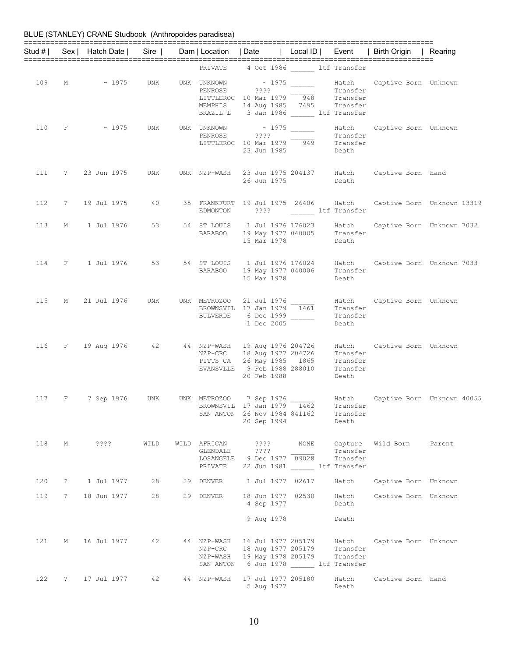|     |                                 |                              |      |                                                  |                                                                                                                          |                                  |                                 | Stud #   Sex   Hatch Date   Sire   Dam   Location   Date   Local ID   Event   Birth Origin   Rearing                              |                                                                                      |
|-----|---------------------------------|------------------------------|------|--------------------------------------------------|--------------------------------------------------------------------------------------------------------------------------|----------------------------------|---------------------------------|-----------------------------------------------------------------------------------------------------------------------------------|--------------------------------------------------------------------------------------|
|     |                                 |                              |      |                                                  | PRIVATE 4 Oct 1986 1tf Transfer                                                                                          |                                  |                                 |                                                                                                                                   |                                                                                      |
|     |                                 | 109 M ~ 1975 UNK UNK UNKNOWN |      |                                                  | LITTLEROC 10 Mar 1979 948 Transfer<br>MEMPHIS 14 Aug 1985 7495 Transfer<br>BRAZIL L 3 Jan 1986 ______ ltf Transfer       |                                  |                                 |                                                                                                                                   |                                                                                      |
|     |                                 |                              |      |                                                  | LITTLEROC 10 Mar 1979 949<br>23 Jun 1985                                                                                 |                                  | Transfer<br>Death               | 110 F $\sim$ 1975 UNK UNK UNKNOWN $\sim$ 1975 Hatch Captive Born Unknown<br>PENROSE 2??? Transfer                                 |                                                                                      |
|     |                                 | 111 ? 23 Jun 1975 UNK        |      |                                                  | 26 Jun 1975                                                                                                              |                                  | Death                           | UNK NZP-WASH 23 Jun 1975 204137 Hatch Captive Born Hand                                                                           |                                                                                      |
|     |                                 |                              |      |                                                  | EDMONTON ???? ltf Transfer                                                                                               |                                  |                                 |                                                                                                                                   | 112 ? 19 Jul 1975 40 35 FRANKFURT 19 Jul 1975 26406 Hatch Captive Born Unknown 13319 |
|     |                                 | 113 M 1 Jul 1976 53          |      |                                                  | BARABOO 19 May 1977 040005 Transfer<br>15 Mar 1978                                                                       |                                  | Death                           | 54 ST LOUIS 1 Jul 1976 176023 Hatch Captive Born Unknown 7032                                                                     |                                                                                      |
|     |                                 |                              |      |                                                  | 15 Mar 1978                                                                                                              |                                  | Death                           | 114 F 1 Jul 1976 53 54 ST LOUIS 1 Jul 1976 176024 Hatch Captive Born Unknown 7033<br>BARABOO 19 May 1977 040006 Transfer          |                                                                                      |
|     |                                 |                              |      |                                                  | BULVERDE 6 Dec 1999 ______<br>1 Dec 2005                                                                                 |                                  | Transfer<br>Death               | 115 M 21 Jul 1976 UNK UNK METROZOO 21 Jul 1976 $\frac{1}{1461}$ Hatch Captive Born Unknown<br>BROWNSVIL 17 Jan 1979 1461 Transfer |                                                                                      |
|     |                                 |                              |      |                                                  | PITTS CA 26 May 1985 1865 Transfer<br>EVANSVLLE 9 Feb 1988 288010 Transfer<br>20 Feb 1988                                |                                  | Death                           | 116 F 19 Aug 1976 42 44 NZP-WASH 19 Aug 1976 204726 Hatch Captive Born Unknown<br>NZP-CRC 18 Aug 1977 204726 Transfer             |                                                                                      |
|     |                                 | 117 F 7 Sep 1976 UNK         |      |                                                  | BROWNSVIL 17 Jan 1979 1462<br>SAN ANTON 26 Nov 1984 841162<br>20 Sep 1994                                                |                                  | Transfer<br>Death               |                                                                                                                                   |                                                                                      |
|     | 118 M                           | ? ? ? ?                      | WILD | WILD AFRICAN<br>GLENDALE<br>LOSANGELE<br>PRIVATE | 2222<br>????<br>9 Dec 1977 09028                                                                                         | NONE<br>22 Jun 1981 ltf Transfer | Capture<br>Transfer<br>Transfer | Wild Born                                                                                                                         | Parent                                                                               |
| 120 | $\cdot$ ?                       | 1 Jul 1977                   | 28   |                                                  | 29 DENVER 1 Jul 1977 02617                                                                                               |                                  | Hatch                           | Captive Born Unknown                                                                                                              |                                                                                      |
| 119 | $\ddot{\hspace{1ex}\mathbf{?}}$ | 18 Jun 1977                  | 28   | 29 DENVER                                        | 18 Jun 1977 02530<br>4 Sep 1977<br>9 Aug 1978                                                                            |                                  | Hatch<br>Death<br>Death         | Captive Born Unknown                                                                                                              |                                                                                      |
| 121 | М                               | 16 Jul 1977                  | 42   | NZP-CRC                                          | 44 NZP-WASH 16 Jul 1977 205179<br>18 Aug 1977 205179<br>NZP-WASH 19 May 1978 205179<br>SAN ANTON 6 Jun 1978 ltf Transfer |                                  | Hatch<br>Transfer<br>Transfer   | Captive Born Unknown                                                                                                              |                                                                                      |
| 122 | $\tilde{?}$                     | 17 Jul 1977                  | 42   | 44 NZP-WASH                                      | 17 Jul 1977 205180<br>5 Aug 1977                                                                                         |                                  | Hatch<br>Death                  | Captive Born Hand                                                                                                                 |                                                                                      |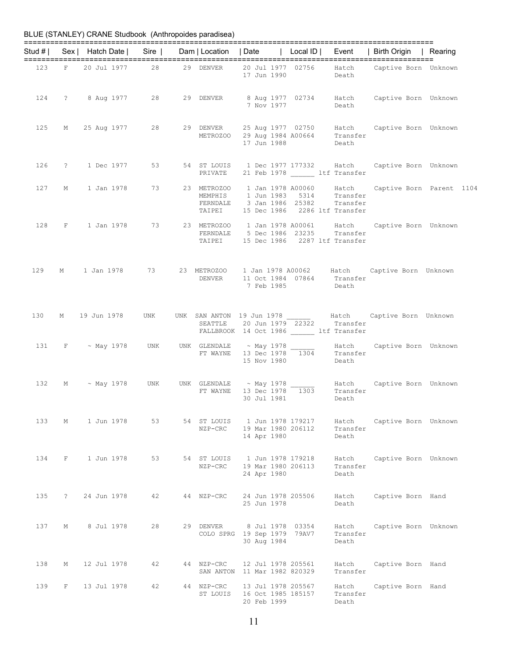|     |              |                                                                        |     |                         |                                                         |                   |                                                                            | Stud #   Sex   Hatch Date   Sire   Dam   Location   Date   Local ID   Event   Birth Origin   Rearing                |  |
|-----|--------------|------------------------------------------------------------------------|-----|-------------------------|---------------------------------------------------------|-------------------|----------------------------------------------------------------------------|---------------------------------------------------------------------------------------------------------------------|--|
|     |              |                                                                        |     |                         | 17 Jun 1990                                             |                   | Death                                                                      | 123 F 20 Jul 1977 28 29 DENVER 20 Jul 1977 02756 Hatch Captive Born Unknown                                         |  |
|     |              | 124 ? 8 Aug 1977 28                                                    |     |                         |                                                         |                   | Death                                                                      | 29 DENVER 8 Aug 1977 02734 Hatch Captive Born Unknown<br>7 Nov 1977 Death                                           |  |
| 125 |              | M 25 Aug 1977 28                                                       |     |                         | 17 Jun 1988                                             |                   | Death                                                                      | 29 DENVER 25 Aug 1977 02750 Hatch Captive Born Unknown<br>METROZOO 29 Aug 1984 A00664 Transfer                      |  |
|     |              | 126 ? 1 Dec 1977                                                       | 53  | PRIVATE                 |                                                         |                   | 21 Feb 1978 _______ ltf Transfer                                           | 54 ST LOUIS 1 Dec 1977 177332 Hatch Captive Born Unknown                                                            |  |
| 127 |              | M 1 Jan 1978 73                                                        |     |                         |                                                         |                   | FERNDALE 3 Jan 1986 25382 Transfer<br>TAIPEI 15 Dec 1986 2286 ltf Transfer | 23 METROZOO 1 Jan 1978 A00060 Hatch Captive Born Parent 1104<br>MEMPHIS 1 Jun 1983 5314 Transfer                    |  |
| 128 |              |                                                                        |     |                         |                                                         |                   | FERNDALE 5 Dec 1986 23235 Transfer<br>TAIPEI 15 Dec 1986 2287 ltf Transfer | F 1 Jan 1978 73 23 METROZOO 1 Jan 1978 A00061 Hatch Captive Born Unknown                                            |  |
| 129 |              | M 1 Jan 1978 73                                                        |     |                         |                                                         |                   | DENVER 11 Oct 1984 07864 Transfer<br>7 Feb 1985 Death                      | 23 METROZOO 1 Jan 1978 A00062 Hatch Captive Born Unknown                                                            |  |
|     |              | 130 M 19 Jun 1978                                                      | UNK |                         |                                                         |                   | FALLBROOK 14 Oct 1986 ___ ltf Transfer                                     | UNK SAN ANTON 19 Jun 1978 Hatch Captive Born Unknown<br>SEATTLE 20 Jun 1979 22322 Transfer                          |  |
| 131 |              | $F \sim$ May 1978 UNK UNK GLENDALE $\sim$ May 1978 $\frac{1304}{1304}$ |     |                         | 15 Nov 1980                                             |                   | Transfer<br>Death                                                          | Hatch Captive Born Unknown                                                                                          |  |
| 132 |              | M ~ May 1978 UNK                                                       |     |                         | 30 Jul 1981                                             |                   | Death                                                                      | UNK GLENDALE $\sim$ May 1978 $\sim$ Hatch Captive Born Unknown<br>FT WAYNE 13 Dec 1978 1303 Transfer<br>20 Jul 1991 |  |
| 133 | М            | 1 Jun 1978                                                             | 53  | 54 ST LOUIS<br>NZP-CRC  | 1 Jun 1978 179217<br>19 Mar 1980 206112<br>14 Apr 1980  |                   | Hatch<br>Transfer<br>Death                                                 | Captive Born Unknown                                                                                                |  |
| 134 | F            | 1 Jun 1978                                                             | 53  | 54 ST LOUIS<br>NZP-CRC  | 19 Mar 1980 206113<br>24 Apr 1980                       | 1 Jun 1978 179218 | Hatch<br>Transfer<br>Death                                                 | Captive Born Unknown                                                                                                |  |
| 135 | $\mathbb{R}$ | 24 Jun 1978                                                            | 42  | 44 NZP-CRC              | 24 Jun 1978 205506<br>25 Jun 1978                       |                   | Hatch<br>Death                                                             | Captive Born Hand                                                                                                   |  |
| 137 | М            | 8 Jul 1978                                                             | 28  | 29 DENVER               | COLO SPRG 19 Sep 1979 79AV7<br>30 Aug 1984              | 8 Jul 1978 03354  | Hatch<br>Transfer<br>Death                                                 | Captive Born Unknown                                                                                                |  |
| 138 | М            | 12 Jul 1978                                                            | 42  | 44 NZP-CRC<br>SAN ANTON | 12 Jul 1978 205561<br>11 Mar 1982 820329                |                   | Hatch<br>Transfer                                                          | Captive Born Hand                                                                                                   |  |
| 139 | F            | 13 Jul 1978                                                            | 42  | 44 NZP-CRC<br>ST LOUIS  | 13 Jul 1978 205567<br>16 Oct 1985 185157<br>20 Feb 1999 |                   | Hatch<br>Transfer<br>Death                                                 | Captive Born Hand                                                                                                   |  |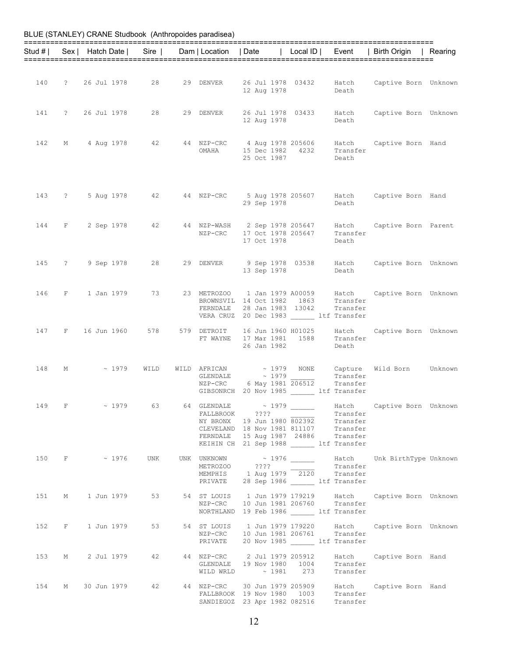|     |              | Stud #   Sex   Hatch Date   Sire |         | Dam   Location   Date |                                                                                                                                                                                                                                                                                                                                                                                                                                                                                                                                                                      | Local ID |                            | Event   Birth Origin   Rearing                                              |  |
|-----|--------------|----------------------------------|---------|-----------------------|----------------------------------------------------------------------------------------------------------------------------------------------------------------------------------------------------------------------------------------------------------------------------------------------------------------------------------------------------------------------------------------------------------------------------------------------------------------------------------------------------------------------------------------------------------------------|----------|----------------------------|-----------------------------------------------------------------------------|--|
|     |              |                                  |         |                       |                                                                                                                                                                                                                                                                                                                                                                                                                                                                                                                                                                      |          |                            |                                                                             |  |
| 140 |              | ? 26 Jul 1978                    | 28      | 29 DENVER             | 26 Jul 1978 03432<br>12 Aug 1978                                                                                                                                                                                                                                                                                                                                                                                                                                                                                                                                     |          | Hatch<br>Death             | Captive Born Unknown                                                        |  |
| 141 |              | ? 26 Jul 1978                    | 28      | 29 DENVER             | 26 Jul 1978 03433<br>12 Aug 1978                                                                                                                                                                                                                                                                                                                                                                                                                                                                                                                                     |          | Hatch<br>Death             | Captive Born Unknown                                                        |  |
| 142 | М            | 4 Aug 1978                       | 42      | OMAHA                 | 44 NZP-CRC 4 Aug 1978 205606<br>15 Dec 1982 4232 Transfer<br>25 Oct 1987                                                                                                                                                                                                                                                                                                                                                                                                                                                                                             |          | Hatch<br>Death             | Captive Born Hand                                                           |  |
|     |              |                                  |         |                       | 29 Sep 1978                                                                                                                                                                                                                                                                                                                                                                                                                                                                                                                                                          |          | Death                      | 143 ? 5 Aug 1978 42 44 NZP-CRC 5 Aug 1978 205607 Hatch Captive Born Hand    |  |
|     |              |                                  |         |                       | NZP-CRC 17 Oct 1978 205647<br>17 Oct 1978                                                                                                                                                                                                                                                                                                                                                                                                                                                                                                                            |          | Transfer<br>Death          | 144 F 2 Sep 1978 42 44 NZP-WASH 2 Sep 1978 205647 Hatch Captive Born Parent |  |
|     |              | 145 ? 9 Sep 1978                 | 28 — 10 |                       | 29 DENVER 9 Sep 1978 03538 Hatch<br>13 Sep 1978                                                                                                                                                                                                                                                                                                                                                                                                                                                                                                                      |          | Death                      | Captive Born Unknown                                                        |  |
|     |              | 146 F 1 Jan 1979                 | 73      |                       | 23 METROZOO 1 Jan 1979 A00059 Hatch<br>BROWNSVIL 14 Oct 1982 1863<br>FERNDALE 28 Jan 1983 13042<br>VERA CRUZ 20 Dec 1983 ltf Transfer                                                                                                                                                                                                                                                                                                                                                                                                                                |          | Transfer<br>Transfer       | Captive Born Unknown                                                        |  |
| 147 | $\mathbf{F}$ | 16 Jun 1960 578                  |         |                       | 579 DETROIT 16 Jun 1960 H01025<br>FT WAYNE 17 Mar 1981 1588<br>26 Jan 1982                                                                                                                                                                                                                                                                                                                                                                                                                                                                                           |          | Hatch<br>Transfer<br>Death | Captive Born Unknown                                                        |  |
| 148 | M            | $\sim 1979$                      | WILD    |                       | $\begin{tabular}{ll} \multicolumn{2}{c}{\textbf{GLENDALE}} \\ \multicolumn{2}{c}{\textbf{GLENDALE}} \\ \multicolumn{2}{c}{\textbf{ALE}} \\ \multicolumn{2}{c}{\textbf{A}} \\ \multicolumn{2}{c}{\textbf{A}} \\ \multicolumn{2}{c}{\textbf{A}} \\ \multicolumn{2}{c}{\textbf{A}} \\ \multicolumn{2}{c}{\textbf{A}} \\ \multicolumn{2}{c}{\textbf{A}} \\ \multicolumn{2}{c}{\textbf{A}} \\ \multicolumn{2}{c}{\textbf{A}} \\ \multicolumn{2}{c}{\textbf{A}} \\ \multicolumn{2}{c}{\textbf{A$<br>NZP-CRC 6 May 1981 206512<br>GIBSONRCH 20 Nov 1985 ______ ltf Transfer |          | Transfer<br>Transfer       | WILD AFRICAN $\sim$ 1979 NONE Capture Wild Born Unknown                     |  |
| 149 |              | $F \sim 1979$ 63                 |         |                       | 64 GLENDALE ~ 1979 ______<br>FALLBROOK ????<br>NY BRONX 19 Jun 1980 802392 Transfer<br>CLEVELAND 18 Nov 1981 811107 Transfer<br>FERNDALE 15 Aug 1987 24886 Transfer<br>KEIHIN CH 21 Sep 1988 ltf Transfer                                                                                                                                                                                                                                                                                                                                                            |          | Transfer                   | Hatch Captive Born Unknown                                                  |  |
|     |              |                                  |         |                       | METROZOO ???? $Tansfer$<br>MEMPHIS 1 Aug 1979 $Tansfer$<br>Transfer<br>PRIVATE 28 Sep 1986 ______ ltf Transfer                                                                                                                                                                                                                                                                                                                                                                                                                                                       |          |                            | 150 F ~ 1976 UNK UNK UNKNOWN ~ 1976 ______ Hatch Unk BirthType Unknown      |  |
|     |              | 151 M 1 Jun 1979                 |         |                       | NZP-CRC 10 Jun 1981 206760 Transfer<br>NORTHLAND 19 Feb 1986 ltf Transfer                                                                                                                                                                                                                                                                                                                                                                                                                                                                                            |          |                            | 53 54 ST LOUIS 1 Jun 1979 179219 Hatch Captive Born Unknown                 |  |
|     |              | 152 F 1 Jun 1979                 |         |                       | NZP-CRC 10 Jun 1981 206761 Transfer<br>PRIVATE 20 Nov 1985 ltf Transfer                                                                                                                                                                                                                                                                                                                                                                                                                                                                                              |          |                            | 53 54 ST LOUIS 1 Jun 1979 179220 Hatch Captive Born Unknown                 |  |
|     |              | 153 M 2 Jul 1979                 |         |                       | GLENDALE 19 Nov 1980 1004 Transfer<br>WILD WRLD $\sim$ 1981 273 Transfer                                                                                                                                                                                                                                                                                                                                                                                                                                                                                             |          |                            | 42 44 NZP-CRC 2 Jul 1979 205912 Hatch Captive Born Hand                     |  |
|     |              |                                  |         |                       | FALLBROOK 19 Nov 1980 1003 Transfer<br>SANDIEGOZ 23 Apr 1982 082516 Transfer                                                                                                                                                                                                                                                                                                                                                                                                                                                                                         |          |                            | 154 M 30 Jun 1979 42 44 NZP-CRC 30 Jun 1979 205909 Hatch Captive Born Hand  |  |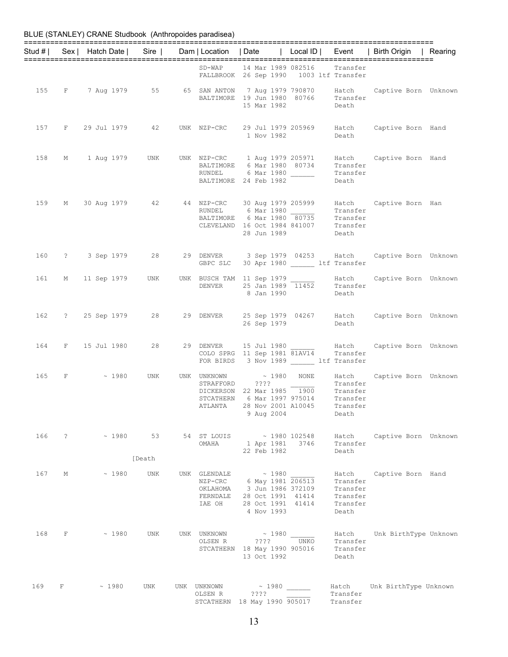|     |              |               |                        |                          |                                                                                                                                                                                                                                                                                                                                                                                                                                                                                                                           |                  |                                                                | Stud #   Sex   Hatch Date   Sire   Dam   Location   Date   Local ID   Event   Birth Origin   Rearing |  |
|-----|--------------|---------------|------------------------|--------------------------|---------------------------------------------------------------------------------------------------------------------------------------------------------------------------------------------------------------------------------------------------------------------------------------------------------------------------------------------------------------------------------------------------------------------------------------------------------------------------------------------------------------------------|------------------|----------------------------------------------------------------|------------------------------------------------------------------------------------------------------|--|
|     |              |               |                        |                          | SD-WAP 14 Mar 1989 082516                                                                                                                                                                                                                                                                                                                                                                                                                                                                                                 |                  | Transfer                                                       |                                                                                                      |  |
|     |              |               |                        |                          | FALLBROOK 26 Sep 1990 1003 ltf Transfer                                                                                                                                                                                                                                                                                                                                                                                                                                                                                   |                  |                                                                |                                                                                                      |  |
|     |              |               |                        |                          | BALTIMORE 19 Jun 1980 80766 Transfer<br>15 Mar 1982                                                                                                                                                                                                                                                                                                                                                                                                                                                                       |                  | Death                                                          | 155 F 7 Aug 1979 55 65 SAN ANTON 7 Aug 1979 790870 Hatch Captive Born Unknown                        |  |
| 157 |              |               | F 29 Jul 1979 42       |                          | 1 Nov 1982                                                                                                                                                                                                                                                                                                                                                                                                                                                                                                                |                  | Death                                                          | UNK NZP-CRC 29 Jul 1979 205969 Hatch Captive Born Hand                                               |  |
| 158 |              |               | M 1 Aug 1979 UNK       |                          | UNK NZP-CRC 1 Aug 1979 205971<br>BALTIMORE 6 Mar 1980 80734<br>RUNDEL 6 Mar 1980 Transfer<br>BALTIMORE 24 Feb 1982                                                                                                                                                                                                                                                                                                                                                                                                        |                  | Transfer<br>Death                                              | Hatch Captive Born Hand                                                                              |  |
|     |              |               |                        |                          | $\begin{tabular}{lllllllllllllllllll} \hline 159 & \hbox{M} & 30 \hbox{ Aug 1979} & 42 & 44 \hbox{ NZP-CRC} & 30 \hbox{ Aug 1979} & 205999 & \hbox{Hatch} \\ & \hline \text{RUNDEL} & 6 \hbox{ Mar 1980} & \hline \text{Transfer} \\ & \hline \text{BAITIMORE} & 6 \hbox{ Mar 1980} & 80735 & \hline \text{Transfer} \\ & \hline \text{CLEVELAND} & 16 \hbox{ Oct 1984 841007} & \hline \text{Transfer} \\ \h$<br>28 Jun 1989                                                                                             |                  | Transfer<br>Death                                              | Hatch Captive Born Han                                                                               |  |
|     |              |               | 160 ? 3 Sep 1979 28    | GBPC SLC                 | 30 Apr 1980 ltf Transfer                                                                                                                                                                                                                                                                                                                                                                                                                                                                                                  |                  |                                                                | 29 DENVER 3 Sep 1979 04253 Hatch Captive Born Unknown                                                |  |
| 161 |              |               | M 11 Sep 1979 UNK      |                          | 8 Jan 1990                                                                                                                                                                                                                                                                                                                                                                                                                                                                                                                |                  | Death                                                          | UNK BUSCH TAM 11 Sep 1979 $\frac{\text{Hatch}}{\text{Thammer}}$ Hatch Captive Born Unknown           |  |
|     |              |               | 162 ? 25 Sep 1979 28   |                          | 26 Sep 1979                                                                                                                                                                                                                                                                                                                                                                                                                                                                                                               |                  | Death                                                          | 29 DENVER 25 Sep 1979 04267 Hatch Captive Born Unknown                                               |  |
|     |              |               | 164 F 15 Jul 1980 28   |                          | FOR BIRDS 3 Nov 1989 ltf Transfer                                                                                                                                                                                                                                                                                                                                                                                                                                                                                         |                  |                                                                | 29 DENVER 15 Jul 1980 Hatch Captive Born Unknown<br>COLO SPRG 11 Sep 1981 81AV14 Transfer            |  |
| 165 |              | $F \sim 1980$ | UNK                    | UNK UNKNOWN<br>STRAFFORD | $\begin{tabular}{lllllll} \multicolumn{2}{c}{\textbf{STRAFFORD}} & & & \multicolumn{2}{c}{\textbf{???}} & & \multicolumn{2}{c}{\textbf{Transfer}} \\ \multicolumn{2}{c}{\textbf{DICKERSON}} & & \multicolumn{2}{c}{\textbf{2} Max 1985} & \multicolumn{2}{c}{\textbf{1900}} & & \multicolumn{2}{c}{\textbf{Transfer}} \\ \multicolumn{2}{c}{\textbf{STCATHERN}} & & \multicolumn{2}{c}{\textbf{6 Max 1997 975014}} & & \multicolumn{2}{c}{\textbf{Transfer}} \\ \end{tabular$<br>ATLANTA 28 Nov 2001 A10045<br>9 Aug 2004 | $\sim$ 1980 NONE | Transfer<br>Transfer<br>Death                                  | Hatch Captive Born Unknown                                                                           |  |
|     |              |               | $166$ ? $\sim$ 1980 53 |                          | 54 ST LOUIS - 1980 102548<br>0MAHA 1 Apr 1981 3746<br>22 Feb 1982                                                                                                                                                                                                                                                                                                                                                                                                                                                         |                  | Transfer<br>Death                                              | Hatch Captive Born Unknown                                                                           |  |
|     |              |               | [Death                 |                          |                                                                                                                                                                                                                                                                                                                                                                                                                                                                                                                           |                  |                                                                |                                                                                                      |  |
| 167 | М            | ~1980         | UNK                    | FERNDALE<br>IAE OH       | UNK GLENDALE $\sim 1980$<br>NZP-CRC 6 May 1981 206513<br>OKLAHOMA 3 Jun 1986 372109<br>28 Oct 1991 41414<br>28 Oct 1991 41414<br>4 Nov 1993                                                                                                                                                                                                                                                                                                                                                                               |                  | Hatch<br>Transfer<br>Transfer<br>Transfer<br>Transfer<br>Death | Captive Born Hand                                                                                    |  |
| 168 | $\mathbf{F}$ | $\sim 1980$   | UNK                    | UNK UNKNOWN<br>OLSEN R   | $\sim 1980$<br>???? UNKO<br>STCATHERN 18 May 1990 905016<br>13 Oct 1992                                                                                                                                                                                                                                                                                                                                                                                                                                                   |                  | Hatch<br>Transfer<br>Transfer<br>Death                         | Unk BirthType Unknown                                                                                |  |
| 169 |              | $F \sim 1980$ | UNK                    | UNK UNKNOWN<br>OLSEN R   | $\sim 1980$<br>$??\,?\,?$<br>STCATHERN 18 May 1990 905017                                                                                                                                                                                                                                                                                                                                                                                                                                                                 |                  | Transfer<br>Transfer                                           | Hatch Unk BirthType Unknown                                                                          |  |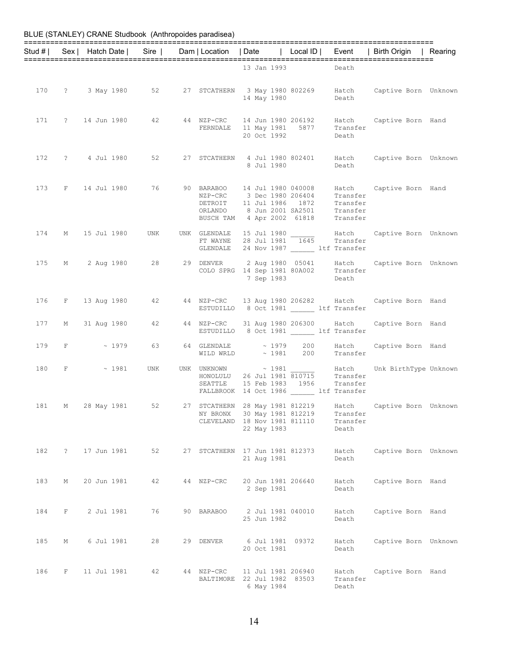## BLUE (STANLEY) CRANE Studbook (Anthropoides paradisea) ============================================================================================== Stud # | Sex | Hatch Date | Sire | Dam | Location | Date | Local ID | Event | Birth Origin | Rearing ============================================================================================== 13 Jan 1993 170 ? 3 May 1980 52 27 STCATHERN 3 May 1980 802269 Hatch Captive Born Unknown 14 May 1980 Death 171 ? 14 Jun 1980 42 44 NZP-CRC 14 Jun 1980 206192 Hatch Captive Born Hand<br>FERNDALE 11 May 1981 5877 Transfer 11 May 1981 5877 Transf<br>20 Oct 1992 Death 20 Oct 1992 Death 172 ? 4 Jul 1980 52 27 STCATHERN 4 Jul 1980 802401 Hatch Captive Born Unknown er and the state of the state of the state of the state of the state of the state of the state of the state of the state of the state of the state of the state of the state of the state of the state of the state of the sta 173 F 14 Jul 1980 76 90 BARABOO 14 Jul 1980 040008 Hatch Captive Born Hand NZP-CRC 3 Dec 1980 206404 Transfer DETROIT 11 Jul 1986 1872 Transfer ORLANDO 8 Jun 2001 SA2501 Transfer BUSCH TAM 4 Apr 2002 61818 Transfer 174 M 15 Jul 1980 UNK UNK GLENDALE 15 Jul 1980 \_\_\_\_\_\_ Hatch Captive Born Unknown FT WAYNE 28 Jul 1981 1645 Transfer GLENDALE 24 Nov 1987 \_\_\_\_\_\_ ltf Transfer 175 M 2 Aug 1980 28 29 DENVER 2 Aug 1980 05041 Hatch Captive Born Unknown COLO SPRG 14 Sep 1981 80A002 Transfer 7 Sep 1983 Death 176 F 13 Aug 1980 42 44 NZP-CRC 13 Aug 1980 206282 Hatch Captive Born Hand ESTUDILLO 8 Oct 1981 \_\_\_\_\_\_ ltf Transfer 177 M 31 Aug 1980 42 44 NZP-CRC 31 Aug 1980 206300 Hatch Captive Born Hand ESTUDILLO 8 Oct 1981 \_\_\_\_\_\_ ltf Transfer 179 F  $\sim$  1979 63 64 GLENDALE  $\sim$  1979 200 Hatch Captive Born Hand<br>WILD WRLD  $\sim$  1981 200 Transfer  $\sim 1981$  200 Transfer 180 F  $\sim$  1981 UNK UNK UNKNOWN  $\sim$  1981 \_\_\_\_\_ Hatch Unk $\,$  BirthType Unknown HONOLULU 26 Jul 1981 810715 Transfer SEATTLE 15 Feb 1983 1956 Transfer FALLBROOK 14 Oct 1986 ltf Transfer 181 M 28 May 1981 52 27 STCATHERN 28 May 1981 812219 Hatch Captive Born Unknown NY BRONX 30 May 1981 812219 Transfer CLEVELAND 18 Nov 1981 811110 Transfer 22 May 1983 Death 182 ? 17 Jun 1981 52 27 STCATHERN 17 Jun 1981 812373 Hatch Captive Born Unknown 21 Aug 1981 Death 183 M 20 Jun 1981 42 44 NZP-CRC 20 Jun 1981 206640 Hatch Captive Born Hand<br>2 Sep 1981 Death 2 Sep 1981 184 F 2 Jul 1981 76 90 BARABOO 2 Jul 1981 040010 Hatch Captive Born Hand 25 Jun 1982 Death 185 M 6 Jul 1981 28 29 DENVER 6 Jul 1981 09372 Hatch Captive Born Unknown 20 Oct 1981 Death 186 F 11 Jul 1981 42 44 NZP-CRC 11 Jul 1981 206940 Hatch Captive Born Hand BALTIMORE 22 Jul 1982 83503 Transfer

6 May 1984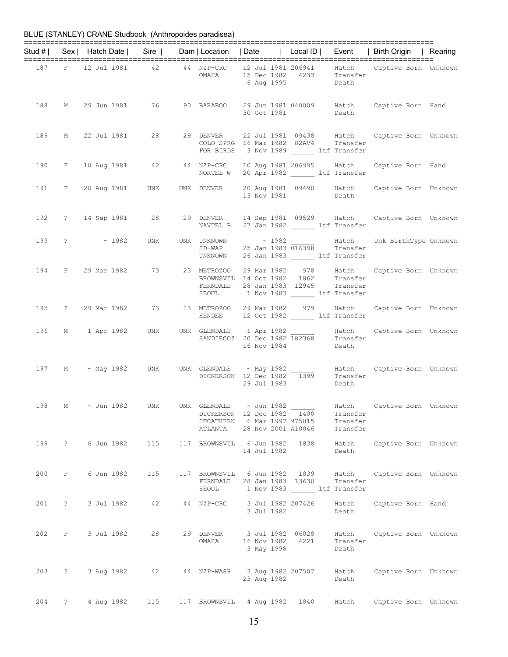|     |                   |            | Stud #   Sex   Hatch Date   Sire   Dam   Location   Date   Local ID   Event   Birth Origin   Rearing                                                                     |                                                                                                                    |  |             |                   |                                     |                            |                      |
|-----|-------------------|------------|--------------------------------------------------------------------------------------------------------------------------------------------------------------------------|--------------------------------------------------------------------------------------------------------------------|--|-------------|-------------------|-------------------------------------|----------------------------|----------------------|
|     |                   |            |                                                                                                                                                                          |                                                                                                                    |  |             |                   |                                     |                            |                      |
|     |                   |            | $\begin{tabular}{lllllllll} 187 & F & 12 Jul 1981 & 42 & 44 NZP-CRC & 12 Jul 1981 206941 & Hatch & Captive Born Unknown & 15 Dec 1982 & 4233 & Transfer & \end{tabular}$ |                                                                                                                    |  |             | 6 Aug 1995 Death  |                                     |                            |                      |
|     |                   |            | 188 M 29 Jun 1981 76 90 BARABOO 29 Jun 1981 040009 Hatch Captive Born Hand                                                                                               |                                                                                                                    |  |             |                   | 30 Oct 1981 Death                   |                            |                      |
|     |                   |            | 189 M 22 Jul 1981 28 29 DENVER 22 Jul 1981 09438 Hatch Captive Born Unknown                                                                                              | COLO SPRG 16 Mar 1982 82AV4 Transfer<br>FOR BIRDS 3 Nov 1989 ______ ltf Transfer                                   |  |             |                   |                                     |                            |                      |
|     |                   |            | 190 F 10 Aug 1981 42 44 NZP-CRC 10 Aug 1981 206995 Hatch Captive Born Hand                                                                                               | NORTEL W 20 Apr 1982 ______ ltf Transfer                                                                           |  |             |                   |                                     |                            |                      |
|     |                   |            | 191 F 20 Aug 1981 UNK UNK DENVER 20 Aug 1981 09490 Hatch Captive Born Unknown<br>13 Nov 1981 Death                                                                       |                                                                                                                    |  |             |                   |                                     |                            |                      |
|     |                   |            | 192 ? 14 Sep 1981 28 29 DENVER 14 Sep 1981 09529 Hatch Captive Born Unknown<br>NAVTEL B 27 Jan 1982 1tf Transfer                                                         |                                                                                                                    |  |             |                   |                                     |                            |                      |
|     |                   |            | 193 ? - 1982 UNK UNK UNKNOWN $\sim$ 1982 $\frac{1982}{016398}$ Hatch Unk BirthType Unknown<br>SD-WAP 25 Jan 1983 016398 Transfer<br>UNKNOWN 26 Jan 1983 Lif Transfer     |                                                                                                                    |  |             |                   |                                     |                            |                      |
|     |                   |            | 194 F 29 Mar 1982 73 23 METROZOO 29 Mar 1982 978 Hatch Captive Born Unknown                                                                                              | BROWNSVIL 14 Oct 1982 1862 Transfer<br>FERNDALE 28 Jan 1983 12945 Transfer<br>SEOUL 1 Nov 1983 ______ ltf Transfer |  |             |                   |                                     |                            |                      |
|     |                   |            | 195 ? 29 Mar 1982 73 23 METROZOO 29 Mar 1982 979 Hatch Captive Born Unknown<br>HENDEE 12 Oct 1982 1f Transfer                                                            |                                                                                                                    |  |             |                   |                                     |                            |                      |
|     |                   |            |                                                                                                                                                                          |                                                                                                                    |  |             |                   |                                     |                            |                      |
|     |                   |            | 197 M ~ May 1982 UNK UNK GLENDALE ~ May 1982 _______ Hatch Captive Born Unknown<br>DICKERSON 12 Dec 1982 1399 Transfer                                                   |                                                                                                                    |  |             | 29 Jul 1983 Death |                                     |                            |                      |
|     |                   |            | 198 M ~ Jun 1982 UNK UNK GLENDALE ~ Jun 1982 Hatch Captive Born Unknown                                                                                                  | DICKERSON 12 Dec 1982 1400<br>STCATHERN 6 Mar 1997 975015<br>ATLANTA 28 Nov 2001 A10046                            |  |             |                   | Transfer<br>Transfer<br>Transfer    |                            |                      |
|     |                   |            | 199 ? 6 Jun 1982 115                                                                                                                                                     | 117 BROWNSVIL 6 Jun 1982 1838                                                                                      |  | 14 Jul 1982 |                   | Hatch<br>Death                      |                            | Captive Born Unknown |
| 200 | $F$ and $F$       | 6 Jun 1982 | 115                                                                                                                                                                      | 117 BROWNSVIL 6 Jun 1982 1839 Hatch<br>FERNDALE<br>SEOUL                                                           |  |             | 28 Jan 1983 13630 | Transfer<br>1 Nov 1983 ltf Transfer |                            | Captive Born Unknown |
| 201 | $\ddot{\text{?}}$ | 3 Jul 1982 | 42                                                                                                                                                                       | 44 NZP-CRC 3 Jul 1982 207426                                                                                       |  | 3 Jul 1982  |                   | Hatch<br>Death                      | Captive Born Hand          |                      |
| 202 | $F$ and $F$       | 3 Jul 1982 | 28                                                                                                                                                                       | 29 DENVER 3 Jul 1982 06028<br>OMAHA                                                                                |  | 3 May 1998  | 16 Nov 1982 4221  | Transfer<br>Death                   | Hatch Captive Born Unknown |                      |
|     | 203 ? 3 Aug 1982  |            | 42                                                                                                                                                                       | 44 NZP-WASH 3 Aug 1982 207507                                                                                      |  | 23 Aug 1982 |                   | Hatch Captive Born Unknown<br>Death |                            |                      |
| 204 | $\ddot{?}$        | 4 Aug 1982 | 115                                                                                                                                                                      | 117 BROWNSVIL 4 Aug 1982 1840                                                                                      |  |             |                   | Hatch                               |                            | Captive Born Unknown |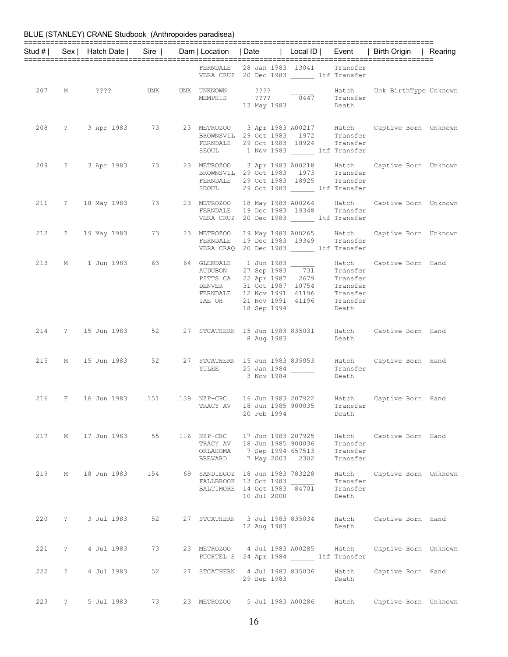|     |              |               |                                                                                                                                                                |             |                                                                                                                        |                                        | Stud #   Sex   Hatch Date   Sire   Dam   Location   Date   Local ID   Event   Birth Origin   Rearing                                                       |  |
|-----|--------------|---------------|----------------------------------------------------------------------------------------------------------------------------------------------------------------|-------------|------------------------------------------------------------------------------------------------------------------------|----------------------------------------|------------------------------------------------------------------------------------------------------------------------------------------------------------|--|
|     |              |               |                                                                                                                                                                |             | FERNDALE 28 Jan 1983 13041 Transfer<br>VERA CRUZ 20 Dec 1983 ltf Transfer                                              |                                        |                                                                                                                                                            |  |
|     |              |               | 207 M ???? UNK UNK UNKNOWN ????                                                                                                                                |             | 13 May 1983                                                                                                            | Death                                  | UNKNOWN ???? Hatch Unk BirthType Unknown<br>MEMPHIS ???? 0447 Transfer                                                                                     |  |
|     |              |               |                                                                                                                                                                |             | FERNDALE 29 Oct 1983 18924 Transfer<br>SEOUL 1 Nov 1983 1tf Transfer                                                   |                                        | 208 ? 3 Apr 1983 73 23 METROZOO 3 Apr 1983 A00217 Hatch Captive Born Unknown<br>BROWNSVIL 29 Oct 1983 1972 Transfer                                        |  |
|     |              |               |                                                                                                                                                                | SEOUL       | 29 Oct 1983 ________ ltf Transfer                                                                                      |                                        | 209 ? 3 Apr 1983 73 23 METROZOO 3 Apr 1983 A00218 Hatch Captive Born Unknown<br>BROWNSVIL 29 Oct 1983 1973 Transfer<br>FERNDALE 29 Oct 1983 18925 Transfer |  |
|     |              |               |                                                                                                                                                                |             | VERA CRUZ 20 Dec 1983 ltf Transfer                                                                                     |                                        | 211 ? 18 May 1983 73 23 METROZOO 18 May 1983 A00264 Hatch Captive Born Unknown<br>FERNDALE 19 Dec 1983 19348 Transfer                                      |  |
|     |              |               | 212 ? 19 May 1983 73 23 METROZOO                                                                                                                               |             | VERA CRAQ 20 Dec 1983 _______ ltf Transfer                                                                             |                                        | METROZOO 19 May 1983 A00265 Hatch Captive Born Unknown<br>FERNDALE 19 Dec 1983 19349 Transfer                                                              |  |
| 213 |              |               | M 1 Jun 1983 63 64 GLENDALE 1 Jun 1983 11 Hatch<br>AUDUBON 27 Sep 1983 731 Transfer<br>PITTS CA 22 Apr 1987 2679 Transfer<br>DENVER 31 Oct 1987 10754 Transfer |             | FERNDALE 12 Nov 1991 41196 Transfer<br>IAE OH 21 Nov 1991 41196 Transfer<br>18 Sep 1994                                | Death                                  | Hatch Captive Born Hand                                                                                                                                    |  |
|     |              |               |                                                                                                                                                                |             | 8 Aug 1983                                                                                                             | Death                                  | 214 ? 15 Jun 1983 52 27 STCATHERN 15 Jun 1983 835031 Hatch Captive Born Hand                                                                               |  |
|     |              |               |                                                                                                                                                                |             | YULEE 25 Jan 1984<br>3 Nov 1984                                                                                        | Transfer<br>Death                      | 215 M 15 Jun 1983 52 27 STCATHERN 15 Jun 1983 835053 Hatch Captive Born Hand                                                                               |  |
|     |              |               | 216 F 16 Jun 1983 151                                                                                                                                          |             | TRACY AV 18 Jun 1985 900035 Transfer<br>20 Feb 1994                                                                    | Death                                  | 139 NZP-CRC 16 Jun 1983 207922 Hatch Captive Born Hand                                                                                                     |  |
| 217 |              | M 17 Jun 1983 | 55                                                                                                                                                             |             | 116 NZP-CRC 17 Jun 1983 207925<br>TRACY AV 18 Jun 1985 900036<br>OKLAHOMA 7 Sep 1994 657513<br>BREVARD 7 May 2003 2302 | Transfer<br>Transfer<br>Transfer       | Hatch Captive Born Hand                                                                                                                                    |  |
| 219 | М            | 18 Jun 1983   | 154                                                                                                                                                            |             | 69 SANDIEGOZ 18 Jun 1983 783228<br>FALLBROOK 13 Oct 1983<br>BALTIMORE 14 Oct 1983 84701<br>10 Jul 2000                 | Hatch<br>Transfer<br>Transfer<br>Death | Captive Born Unknown                                                                                                                                       |  |
|     | 220 ?        | 3 Jul 1983    | 52                                                                                                                                                             |             | 27 STCATHERN 3 Jul 1983 835034<br>12 Aug 1983                                                                          | Death                                  | Hatch Captive Born Hand                                                                                                                                    |  |
| 221 | $\ddot{?}$   | 4 Jul 1983    | 73                                                                                                                                                             |             | 23 METROZOO 4 Jul 1983 A00285 Hatch<br>PUCHTEL S 24 Apr 1984 ltf Transfer                                              |                                        | Captive Born Unknown                                                                                                                                       |  |
| 222 | $\ddot{?}$   | 4 Jul 1983    | 52                                                                                                                                                             |             | 27 STCATHERN 4 Jul 1983 835036<br>29 Sep 1983                                                                          | Hatch<br>Death                         | Captive Born Hand                                                                                                                                          |  |
| 223 | $\mathbb{R}$ | 5 Jul 1983    | 73                                                                                                                                                             | 23 METROZOO | 5 Jul 1983 A00286                                                                                                      | Hatch                                  | Captive Born Unknown                                                                                                                                       |  |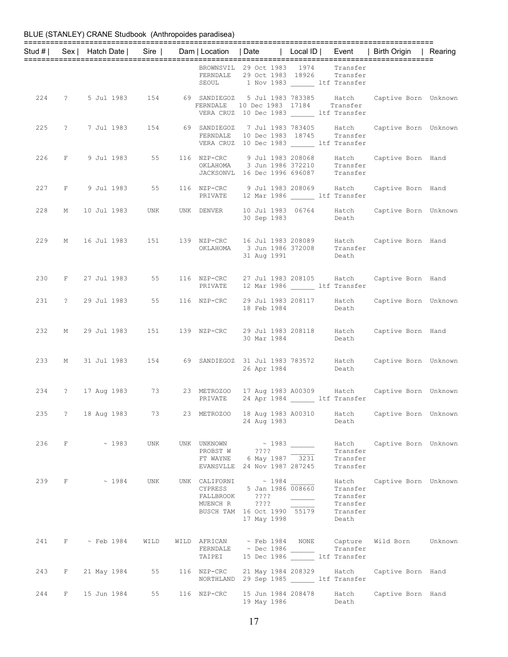|  |                   |                       |             |                                                                                                                                                                                                |                                                 |                                  | Stud #   Sex   Hatch Date   Sire   Dam   Location   Date   Local ID   Event   Birth Origin   Rearing                                                                                                                                |  |
|--|-------------------|-----------------------|-------------|------------------------------------------------------------------------------------------------------------------------------------------------------------------------------------------------|-------------------------------------------------|----------------------------------|-------------------------------------------------------------------------------------------------------------------------------------------------------------------------------------------------------------------------------------|--|
|  |                   |                       |             | BROWNSVIL 29 Oct 1983 1974 Transfer<br>FERNDALE 29 Oct 1983 18926 Transfer<br>SEOUL 1 Nov 1983 1tf Transfer                                                                                    |                                                 |                                  |                                                                                                                                                                                                                                     |  |
|  |                   |                       |             | VERA CRUZ 10 Dec 1983 ______ ltf Transfer                                                                                                                                                      |                                                 |                                  | 224 ? 5 Jul 1983 154 69 SANDIEGOZ 5 Jul 1983 783385 Hatch Captive Born Unknown<br>FERNDALE 10 Dec 1983 17184 Transfer                                                                                                               |  |
|  |                   |                       |             | VERA CRUZ 10 Dec 1983 ______ ltf Transfer                                                                                                                                                      |                                                 |                                  | 225 ? 7 Jul 1983 154 69 SANDIEGOZ 7 Jul 1983 783405 Hatch Captive Born Unknown<br>FERNDALE 10 Dec 1983 18745 Transfer                                                                                                               |  |
|  |                   |                       |             | JACKSONVL 16 Dec 1996 696087 Transfer                                                                                                                                                          |                                                 |                                  | 226 F 9 Jul 1983 55 116 NZP-CRC 9 Jul 1983 208068 Hatch Captive Born Hand CKLAHOMA 3 Jun 1986 372210 Transfer                                                                                                                       |  |
|  |                   |                       |             | PRIVATE 12 Mar 1986 ltf Transfer                                                                                                                                                               |                                                 |                                  | 227 F 9 Jul 1983 55 116 NZP-CRC 9 Jul 1983 208069 Hatch Captive Born Hand                                                                                                                                                           |  |
|  |                   |                       |             | 30 Sep 1983 Death                                                                                                                                                                              |                                                 |                                  | 228 M 10 Jul 1983 UNK UNK DENVER 10 Jul 1983 06764 Hatch Captive Born Unknown                                                                                                                                                       |  |
|  |                   |                       |             | OKLAHOMA 3 Jun 1986 372008 Transfer<br>31 Aug 1991                                                                                                                                             |                                                 | Death                            | 229 M 16 Jul 1983 151 139 NZP-CRC 16 Jul 1983 208089 Hatch Captive Born Hand                                                                                                                                                        |  |
|  |                   |                       |             | PRIVATE 12 Mar 1986 ltf Transfer                                                                                                                                                               |                                                 |                                  | 230 F 27 Jul 1983 55 116 NZP-CRC 27 Jul 1983 208105 Hatch Captive Born Hand                                                                                                                                                         |  |
|  |                   |                       |             | 18 Feb 1984 Death                                                                                                                                                                              |                                                 |                                  | 231 ? 29 Jul 1983 55 116 NZP-CRC 29 Jul 1983 208117 Hatch Captive Born Unknown                                                                                                                                                      |  |
|  |                   |                       |             | 30 Mar 1984 Death                                                                                                                                                                              |                                                 |                                  | 232 M 29 Jul 1983 151 139 NZP-CRC 29 Jul 1983 208118 Hatch Captive Born Hand                                                                                                                                                        |  |
|  |                   |                       |             | 26 Apr 1984 Death                                                                                                                                                                              |                                                 |                                  | 233 M 31 Jul 1983 154 69 SANDIEGOZ 31 Jul 1983 783572 Hatch Captive Born Unknown                                                                                                                                                    |  |
|  |                   |                       |             | PRIVATE 24 Apr 1984 Lit Transfer                                                                                                                                                               |                                                 |                                  | 234 ? 17 Aug 1983 73 23 METROZOO 17 Aug 1983 A00309 Hatch Captive Born Unknown                                                                                                                                                      |  |
|  |                   |                       |             | 235 ? 18 Aug 1983 73 23 METROZOO 18 Aug 1983 A00310<br>24 Aug 1983                                                                                                                             |                                                 | Death                            | Hatch Captive Born Unknown                                                                                                                                                                                                          |  |
|  |                   | 236 F ~ 1983 UNK      |             | UNK UNKNOWN ~ 1983 ______<br>PROBST W ???? $\overline{\qquad \qquad }$<br>FT WAYNE 6 May 1987 $\overline{\qquad \qquad }$ 3231<br>EVANSVLLE 24 Nov 1987 287245                                 |                                                 | Transfer<br>Transfer<br>Transfer | Hatch Captive Born Unknown                                                                                                                                                                                                          |  |
|  |                   |                       |             | 239 F $\sim$ 1984 UNK UNK CALIFORNI $\sim$ 1984<br>CYPRESS 5 Jan 1986 008660<br>FALLBROOK ????<br>MUENCH R ????<br>MUENCH R ????<br>BUSCH TAM 16 Oct 1990 55179 Transfer<br>17 Mart 1998 Death | $\frac{1}{100}$ $\frac{1}{100}$ $\frac{1}{100}$ | Transfer                         | Hatch Captive Born Unknown                                                                                                                                                                                                          |  |
|  |                   | 241 F ~ Feb 1984 WILD |             | FERNDALE ~ Dec 1986 ______ Transfer<br>TAIPEI 15 Dec 1986 ______ 1tf Transfer                                                                                                                  |                                                 |                                  | $\begin{tabular}{lcccccc} \texttt{WILD} & \texttt{AFRICAN} & $\sim$ Feb 1984 & \texttt{NONE} & \texttt{Capture} & \texttt{Wild Born} & \texttt{Unknown} \\ & \texttt{FERNDALE} & $\sim$ Dec 1986 & \texttt{Transfer} \end{tabular}$ |  |
|  |                   | 243 F 21 May 1984 55  | 116 NZP-CRC | NORTHLAND 29 Sep 1985 ltf Transfer                                                                                                                                                             |                                                 |                                  | 21 May 1984 208329 Hatch Captive Born Hand                                                                                                                                                                                          |  |
|  | 244 F 15 Jun 1984 |                       |             | 55 116 NZP-CRC 15 Jun 1984 208478<br>19 May 1986                                                                                                                                               |                                                 | Hatch<br>Death                   | Captive Born Hand                                                                                                                                                                                                                   |  |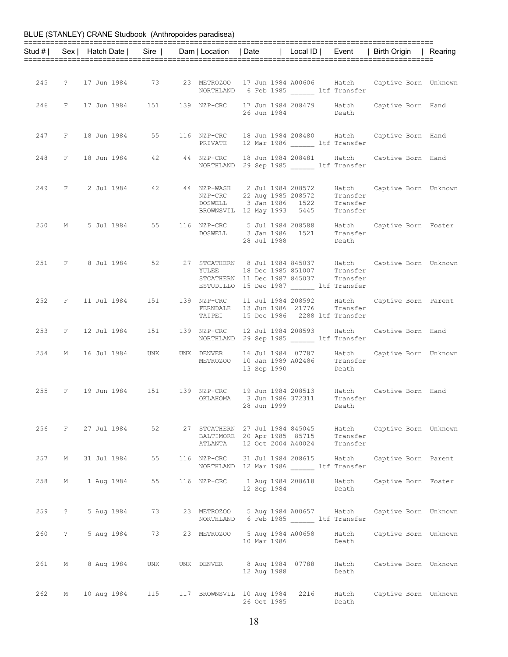|     |                   | BLUE (STANLEY) CRANE Studbook (Anthropoides paradisea) |         |             |                                                                                                                                                   |       |                      |                                                                                                                     |  |
|-----|-------------------|--------------------------------------------------------|---------|-------------|---------------------------------------------------------------------------------------------------------------------------------------------------|-------|----------------------|---------------------------------------------------------------------------------------------------------------------|--|
|     |                   |                                                        |         |             |                                                                                                                                                   |       |                      | Stud #   Sex   Hatch Date   Sire   Dam   Location   Date   Local ID   Event   Birth Origin   Rearing                |  |
|     |                   |                                                        |         |             |                                                                                                                                                   |       |                      |                                                                                                                     |  |
|     |                   |                                                        |         |             | NORTHLAND 6 Feb 1985 ltf Transfer                                                                                                                 |       |                      | 245 ? 17 Jun 1984 73 23 METROZOO 17 Jun 1984 A00606 Hatch Captive Born Unknown                                      |  |
|     |                   |                                                        |         |             | 26 Jun 1984                                                                                                                                       | Death |                      | 246 F 17 Jun 1984 151 139 NZP-CRC 17 Jun 1984 208479 Hatch Captive Born Hand                                        |  |
|     |                   | 247 F 18 Jun 1984 55                                   |         |             | PRIVATE 12 Mar 1986 ______ ltf Transfer                                                                                                           |       |                      | 116 NZP-CRC 18 Jun 1984 208480 Hatch Captive Born Hand                                                              |  |
|     |                   |                                                        |         |             | 248 F 18 Jun 1984 42 44 NZP-CRC 18 Jun 1984 208481 Hatch<br>NORTHLAND 29 Sep 1985 ltf Transfer                                                    |       |                      | Captive Born Hand                                                                                                   |  |
|     |                   |                                                        |         |             | 249 F 2 Jul 1984 42 44 NZP-WASH 2 Jul 1984 208572<br>NZP-CRC 22 Aug 1985 208572<br>DOSWELL 3 Jan 1986 1522<br>BROWNSVIL 12 May 1993 5445 Transfer |       | Transfer<br>Transfer | Hatch Captive Born Unknown                                                                                          |  |
| 250 |                   | M 5 Jul 1984 55                                        |         |             | 116 NZP-CRC 5 Jul 1984 208588<br>DOSWELL 3 Jan 1986 1521<br>28 Jul 1988                                                                           |       | Transfer<br>Death    | Hatch Captive Born Foster                                                                                           |  |
|     |                   |                                                        |         | YULEE       | 18 Dec 1985 851007 Transfer<br>STCATHERN 11 Dec 1987 845037 Transfer<br>ESTUDILLO 15 Dec 1987 ltf Transfer                                        |       |                      | 251 F 8 Jul 1984 52 27 STCATHERN 8 Jul 1984 845037 Hatch Captive Born Unknown                                       |  |
|     |                   |                                                        |         |             | FERNDALE 13 Jun 1986 21776<br>TAIPEI 15 Dec 1986 2288 ltf Transfer                                                                                |       | Transfer             | 252 F 11 Jul 1984 151 139 NZP-CRC 11 Jul 1984 208592 Hatch Captive Born Parent                                      |  |
|     |                   |                                                        |         |             | 253 F 12 Jul 1984 151 139 NZP-CRC 12 Jul 1984 208593<br>NORTHLAND 29 Sep 1985 ltf Transfer                                                        |       |                      | Hatch Captive Born Hand                                                                                             |  |
|     |                   | 254 M 16 Jul 1984 UNK                                  |         | UNK DENVER  | 16 Jul 1984 07787 Hatch<br>METROZOO 10 Jan 1989 A02486 Transfer<br>13 Sep 1990 Death<br>13 Sep 1990                                               |       | Death                | Captive Born Unknown                                                                                                |  |
|     |                   |                                                        |         |             | 28 Jun 1999                                                                                                                                       |       | Death                | 255 F 19 Jun 1984 151 139 NZP-CRC 19 Jun 1984 208513 Hatch Captive Born Hand<br>OKLAHOMA 3 Jun 1986 372311 Transfer |  |
|     |                   | 256 F 27 Jul 1984                                      |         |             | BALTIMORE 20 Apr 1985 85715 Transfer<br>ATLANTA 12 Oct 2004 A40024 Transfer                                                                       |       |                      | 52 27 STCATHERN 27 Jul 1984 845045 Hatch Captive Born Unknown                                                       |  |
| 257 | М                 | 31 Jul 1984                                            | 55      | 116 NZP-CRC | 31 Jul 1984 208615 Hatch<br>NORTHLAND 12 Mar 1986 ltf Transfer                                                                                    |       |                      | Captive Born Parent                                                                                                 |  |
| 258 | М                 | 1 Aug 1984                                             | 55      |             | 116 NZP-CRC 1 Aug 1984 208618 Hatch<br>12 Sep 1984                                                                                                |       | Death                | Captive Born Foster                                                                                                 |  |
| 259 | $\ddot{\text{?}}$ | 5 Aug 1984                                             | 73 — 17 |             | NORTHLAND 6 Feb 1985 ltf Transfer                                                                                                                 |       |                      | 23 METROZOO 5 Aug 1984 A00657 Hatch Captive Born Unknown                                                            |  |
|     | 260 ?             | 5 Aug 1984                                             |         |             | 73 23 METROZOO 5 Aug 1984 A00658 Hatch<br>10 Mar 1986                                                                                             |       | Death                | Captive Born Unknown                                                                                                |  |
| 261 | М                 | 8 Aug 1984                                             | UNK     |             | 12 Aug 1988                                                                                                                                       |       | Death                | UNK DENVER 8 Aug 1984 07788 Hatch Captive Born Unknown                                                              |  |
| 262 |                   | M 10 Aug 1984 115                                      |         |             | 117 BROWNSVIL 10 Aug 1984 2216<br>26 Oct 1985                                                                                                     |       | Hatch<br>Death       | Captive Born Unknown                                                                                                |  |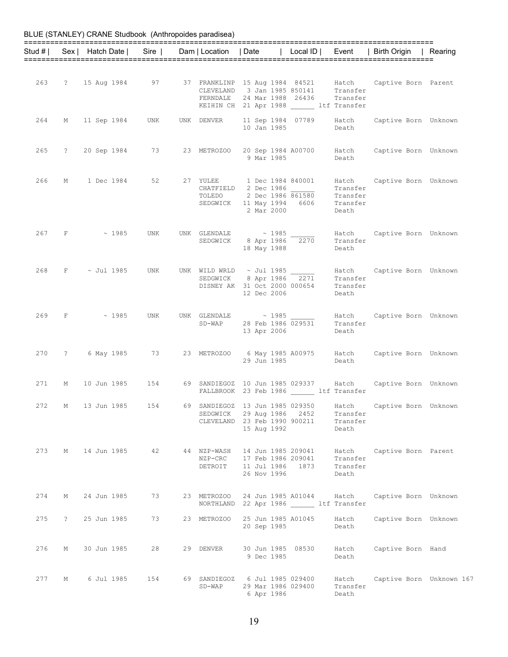|       |                                 | Stud #   Sex   Hatch Date   Sire |            | Dam   Location   Date             |                                                                                                                                                         |                                                              |                                        | Local ID   Event   Birth Origin   Rearing |  |
|-------|---------------------------------|----------------------------------|------------|-----------------------------------|---------------------------------------------------------------------------------------------------------------------------------------------------------|--------------------------------------------------------------|----------------------------------------|-------------------------------------------|--|
|       |                                 |                                  |            |                                   |                                                                                                                                                         |                                                              |                                        |                                           |  |
|       |                                 | 263 ? 15 Aug 1984 97             |            |                                   | 37 FRANKLINP 15 Aug 1984 84521 Hatch<br>CLEVELAND 3 Jan 1985 850141 Transfer<br>FERNDALE 24 Mar 1988 26436<br>KEIHIN CH 21 Apr 1988 ltf Transfer        |                                                              | Transfer                               | Captive Born Parent                       |  |
| 264   |                                 | M 11 Sep 1984                    | UNK        | UNK DENVER                        | 10 Jan 1985                                                                                                                                             | 11 Sep 1984 07789                                            | Hatch<br>Death                         | Captive Born Unknown                      |  |
| 265   | $\ddot{\text{?}}$               | 20 Sep 1984 73                   |            | 23 METROZOO                       | 9 Mar 1985                                                                                                                                              | 20 Sep 1984 A00700 Hatch                                     | Death                                  | Captive Born Unknown                      |  |
| 266   | M                               | 1 Dec 1984                       | 52         |                                   | 27 YULEE 1 Dec 1984 840001<br>CHATFIELD 2 Dec 1986 $\frac{}{}$ Transfer<br>TOLEDO 2 Dec 1986 861580 Transfer<br>SEDGWICK 11 May 1994 6606<br>2 Mar 2000 |                                                              | Hatch<br>Transfer<br>Death             | Captive Born Unknown                      |  |
|       |                                 | $267$ F $\sim$ 1985              | <b>UNK</b> |                                   | UNK GLENDALE $\sim 1985$<br>SEDGWICK $8$ Apr 1986 $\overline{2270}$<br>18 May 1988                                                                      |                                                              | Hatch<br>Transfer<br>Death             | Captive Born Unknown                      |  |
| 268   |                                 | $F \sim$ Jul 1985                | UNK        |                                   | UNK WILD WRLD $\sim$ Jul 1985<br>SEDGWICK 8 Apr 1986 2271<br>DISNEY AK 31 0-1 0000<br>DISNEY AK 31 Oct 2000 000654<br>12 Dec 2006                       |                                                              | Transfer<br>Transfer<br>Death          | Hatch Captive Born Unknown                |  |
|       |                                 | $269$ F $\sim$ 1985              | UNK        | SD-WAP                            | UNK GLENDALE $\sim$ 1985                                                                                                                                | $\approx$ 1985<br>28 Feb 1986 029531<br>13 Apr 2006          | Hatch<br>Transfer<br>Death             | Captive Born Unknown                      |  |
| 270   | $\ddot{?}$                      | 6 May 1985 73                    |            |                                   | 23 METROZOO 6 May 1985 A00975 Hatch<br>29 Jun 1985                                                                                                      |                                                              | Death                                  | Captive Born Unknown                      |  |
| 271   |                                 | M 10 Jun 1985 154                |            |                                   | 69 SANDIEGOZ 10 Jun 1985 029337 Hatch<br>FALLBROOK 23 Feb 1986 ______ ltf Transfer                                                                      |                                                              |                                        | Captive Born Unknown                      |  |
| 272   | $M_{\odot}$                     | 13 Jun 1985                      | 154        | SEDGWICK                          | 69 SANDIEGOZ 13 Jun 1985 029350<br>CLEVELAND 23 Feb 1990 900211<br>15 Aug 1992                                                                          | 29 Aug 1986 2452                                             | Hatch<br>Transfer<br>Transfer<br>Death | Captive Born Unknown                      |  |
|       |                                 | 273 M 14 Jun 1985                | 42         | 44 NZP-WASH<br>NZP-CRC<br>DETROIT | 26 Nov 1996                                                                                                                                             | 14 Jun 1985 209041<br>17 Feb 1986 209041<br>11 Jul 1986 1873 | Hatch<br>Transfer<br>Transfer<br>Death | Captive Born Parent                       |  |
| 274   | M                               | 24 Jun 1985                      | 73         | 23 METROZOO                       | NORTHLAND 22 Apr 1986 ltf Transfer                                                                                                                      | 24 Jun 1985 A01044                                           | Hatch                                  | Captive Born Unknown                      |  |
| 275   | $\ddot{\hspace{1ex}\mathbf{?}}$ | 25 Jun 1985                      | 73         | 23 METROZOO                       | 25 Jun 1985 A01045<br>20 Sep 1985                                                                                                                       |                                                              | Hatch<br>Death                         | Captive Born Unknown                      |  |
| 276   | $M$ and $M$                     | 30 Jun 1985                      | 28         | 29 DENVER                         | 9 Dec 1985                                                                                                                                              | 30 Jun 1985 08530                                            | Hatch<br>Death                         | Captive Born Hand                         |  |
| 277 M |                                 | 6 Jul 1985                       | 154        | SD-WAP                            | 69 SANDIEGOZ 6 Jul 1985 029400<br>29 Mar 1986 029400<br>6 Apr 1986                                                                                      |                                                              | Hatch<br>Transfer<br>Death             | Captive Born Unknown 167                  |  |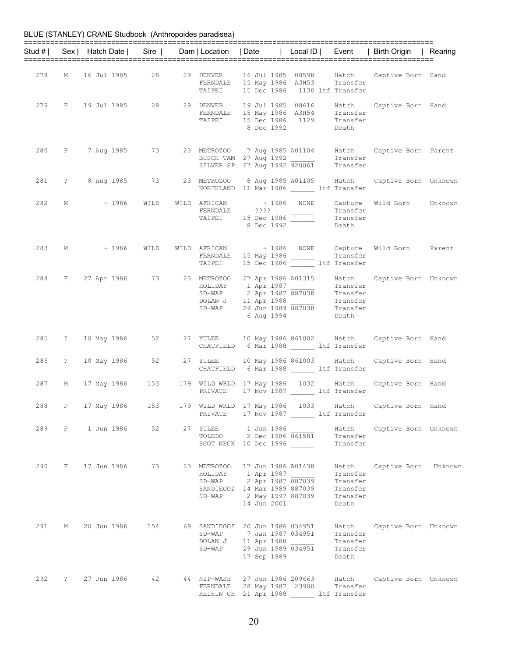|     |       |                       |                       |                                                                                                                            |  |             |                   |                                                       | Stud #   Sex   Hatch Date   Sire   Dam   Location   Date   Local ID   Event   Birth Origin   Rearing                                                                                                                                        |  |
|-----|-------|-----------------------|-----------------------|----------------------------------------------------------------------------------------------------------------------------|--|-------------|-------------------|-------------------------------------------------------|---------------------------------------------------------------------------------------------------------------------------------------------------------------------------------------------------------------------------------------------|--|
|     |       |                       | 278 M 16 Jul 1985 28  | FERNDALE 15 May 1986 A3H53 Transfer<br>TAIPEI 15 Dec 1986 1130 ltf Transfer                                                |  |             |                   |                                                       | 29 DENVER 16 Jul 1985 08598 Hatch Captive Born Hand                                                                                                                                                                                         |  |
|     |       |                       |                       |                                                                                                                            |  |             | 8 Dec 1992 Death  |                                                       | 279 F 19 Jul 1985 28 29 DENVER 19 Jul 1985 08616 Hatch Captive Born Hand<br>FERNDALE 15 May 1986 A3H54 Transfer<br>TAIPEI 15 Dec 1986 1129 Transfer                                                                                         |  |
|     |       |                       |                       | BUSCH TAM 27 Aug 1992 Transfer<br>SILVER SP 27 Aug 1992 920061 Transfer                                                    |  |             |                   |                                                       | 280 F 7 Aug 1985 73 23 METROZOO 7 Aug 1985 A01104 Hatch Captive Born Parent                                                                                                                                                                 |  |
|     |       |                       |                       | NORTHLAND 11 Mar 1986 ltf Transfer                                                                                         |  |             |                   |                                                       | 281 ? 8 Aug 1985 73 23 METROZOO 8 Aug 1985 A01105 Hatch Captive Born Unknown                                                                                                                                                                |  |
|     |       |                       |                       |                                                                                                                            |  | 8 Dec 1992  |                   | Death                                                 | 282 M ~ 1986 WILD WILD AFRICAN ~ 1986 NONE Capture Wild Born Unknown<br>FERNDALE ???? Transfer Transfer Transfer Transfer Transfer<br>Contract of Dec 1986 Transfer Transfer                                                                |  |
|     |       | 283 M ~ 1986 WILD     |                       |                                                                                                                            |  |             |                   |                                                       | WILD AFRICAN ~ 1986 NONE Capture Wild Born Parent<br>FERNDALE 15 May 1986 1986 Transfer<br>TAIPEI 15 Dec 1986 11 Transfer                                                                                                                   |  |
|     |       |                       |                       |                                                                                                                            |  |             | 6 Aug 1994        | Death                                                 | 284 F 27 Apr 1986 73 23 METROZOO 27 Apr 1986 A01315 Hatch Captive Born Unknown<br>HOLIDAY 1 Apr 1987 Transfer<br>SD-WAP 2 Apr 1987 887038 Transfer<br>SD-WAP 29 Jun 1988 2010<br>29 Jun 1989 887038 Transfer<br>Transfer<br>Transfer<br>SD- |  |
|     |       |                       |                       | CHATFIELD 6 Mar 1988 ltf Transfer                                                                                          |  |             |                   |                                                       | 285 ? 10 May 1986 52 27 YULEE 10 May 1986 861002 Hatch Captive Born Hand                                                                                                                                                                    |  |
|     | 286 ? |                       |                       | CHATFIELD 6 Mar 1988 ______ ltf Transfer                                                                                   |  |             |                   |                                                       | 10 May 1986 52 27 YULEE 10 May 1986 861003 Hatch Captive Born Hand                                                                                                                                                                          |  |
|     |       |                       | 287 M 17 May 1986 153 | PRIVATE 17 Nov 1987 ltf Transfer                                                                                           |  |             |                   |                                                       | 179 WILD WRLD 17 May 1986 1032 Hatch Captive Born Hand                                                                                                                                                                                      |  |
| 288 |       |                       |                       | PRIVATE 17 Nov 1987 ______ ltf Transfer                                                                                    |  |             |                   |                                                       | F 17 May 1986 153 179 WILD WRLD 17 May 1986 1033 Hatch Captive Born Hand                                                                                                                                                                    |  |
|     |       | 289 F 1 Jun 1986 52   |                       | 27 YULEE 1 Jun 1986<br>TOLEDO<br>SCOT NECK 10 Dec 1996                                                                     |  |             | 2 Dec 1986 861581 | Transfer<br>Transfer                                  | Hatch Captive Born Unknown                                                                                                                                                                                                                  |  |
| 290 |       | F 17 Jun 1986         | 73                    | 23 METROZOO 17 Jun 1986 A01438<br>HOLIDAY 1 Apr 1987<br>SD-WAP 2 Apr 1987 887039<br>SANDIEGOZ 14 Mar 1989 887039<br>SD-WAP |  | 14 Jun 2001 | 2 May 1997 887039 | Transfer<br>Transfer<br>Transfer<br>Transfer<br>Death | Hatch Captive Born Unknown                                                                                                                                                                                                                  |  |
|     |       | 291 M 20 Jun 1986 154 |                       | 69 SANDIEGOZ 20 Jun 1986 034951<br>SD-WAP 7 Jan 1987 034951<br>DOLAN J 11 Apr 1988<br>SD-WAP 29 Jun 1989 034951            |  | 17 Sep 1989 |                   | Transfer<br>Transfer<br>Transfer<br>Death             | Hatch Captive Born Unknown                                                                                                                                                                                                                  |  |
|     |       | 292 ? 27 Jun 1986     | 42                    | FERNDALE 28 May 1987 23900 Transfer<br>KEIHIN CH 21 Apr 1988 ltf Transfer                                                  |  |             |                   |                                                       | 44 NZP-WASH 27 Jun 1986 209663 Hatch Captive Born Unknown                                                                                                                                                                                   |  |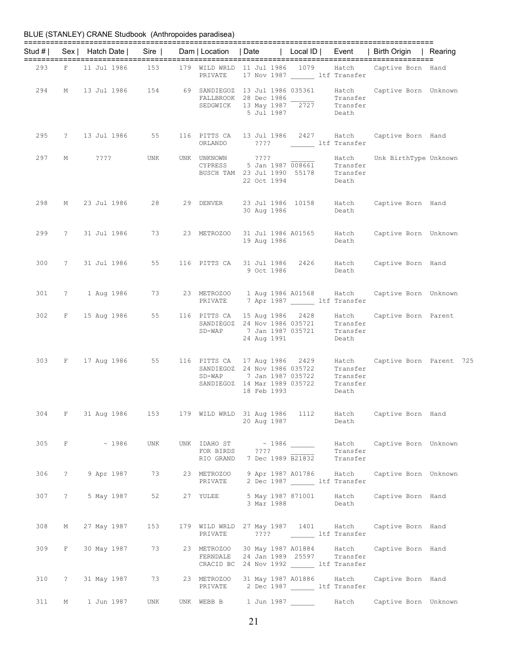|          |              | BLUE (STANLEY) CRANE Studbook (Anthropoides paradisea) |        |                                                                                        |                                                                       |                   |                                                    |                                                        |         |
|----------|--------------|--------------------------------------------------------|--------|----------------------------------------------------------------------------------------|-----------------------------------------------------------------------|-------------------|----------------------------------------------------|--------------------------------------------------------|---------|
| Stud # I |              | Sex   Hatch Date                                       | $Sire$ | Dam   Location   Date                                                                  |                                                                       | Local $ID \mid$   | Event                                              | Birth Origin                                           | Rearing |
| 293      | F            | 11 Jul 1986                                            | 153    | 179 WILD WRLD 11 Jul 1986 1079<br>PRIVATE                                              |                                                                       |                   | Hatch<br>17 Nov 1987 ______ ltf Transfer           | Captive Born Hand                                      |         |
| 294      | М            | 13 Jul 1986                                            | 154    | 69 SANDIEGOZ 13 Jul 1986 035361<br>FALLBROOK 28 Dec 1986<br>SEDGWICK                   | 13 May 1987<br>5 Jul 1987                                             | 2727              | Hatch<br>Transfer<br>Transfer<br>Death             | Captive Born Unknown                                   |         |
| 295      | $\mathbb{R}$ | 13 Jul 1986                                            | 55     | 116 PITTS CA<br>ORLANDO                                                                | 13 Jul 1986 2427<br>$??\,?\,?$                                        |                   | Hatch<br>ltf Transfer                              | Captive Born Hand                                      |         |
| 297      | М            | $??\,?\,?$                                             | UNK    | UNK UNKNOWN<br>CYPRESS<br>BUSCH TAM 23 Jul 1990 55178                                  | $??\mathord{?}\mathord{?}$<br>22 Oct 1994                             | 5 Jan 1987 008661 | Hatch<br>Transfer<br>Transfer<br>Death             | Unk BirthType Unknown                                  |         |
| 298      | М            | 23 Jul 1986                                            | 28     | 29 DENVER                                                                              | 23 Jul 1986 10158<br>30 Aug 1986                                      |                   | Hatch<br>Death                                     | Captive Born Hand                                      |         |
| 299      | $\tilde{f}$  | 31 Jul 1986                                            | 73     | 23 METROZOO                                                                            | 31 Jul 1986 A01565<br>19 Aug 1986                                     |                   | Hatch<br>Death                                     | Captive Born Unknown                                   |         |
| 300      | $\mathbb{R}$ | 31 Jul 1986                                            | 55     | 116 PITTS CA                                                                           | 31 Jul 1986<br>9 Oct 1986                                             | 2426              | Hatch<br>Death                                     | Captive Born Hand                                      |         |
| 301      | $\tilde{?}$  | 1 Aug 1986                                             | 73     | 23 METROZOO<br>PRIVATE                                                                 |                                                                       | 1 Aug 1986 A01568 | Hatch<br>7 Apr 1987 ltf Transfer                   | Captive Born Unknown                                   |         |
| 302      | F            | 15 Aug 1986                                            | 55     | 116 PITTS CA<br>SANDIEGOZ<br>$SD-WAP$                                                  | 15 Aug 1986<br>24 Nov 1986 035721<br>7 Jan 1987 035721<br>24 Aug 1991 | 2428              | Hatch<br>Transfer<br>Transfer<br>Death             | Captive Born Parent                                    |         |
| 303      | F            | 17 Aug 1986                                            | 55     | 116 PITTS CA<br>SANDIEGOZ 24 Nov 1986 035722<br>$SD-WAP$<br>SANDIEGOZ                  | 17 Aug 1986<br>7 Jan 1987 035722<br>14 Mar 1989 035722<br>18 Feb 1993 | 2429              | Hatch<br>Transfer<br>Transfer<br>Transfer<br>Death | Captive Born Parent 725                                |         |
|          |              | 304 F 31 Aug 1986 153                                  |        |                                                                                        | 20 Aug 1987                                                           |                   | Death                                              | 179 WILD WRLD 31 Aug 1986 1112 Hatch Captive Born Hand |         |
|          |              | 305 F $\sim$ 1986                                      | UNK    | UNK IDAHO ST $\sim$ 1986<br>FOR BIRDS ????<br>RIO GRAND 7 Dec 1989 B21832              |                                                                       |                   | Hatch<br>Transfer<br>Transfer                      | Captive Born Unknown                                   |         |
| 306      |              | ? 9 Apr 1987                                           | 73     | 23 METROZOO 9 Apr 1987 A01786 Hatch<br>PRIVATE 2 Dec 1987 ltf Transfer                 |                                                                       |                   |                                                    | Captive Born Unknown                                   |         |
|          |              | 307 ? 5 May 1987                                       | 52     | 27 YULEE 5 May 1987 871001 Hatch                                                       | 3 Mar 1988                                                            |                   | Death                                              | Captive Born Hand                                      |         |
| 308 M    |              | 27 May 1987 153                                        |        | PRIVATE                                                                                |                                                                       |                   | ???? ltf Transfer                                  | 179 WILD WRLD 27 May 1987 1401 Hatch Captive Born Hand |         |
|          |              | 309 F 30 May 1987                                      | 73     | 23 METROZOO 30 May 1987 A01884 Hatch<br>FERNDALE<br>CRACID BC 24 Nov 1992 ltf Transfer |                                                                       |                   | 24 Jan 1989 25597 Transfer                         | Captive Born Hand                                      |         |
|          |              | 310 ? 31 May 1987                                      | 73     | 23 METROZOO<br>PRIVATE 2 Dec 1987 ________ ltf Transfer                                |                                                                       |                   | 31 May 1987 A01886 Hatch                           | Captive Born Hand                                      |         |
| 311      | М            | 1 Jun 1987                                             | UNK    | UNK WEBB B 1 Jun 1987                                                                  |                                                                       |                   | Hatch                                              | Captive Born Unknown                                   |         |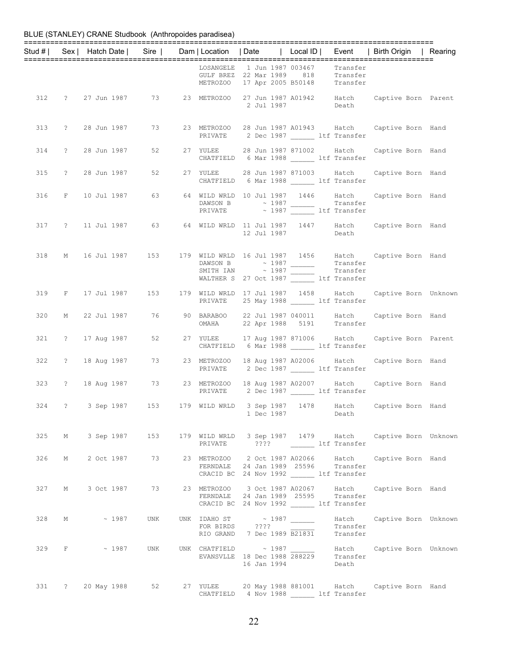|     |                     |                      |  |                                                                                                                                                                                                                                                                 |                  |                      | Stud #   Sex   Hatch Date   Sire   Dam   Location   Date   Local ID   Event   Birth Origin   Rearing |  |
|-----|---------------------|----------------------|--|-----------------------------------------------------------------------------------------------------------------------------------------------------------------------------------------------------------------------------------------------------------------|------------------|----------------------|------------------------------------------------------------------------------------------------------|--|
|     |                     |                      |  | LOSANGELE 1 Jun 1987 003467 Transfer<br>GULF BREZ 22 Mar 1989 818 Transfer<br>METROZOO 17 Apr 2005 B50148 Transfer                                                                                                                                              |                  |                      |                                                                                                      |  |
|     |                     |                      |  |                                                                                                                                                                                                                                                                 |                  |                      | 312 ? 27 Jun 1987 73 23 METROZOO 27 Jun 1987 A01942 Hatch Captive Born Parent 2 Jul 1987 Death       |  |
|     | 313 ? 28 Jun 1987   | 73 — 17              |  | PRIVATE 2 Dec 1987 _______ ltf Transfer                                                                                                                                                                                                                         |                  |                      | 23 METROZOO 28 Jun 1987 A01943 Hatch Captive Born Hand                                               |  |
|     | 314 ? 28 Jun 1987   |                      |  | 27 YULEE 28 Jun 1987 871002 Hatch<br>CHATFIELD 6 Mar 1988 _______ ltf Transfer                                                                                                                                                                                  |                  |                      | Captive Born Hand                                                                                    |  |
|     |                     | 315 ? 28 Jun 1987 52 |  | CHATFIELD 6 Mar 1988 ltf Transfer                                                                                                                                                                                                                               |                  |                      | 27 YULEE 28 Jun 1987 871003 Hatch Captive Born Hand                                                  |  |
|     |                     |                      |  | DAWSON B $\sim$ 1987 Transfer<br>PRIVATE $\sim$ 1987 Transfer<br>Ltf Transfer                                                                                                                                                                                   |                  |                      | 316 F 10 Jul 1987 63 64 WILD WRLD 10 Jul 1987 1446 Hatch Captive Born Hand                           |  |
|     |                     |                      |  | 12 Jul 1987 Death                                                                                                                                                                                                                                               |                  |                      | 317 ? 11 Jul 1987 63 64 WILD WRLD 11 Jul 1987 1447 Hatch Captive Born Hand                           |  |
| 318 |                     |                      |  | $\begin{tabular}{llllll} \texttt{DANSON} & B & $\hspace{0.5mm}\sim$ 1987 & \texttt{ ~~\hspace{0.5mm}^{7}$} \\\texttt{SMITH} & \texttt{IAN} & $\hspace{0.5mm}\sim$ 1987 & \texttt{ ~~\hspace{0.5mm}^{7}$} \\\end{tabular}$<br>WALTHER S 27 Oct 1987 ltf Transfer |                  |                      | M 16 Jul 1987 153 179 WILD WRLD 16 Jul 1987 1456 Hatch Captive Born Hand                             |  |
|     |                     |                      |  | PRIVATE 25 May 1988 ltf Transfer                                                                                                                                                                                                                                |                  |                      | 319 F 17 Jul 1987 153 179 WILD WRLD 17 Jul 1987 1458 Hatch Captive Born Unknown                      |  |
| 320 |                     |                      |  | OMAHA 22 Apr 1988 5191 Transfer                                                                                                                                                                                                                                 |                  |                      | M 22 Jul 1987 76 90 BARABOO 22 Jul 1987 040011 Hatch Captive Born Hand                               |  |
|     | 321 ? 17 Aug 1987   |                      |  | 52 27 YULEE 17 Aug 1987 871006 Hatch<br>CHATFIELD 6 Mar 1988 ltf Transfer                                                                                                                                                                                       |                  |                      | Captive Born Parent                                                                                  |  |
|     |                     |                      |  | 322 ? 18 Aug 1987 73 23 METROZOO 18 Aug 1987 A02006 Hatch<br>PRIVATE 2 Dec 1987 1tf Transfer                                                                                                                                                                    |                  |                      | Captive Born Hand                                                                                    |  |
|     |                     |                      |  | 323 ? 18 Aug 1987 73 23 METROZOO 18 Aug 1987 A02007 Hatch<br>PRIVATE 2 Dec 1987 ltf Transfer                                                                                                                                                                    |                  |                      | Captive Born Hand                                                                                    |  |
|     |                     |                      |  |                                                                                                                                                                                                                                                                 | 1 Dec 1987 Death |                      | 324 ? 3 Sep 1987 153 179 WILD WRLD 3 Sep 1987 1478 Hatch Captive Born Hand                           |  |
|     |                     |                      |  | PRIVATE ???? 1tf Transfer                                                                                                                                                                                                                                       |                  |                      | 325 M 3 Sep 1987 153 179 WILD WRLD 3 Sep 1987 1479 Hatch Captive Born Unknown                        |  |
| 326 |                     |                      |  | M 2 Oct 1987 73 23 METROZOO 2 Oct 1987 A02066 Hatch<br>FERNDALE 24 Jan 1989 25596 Transfer<br>CRACID BC 24 Nov 1992 _______ ltf Transfer                                                                                                                        |                  |                      | Captive Born Hand                                                                                    |  |
|     |                     |                      |  | FERNDALE 24 Jan 1989 25595 Transfer<br>CRACID BC 24 Nov 1992 ________ ltf Transfer                                                                                                                                                                              |                  |                      | 327 M 3 Oct 1987 73 23 METROZOO 3 Oct 1987 A02067 Hatch Captive Born Hand                            |  |
|     | $328$ M $\sim$ 1987 | UNK                  |  | UNK IDAHO ST $\sim$ 1987<br>FOR BIRDS ????<br>RIO GRAND 7 Dec 1989 $\overline{B21831}$                                                                                                                                                                          |                  | Transfer<br>Transfer | Hatch Captive Born Unknown                                                                           |  |
|     | 329 F $\sim$ 1987   | UNK                  |  | 16 Jan 1994                                                                                                                                                                                                                                                     |                  | Death                |                                                                                                      |  |
|     |                     |                      |  | CHATFIELD 4 Nov 1988 ltf Transfer                                                                                                                                                                                                                               |                  |                      | 331 ? 20 May 1988 52 27 YULEE 20 May 1988 881001 Hatch Captive Born Hand                             |  |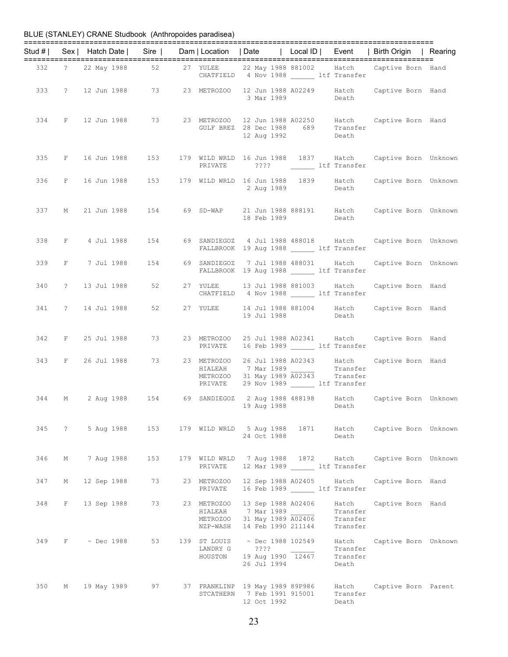|     |                   |  |                  |                        |                                                                                                                                |                               | Stud #   Sex   Hatch Date   Sire   Dam   Location   Date   Local ID   Event   Birth Origin   Rearing |  |
|-----|-------------------|--|------------------|------------------------|--------------------------------------------------------------------------------------------------------------------------------|-------------------------------|------------------------------------------------------------------------------------------------------|--|
|     |                   |  |                  |                        | CHATFIELD 4 Nov 1988 ______ ltf Transfer                                                                                       |                               | 332 ? 22 May 1988 52 27 YULEE 22 May 1988 881002 Hatch Captive Born Hand                             |  |
|     |                   |  |                  |                        | 3 Mar 1989 Death                                                                                                               |                               | 333 ? 12 Jun 1988 73 23 METROZOO 12 Jun 1988 A02249 Hatch Captive Born Hand                          |  |
|     |                   |  |                  |                        | GULF BREZ 28 Dec 1988 689 Transfer<br>12 Aug 1992 Death                                                                        |                               | 334 F 12 Jun 1988 73 23 METROZOO 12 Jun 1988 A02250 Hatch Captive Born Hand                          |  |
|     |                   |  |                  |                        | PRIVATE ???? ltf Transfer                                                                                                      |                               | 335 F 16 Jun 1988 153 179 WILD WRLD 16 Jun 1988 1837 Hatch Captive Born Unknown                      |  |
|     |                   |  |                  |                        | 2 Aug 1989 Death                                                                                                               |                               | 336 F 16 Jun 1988 153 179 WILD WRLD 16 Jun 1988 1839 Hatch Captive Born Unknown                      |  |
|     |                   |  |                  |                        | 18 Feb 1989 Death                                                                                                              |                               | 337 M 21 Jun 1988 154 69 SD-WAP 21 Jun 1988 888191 Hatch Captive Born Unknown                        |  |
|     |                   |  |                  |                        | FALLBROOK 19 Aug 1988 ______ ltf Transfer                                                                                      |                               | 338 F 4 Jul 1988 154 69 SANDIEGOZ 4 Jul 1988 488018 Hatch Captive Born Unknown                       |  |
|     |                   |  |                  |                        | FALLBROOK 19 Aug 1988 ltf Transfer                                                                                             |                               | 339 F 7 Jul 1988 154 69 SANDIEGOZ 7 Jul 1988 488031 Hatch Captive Born Unknown                       |  |
|     |                   |  |                  |                        | CHATFIELD 4 Nov 1988 ltf Transfer                                                                                              |                               | 340 ? 13 Jul 1988 52 27 YULEE 13 Jul 1988 881003 Hatch Captive Born Hand                             |  |
|     |                   |  |                  |                        | 19 Jul 1988                                                                                                                    | Death                         | 341 ? 14 Jul 1988 52 27 YULEE 14 Jul 1988 881004 Hatch Captive Born Hand                             |  |
|     |                   |  |                  |                        | PRIVATE 16 Feb 1989 ltf Transfer                                                                                               |                               | 342 F 25 Jul 1988 73 23 METROZOO 25 Jul 1988 A02341 Hatch Captive Born Hand                          |  |
|     |                   |  |                  |                        | HIALEAH 7 Mar 1989<br>METROZOO 31 May 1989 A02343 Transfer<br>PRIVATE 29 Nov 1989 ltf Transfer                                 |                               | 343 F 26 Jul 1988 73 23 METROZOO 26 Jul 1988 A02343 Hatch Captive Born Hand                          |  |
|     |                   |  |                  |                        | 19 Aug 1988 Death                                                                                                              |                               | 344 M 2 Aug 1988 154 69 SANDIEGOZ 2 Aug 1988 488198 Hatch Captive Born Unknown                       |  |
|     |                   |  |                  |                        | 24 Oct 1988                                                                                                                    | Death                         | 345 ? 5 Aug 1988 153 179 WILD WRLD 5 Aug 1988 1871 Hatch Captive Born Unknown                        |  |
| 346 |                   |  | M 7 Aug 1988 153 | PRIVATE                | 12 Mar 1989 ltf Transfer                                                                                                       |                               | 179 WILD WRLD 7 Aug 1988 1872 Hatch Captive Born Unknown                                             |  |
| 347 | M                 |  | 12 Sep 1988 73   | 23 METROZOO<br>PRIVATE | 12 Sep 1988 A02405 Hatch<br>16 Feb 1989 ltf Transfer                                                                           |                               | Captive Born Hand                                                                                    |  |
|     | 348 F 13 Sep 1988 |  |                  | METROZOO               | 73 23 METROZOO 13 Sep 1988 A02406<br>HIALEAH 7 Mar 1989<br>31 May 1989 A02406 Transfer<br>NZP-WASH 14 Feb 1990 211144 Transfer | Hatch<br>Transfer             | Captive Born Hand                                                                                    |  |
|     | 349 F ~ Dec 1988  |  | 53               | LANDRY G               | ? ? ? ?<br>HOUSTON 19 Aug 1990 12467<br>26 Jul 1994                                                                            | Transfer<br>Transfer<br>Death | 139 ST LOUIS ~ Dec 1988 102549 Hatch Captive Born Unknown                                            |  |
| 350 |                   |  |                  |                        | STCATHERN 7 Feb 1991 915001<br>12 Oct 1992                                                                                     | Transfer<br>Death             | Hatch Captive Born Parent                                                                            |  |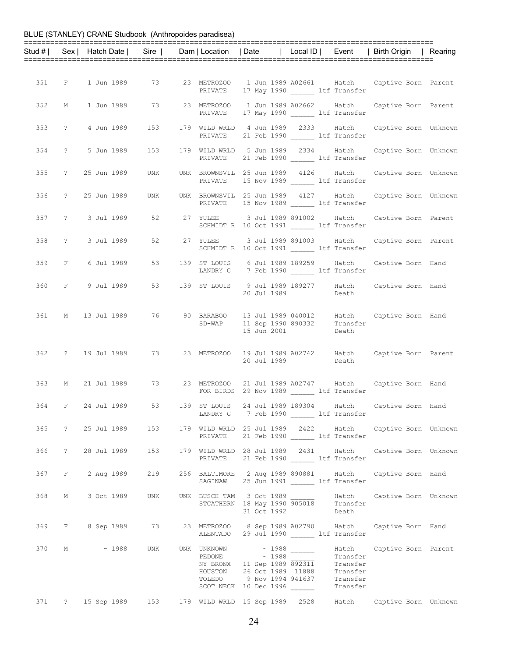|     |                   |  |                              |             |                                                                          |              |                      | Stud #   Sex   Hatch Date   Sire   Dam   Location   Date   Local ID   Event   Birth Origin   Rearing |  |
|-----|-------------------|--|------------------------------|-------------|--------------------------------------------------------------------------|--------------|----------------------|------------------------------------------------------------------------------------------------------|--|
|     |                   |  |                              |             |                                                                          |              |                      |                                                                                                      |  |
|     |                   |  |                              |             |                                                                          |              |                      |                                                                                                      |  |
|     |                   |  |                              |             |                                                                          |              |                      | 351 F 1 Jun 1989 73 23 METROZOO 1 Jun 1989 A02661 Hatch Captive Born Parent                          |  |
|     |                   |  |                              | PRIVATE     | 17 May 1990 ______ ltf Transfer                                          |              |                      |                                                                                                      |  |
| 352 |                   |  |                              |             | M 1 Jun 1989 73 23 METROZOO 1 Jun 1989 A02662 Hatch                      |              |                      | Captive Born Parent                                                                                  |  |
|     |                   |  |                              |             | PRIVATE 17 May 1990 ltf Transfer                                         |              |                      |                                                                                                      |  |
|     | 353 ? 4 Jun 1989  |  | 153                          |             | 179 WILD WRLD 4 Jun 1989 2333 Hatch                                      |              |                      | Captive Born Unknown                                                                                 |  |
|     |                   |  |                              | PRIVATE     | 21 Feb 1990 ltf Transfer                                                 |              |                      |                                                                                                      |  |
|     |                   |  | 354 ? 5 Jun 1989 153         |             | 179 WILD WRLD 5 Jun 1989 2334 Hatch                                      |              |                      | Captive Born Unknown                                                                                 |  |
|     |                   |  |                              |             | PRIVATE 21 Feb 1990 ltf Transfer                                         |              |                      |                                                                                                      |  |
|     |                   |  | 355 ? 25 Jun 1989 UNK        |             |                                                                          |              |                      | UNK BROWNSVIL 25 Jun 1989 4126 Hatch Captive Born Unknown                                            |  |
|     |                   |  |                              |             | PRIVATE 15 Nov 1989 ltf Transfer                                         |              |                      |                                                                                                      |  |
|     | 356 ? 25 Jun 1989 |  | UNK                          |             | UNK BROWNSVIL 25 Jun 1989 4127 Hatch                                     |              |                      | Captive Born Unknown                                                                                 |  |
|     |                   |  |                              |             | PRIVATE 15 Nov 1989 1tf Transfer                                         |              |                      |                                                                                                      |  |
|     | 357 ? 3 Jul 1989  |  | 52 3                         |             | 27 YULEE 3 Jul 1989 891002 Hatch                                         |              |                      | Captive Born Parent                                                                                  |  |
|     |                   |  |                              |             | SCHMIDT R 10 Oct 1991 ltf Transfer                                       |              |                      |                                                                                                      |  |
|     |                   |  |                              | 52 27 YULEE |                                                                          |              |                      |                                                                                                      |  |
|     | 358 ? 3 Jul 1989  |  |                              |             | 3 Jul 1989 891003 Hatch<br>SCHMIDT R 10 Oct 1991 ________ ltf Transfer   |              |                      | Captive Born Parent                                                                                  |  |
|     |                   |  |                              |             |                                                                          |              |                      |                                                                                                      |  |
|     |                   |  | 359 F 6 Jul 1989 53          |             | 139 ST LOUIS 6 Jul 1989 189259 Hatch<br>LANDRY G 7 Feb 1990 ltf Transfer |              |                      | Captive Born Hand                                                                                    |  |
|     |                   |  |                              |             |                                                                          |              |                      |                                                                                                      |  |
|     |                   |  |                              |             | 20 Jul 1989                                                              | Death Death  |                      | 360 F 9 Jul 1989 53 139 ST LOUIS 9 Jul 1989 189277 Hatch Captive Born Hand                           |  |
|     |                   |  |                              |             |                                                                          |              |                      |                                                                                                      |  |
|     |                   |  |                              |             |                                                                          |              |                      |                                                                                                      |  |
|     |                   |  |                              |             | SD-WAP 11 Sep 1990 890332 Transfer                                       |              |                      | 361 M 13 Jul 1989 76 90 BARABOO 13 Jul 1989 040012 Hatch Captive Born Hand                           |  |
|     |                   |  |                              |             | 15 Jun 2001                                                              |              | Death                |                                                                                                      |  |
|     |                   |  |                              |             |                                                                          |              |                      |                                                                                                      |  |
|     |                   |  |                              |             |                                                                          |              |                      | 362 ? 19 Jul 1989 73 23 METROZOO 19 Jul 1989 A02742 Hatch Captive Born Parent                        |  |
|     |                   |  |                              |             | 20 Jul 1989                                                              |              | Death                |                                                                                                      |  |
|     |                   |  |                              |             |                                                                          |              |                      |                                                                                                      |  |
| 363 |                   |  | M 21 Jul 1989 73 23 METROZOO |             | FOR BIRDS 29 Nov 1989 ______ ltf Transfer                                |              |                      | 21 Jul 1989 A02747 Hatch Captive Born Hand                                                           |  |
|     |                   |  |                              |             |                                                                          |              |                      |                                                                                                      |  |
|     |                   |  |                              |             | 7 Feb 1990 ltf Transfer                                                  |              |                      | 364 F 24 Jul 1989 53 139 ST LOUIS 24 Jul 1989 189304 Hatch Captive Born Hand                         |  |
|     |                   |  |                              | LANDRY G    |                                                                          |              |                      |                                                                                                      |  |
|     |                   |  | 365 ? 25 Jul 1989 153        |             |                                                                          |              |                      | 179 WILD WRLD 25 Jul 1989 2422 Hatch Captive Born Unknown                                            |  |
|     |                   |  |                              | PRIVATE     | 21 Feb 1990 ______ ltf Transfer                                          |              |                      |                                                                                                      |  |
| 366 |                   |  | ? 28 Jul 1989 153            |             | 179 WILD WRLD 28 Jul 1989 2431 Hatch                                     |              |                      | Captive Born Unknown                                                                                 |  |
|     |                   |  |                              |             | PRIVATE 21 Feb 1990 LLE Transfer                                         |              |                      |                                                                                                      |  |
| 367 |                   |  | F 2 Aug 1989 219             |             | 256 BALTIMORE 2 Aug 1989 890881 Hatch                                    |              |                      | Captive Born Hand                                                                                    |  |
|     |                   |  |                              |             | SAGINAW 25 Jun 1991 ltf Transfer                                         |              |                      |                                                                                                      |  |
|     |                   |  | 368 M 3 Oct 1989 UNK         |             |                                                                          |              |                      | UNK BUSCH TAM 3 Oct 1989 195018 Hatch Captive Born Unknown<br>STCATHERN 18 May 1990 905018 Transfer  |  |
|     |                   |  |                              |             |                                                                          |              |                      |                                                                                                      |  |
|     |                   |  |                              |             | 31 Oct 1992                                                              | <b>Death</b> |                      |                                                                                                      |  |
|     |                   |  |                              |             |                                                                          |              |                      | 369 F 8 Sep 1989 73 23 METROZOO 8 Sep 1989 A02790 Hatch Captive Born Hand                            |  |
|     |                   |  |                              |             | ALENTADO 29 Jul 1990 ltf Transfer                                        |              |                      |                                                                                                      |  |
| 370 |                   |  | M ~ 1988 UNK                 | UNK UNKNOWN | $\sim$ 1988                                                              |              | Hatch                | Captive Born Parent                                                                                  |  |
|     |                   |  |                              |             | PEDONE $\sim$ 1988<br>NY BRONX 11 Sep 1989 $\frac{25}{892311}$           |              | Transfer<br>Transfer |                                                                                                      |  |
|     |                   |  |                              |             | HOUSTON 26 Oct 1989 11888 Transfer<br>TOLEDO 9 Nov 1994 941637 Transfer  |              |                      |                                                                                                      |  |
|     |                   |  |                              |             | SCOT NECK 10 Dec 1996                                                    |              | Transfer             |                                                                                                      |  |
|     |                   |  |                              |             |                                                                          |              |                      |                                                                                                      |  |
|     |                   |  |                              |             | 371 ? 15 Sep 1989 153 179 WILD WRLD 15 Sep 1989 2528                     |              | Hatch                | Captive Born Unknown                                                                                 |  |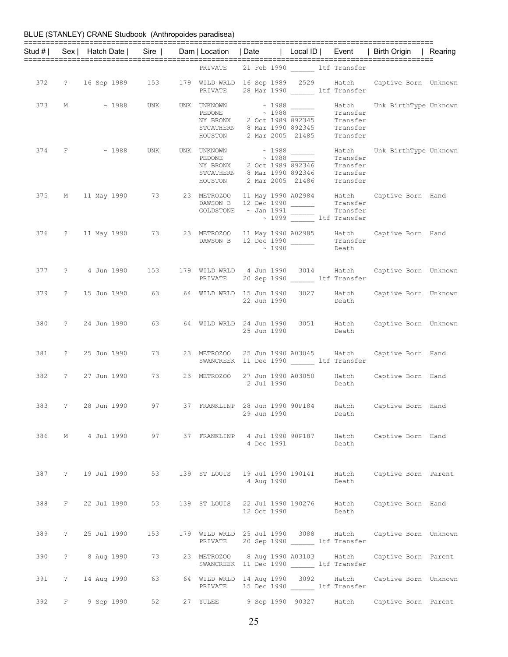|     |   |                   |                 |         |             |                                                                                                                                                                                                         |             |                          | Stud #   Sex   Hatch Date   Sire   Dam   Location   Date   Local ID   Event   Birth Origin   Rearing |  |
|-----|---|-------------------|-----------------|---------|-------------|---------------------------------------------------------------------------------------------------------------------------------------------------------------------------------------------------------|-------------|--------------------------|------------------------------------------------------------------------------------------------------|--|
|     |   |                   |                 |         |             | PRIVATE 21 Feb 1990 ltf Transfer                                                                                                                                                                        |             |                          |                                                                                                      |  |
|     |   |                   |                 |         |             | PRIVATE 28 Mar 1990 LLE Transfer                                                                                                                                                                        |             |                          | 372 ? 16 Sep 1989 153 179 WILD WRLD 16 Sep 1989 2529 Hatch Captive Born Unknown                      |  |
| 373 |   |                   | M ~ 1988 UNK    |         |             | UNK UNKNOWN ~ 1988 ______<br>PEDONE $\sim$ 1988 Transfer<br>NY BRONX 2 Oct 1989 892345 Transfer<br>STCATHERN 8 Mar 1990 892345 Transfer<br>HOUSTON 2 Mar 2005 21485 Transfer                            |             | Transfer                 | Hatch Unk BirthType Unknown                                                                          |  |
|     |   |                   |                 |         |             | 374 F $\sim$ 1988 UNK UNK UNKNOWN $\sim$ 1988 ______<br>PEDONE $\sim$ 1988 Transfer<br>NY BRONX 2 Oct 1989 892346 Transfer<br>STCATHERN 8 Mar 1990 892346 Transfer<br>HOUSTON 2 Mar 2005 21486 Transfer |             |                          | Hatch Unk BirthType Unknown                                                                          |  |
|     |   |                   |                 |         |             | DAWSON B 12 Dec 1990<br>COLDSTONE ~ Jan 1991 Transfer<br>GOLDSTONE ~ Jan 1991 ______                                                                                                                    |             | $\sim$ 1999 1tf Transfer | 375 M 11 May 1990 73 23 METROZOO 11 May 1990 A02984 Hatch Captive Born Hand                          |  |
|     |   |                   |                 |         |             | DAWSON B 12 Dec 1990                                                                                                                                                                                    | $\sim$ 1990 | Transfer<br>Death        | 376 ? 11 May 1990 73 23 METROZOO 11 May 1990 A02985 Hatch Captive Born Hand                          |  |
|     |   |                   |                 |         | PRIVATE     | 20 Sep 1990 ltf Transfer                                                                                                                                                                                |             |                          | 377 ? 4 Jun 1990 153 179 WILD WRLD 4 Jun 1990 3014 Hatch Captive Born Unknown                        |  |
|     |   |                   |                 |         |             | 22 Jun 1990                                                                                                                                                                                             |             | Death                    | 379 ? 15 Jun 1990 63 64 WILD WRLD 15 Jun 1990 3027 Hatch Captive Born Unknown                        |  |
|     |   |                   |                 |         |             | 25 Jun 1990                                                                                                                                                                                             |             | Death                    | 380 ? 24 Jun 1990 63 64 WILD WRLD 24 Jun 1990 3051 Hatch Captive Born Unknown                        |  |
|     |   | 381 ? 25 Jun 1990 |                 | 73 — 17 | 23 METROZOO | SWANCREEK 11 Dec 1990 ltf Transfer                                                                                                                                                                      |             |                          | 25 Jun 1990 A03045 Hatch Captive Born Hand                                                           |  |
|     |   | 382 ? 27 Jun 1990 |                 | 73 — 17 |             | 23 METROZOO 27 Jun 1990 A03050 Hatch<br>2 Jul 1990                                                                                                                                                      | Death       |                          | Captive Born Hand                                                                                    |  |
|     |   |                   |                 |         |             | 29 Jun 1990                                                                                                                                                                                             |             | Death                    | 383 ? 28 Jun 1990 97 37 FRANKLINP 28 Jun 1990 90P184 Hatch Captive Born Hand                         |  |
|     |   |                   |                 |         |             | 4 Dec 1991                                                                                                                                                                                              |             | Death                    | 386 M 4 Jul 1990 97 37 FRANKLINP 4 Jul 1990 90P187 Hatch Captive Born Hand                           |  |
| 387 |   | ? 19 Jul 1990     |                 | 53      |             | 4 Aug 1990                                                                                                                                                                                              |             | Death                    | 139 ST LOUIS 19 Jul 1990 190141 Hatch Captive Born Parent                                            |  |
| 388 |   | F 22 Jul 1990     |                 | 53      |             | 12 Oct 1990                                                                                                                                                                                             |             | Death                    | 139 ST LOUIS 22 Jul 1990 190276 Hatch Captive Born Hand                                              |  |
| 389 |   | ? 25 Jul 1990     | 153             |         | PRIVATE     | 20 Sep 1990 _______ ltf Transfer                                                                                                                                                                        |             |                          | 179 WILD WRLD 25 Jul 1990 3088 Hatch Captive Born Unknown                                            |  |
| 390 |   |                   | ? 8 Aug 1990 73 |         |             | 23 METROZOO 8 Aug 1990 A03103 Hatch<br>SWANCREEK 11 Dec 1990 ltf Transfer                                                                                                                               |             |                          | Captive Born Parent                                                                                  |  |
| 391 |   | ? 14 Aug 1990     |                 | 63      | PRIVATE     | 64 WILD WRLD 14 Aug 1990 3092 Hatch<br>15 Dec 1990 ______ ltf Transfer                                                                                                                                  |             |                          | Captive Born Unknown                                                                                 |  |
| 392 | F | 9 Sep 1990        | 52              |         | 27 YULEE    | 9 Sep 1990 90327                                                                                                                                                                                        |             | Hatch                    | Captive Born Parent                                                                                  |  |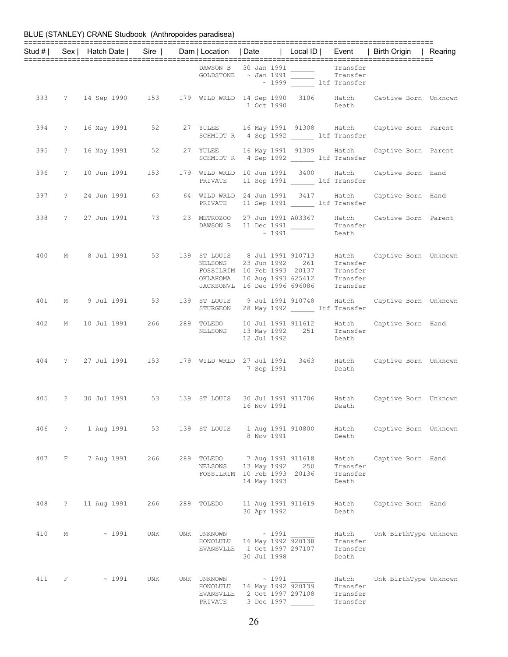|     |             |                                                      |     |                                                 |                                                                                                                                              |     |                                           | Stud #   Sex   Hatch Date   Sire   Dam   Location   Date   Local ID   Event   Birth Origin   Rearing |  |
|-----|-------------|------------------------------------------------------|-----|-------------------------------------------------|----------------------------------------------------------------------------------------------------------------------------------------------|-----|-------------------------------------------|------------------------------------------------------------------------------------------------------|--|
|     |             |                                                      |     |                                                 | DAWSON B 30 Jan 1991 Transfer<br>GOLDSTONE ~ Jan 1991 Transfer<br>~ 1999 Transfer<br>1tf Transfer                                            |     |                                           |                                                                                                      |  |
|     |             |                                                      |     |                                                 |                                                                                                                                              |     |                                           | 393 ? 14 Sep 1990 153 179 WILD WRLD 14 Sep 1990 3106 Hatch Captive Born Unknown<br>1 Oct 1990 Death  |  |
|     |             |                                                      |     |                                                 | SCHMIDT R 4 Sep 1992 ltf Transfer                                                                                                            |     |                                           | 394 ? 16 May 1991 52 27 YULEE 16 May 1991 91308 Hatch Captive Born Parent                            |  |
| 395 |             |                                                      |     |                                                 | SCHMIDT R 4 Sep 1992 ______ ltf Transfer                                                                                                     |     |                                           | ? 16 May 1991 52 27 YULEE 16 May 1991 91309 Hatch Captive Born Parent                                |  |
| 396 |             | ? 10 Jun 1991 153                                    |     | PRIVATE                                         | 11 Sep 1991 ltf Transfer                                                                                                                     |     |                                           | 179 WILD WRLD 10 Jun 1991 3400 Hatch Captive Born Hand                                               |  |
| 397 |             | ? 24 Jun 1991 63 64 WILD WRLD 24 Jun 1991 3417 Hatch |     | PRIVATE                                         | 11 Sep 1991 ltf Transfer                                                                                                                     |     |                                           | Captive Born Hand                                                                                    |  |
| 398 |             |                                                      |     |                                                 | METROZOO 21 Juli 1991<br>DAWSON B 11 Dec 1991 ________ Transt<br>$\therefore$ 1991 _____ Death                                               |     | Transfer                                  | ? 27 Jun 1991 73 23 METROZOO 27 Jun 1991 A03367 Hatch Captive Born Parent                            |  |
| 400 |             |                                                      |     |                                                 | NELSONS 23 Jun 1992<br>FOSSILRIM 10 Feb 1993 20137 Transfer<br>OKLAHOMA 10 Aug 1993 625412 Transfer<br>JACKSONVL 16 Dec 1996 696086 Transfer |     | 261 Transfer                              | M 8 Jul 1991 53 139 ST LOUIS 8 Jul 1991 910713 Hatch Captive Born Unknown                            |  |
|     |             |                                                      |     |                                                 | STURGEON 28 May 1992 ______ ltf Transfer                                                                                                     |     |                                           | 401 M 9 Jul 1991 53 139 ST LOUIS 9 Jul 1991 910748 Hatch Captive Born Unknown                        |  |
| 402 |             |                                                      |     |                                                 | NELSONS 13 May 1992 251 Transfer<br>12 Jul 1992                                                                                              |     | Death                                     | M 10 Jul 1991 266 289 TOLEDO 10 Jul 1991 911612 Hatch Captive Born Hand                              |  |
|     |             |                                                      |     |                                                 | 7 Sep 1991                                                                                                                                   |     | Death                                     | 404 ? 27 Jul 1991 153 179 WILD WRLD 27 Jul 1991 3463 Hatch Captive Born Unknown                      |  |
| 405 |             |                                                      |     |                                                 | 16 Nov 1991                                                                                                                                  |     | Death                                     | ? 30 Jul 1991 53 139 ST LOUIS 30 Jul 1991 911706 Hatch Captive Born Unknown                          |  |
| 406 |             | ? 1 Aug 1991                                         | 53  | 139 ST LOUIS                                    | 1 Aug 1991 910800<br>8 Nov 1991                                                                                                              |     | Hatch<br>Death                            | Captive Born Unknown                                                                                 |  |
| 407 | F           | 7 Aug 1991                                           | 266 | 289 TOLEDO<br>NELSONS                           | 7 Aug 1991 911618<br>13 May 1992<br>FOSSILRIM 10 Feb 1993 20136<br>14 May 1993                                                               | 250 | Hatch<br>Transfer<br>Transfer<br>Death    | Captive Born Hand                                                                                    |  |
| 408 | $\tilde{E}$ | 11 Aug 1991                                          | 266 | 289 TOLEDO                                      | 11 Aug 1991 911619<br>30 Apr 1992                                                                                                            |     | Hatch<br>Death                            | Captive Born Hand                                                                                    |  |
| 410 | М           | $~\sim~1991$                                         | UNK | UNK UNKNOWN<br>HONOLULU<br>EVANSVLLE            | $\sim$ 1991<br>16 May 1992 920138<br>1 Oct 1997 297107<br>30 Jul 1998                                                                        |     | Hatch<br>Transfer<br>Transfer<br>Death    | Unk BirthType Unknown                                                                                |  |
| 411 | F           | $\sim$ 1991                                          | UNK | UNK UNKNOWN<br>HONOLULU<br>EVANSVLLE<br>PRIVATE | ~1991<br>16 May 1992 920139<br>2 Oct 1997 297108<br>3 Dec 1997                                                                               |     | Hatch<br>Transfer<br>Transfer<br>Transfer | Unk BirthType Unknown                                                                                |  |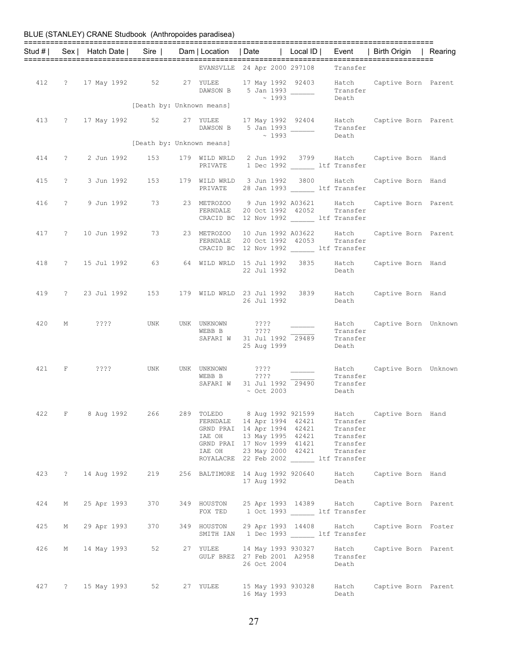|          |              | BLUE (STANLEY) CRANE Studbook (Anthropoides paradisea)     |                           |                                   |                                                                                                                                                                                                                                                       |                         |                                        |                                                                           |         |
|----------|--------------|------------------------------------------------------------|---------------------------|-----------------------------------|-------------------------------------------------------------------------------------------------------------------------------------------------------------------------------------------------------------------------------------------------------|-------------------------|----------------------------------------|---------------------------------------------------------------------------|---------|
| Stud # I |              | Sex   Hatch Date   Sire   Dam   Location   Date   Local ID |                           |                                   |                                                                                                                                                                                                                                                       |                         |                                        | Event   Birth Origin                                                      | Rearing |
|          |              |                                                            |                           |                                   | EVANSVLLE 24 Apr 2000 297108                                                                                                                                                                                                                          |                         | Transfer                               |                                                                           |         |
| 412      |              | ? 17 May 1992 52                                           |                           | DAWSON B                          | 5 Jan 1993<br>$\sim 1993$                                                                                                                                                                                                                             |                         | Transfer<br>Death                      | 27 YULEE 17 May 1992 92403 Hatch Captive Born Parent                      |         |
|          |              |                                                            | [Death by: Unknown means] |                                   |                                                                                                                                                                                                                                                       |                         |                                        |                                                                           |         |
| 413      |              | ? 17 May 1992 52 27 YULEE                                  |                           | DAWSON B                          | 5 Jan 1993<br>$\sim 1993$                                                                                                                                                                                                                             |                         | Transfer<br>Death                      | 17 May 1992 92404 Hatch Captive Born Parent                               |         |
|          |              |                                                            | [Death by: Unknown means] |                                   |                                                                                                                                                                                                                                                       |                         |                                        |                                                                           |         |
| 414      | $\mathbb{R}$ | 2 Jun 1992 153                                             |                           | 179 WILD WRLD<br>PRIVATE          |                                                                                                                                                                                                                                                       | 1 Dec 1992 ltf Transfer |                                        | 2 Jun 1992 3799 Hatch Captive Born Hand                                   |         |
| 415      |              | ? 3 Jun 1992 153                                           |                           | PRIVATE                           | 179 WILD WRLD 3 Jun 1992 3800 Hatch<br>28 Jan 1993 ______ ltf Transfer                                                                                                                                                                                |                         |                                        | Captive Born Hand                                                         |         |
| 416      |              | ? 9 Jun 1992 73 23 METROZOO 9 Jun 1992 A03621 Hatch        |                           | FERNDALE                          | 20 Oct 1992 42052<br>CRACID BC 12 Nov 1992 _______ ltf Transfer                                                                                                                                                                                       |                         | Transfer                               | Captive Born Parent                                                       |         |
| 417      |              | ? 10 Jun 1992                                              | 73                        | 23 METROZOO<br>FERNDALE           | 10 Jun 1992 A03622<br>20 Oct 1992 42053<br>CRACID BC 12 Nov 1992 _______ ltf Transfer                                                                                                                                                                 |                         | Hatch<br>Transfer                      | Captive Born Parent                                                       |         |
| 418      |              | ? 15 Jul 1992                                              | 63                        |                                   | 22 Jul 1992                                                                                                                                                                                                                                           | 3835                    | Hatch<br>Death                         | Captive Born Hand                                                         |         |
| 419      |              | ? 23 Jul 1992 153                                          |                           |                                   | 179 WILD WRLD 23 Jul 1992<br>26 Jul 1992                                                                                                                                                                                                              | 3839                    | Death                                  | Hatch Captive Born Hand                                                   |         |
| 420      | М            | 2222                                                       | <b>UNK</b>                | UNK UNKNOWN<br>WEBB B<br>SAFARI W | 2222<br>$??\mathbf{??}$<br>31 Jul 1992 29489<br>25 Aug 1999                                                                                                                                                                                           |                         | Hatch<br>Transfer<br>Transfer<br>Death | Captive Born Unknown                                                      |         |
| 421      | F            | ????                                                       | UNK                       | UNK UNKNOWN<br>WEBB B<br>SAFARI W | ????<br>????<br>31 Jul 1992 29490<br>$\sim$ Oct 2003                                                                                                                                                                                                  |                         | Transfer<br>Transfer<br>Death          | Hatch Captive Born Unknown                                                |         |
|          |              |                                                            |                           |                                   | FERNDALE 14 Apr 1994 42421 Transfer<br>GRND PRAI 14 Apr 1994 42421 Transfer<br>IAE OH    13 May 1995    42421    Transfer<br>GRND PRAI    17 Nov 1999    41421    Transfer<br>IAE OH 23 May 2000 42421 Transfer<br>ROYALACRE 22 Feb 2002 ltf Transfer |                         |                                        | 422 F 8 Aug 1992 266 289 TOLEDO 8 Aug 1992 921599 Hatch Captive Born Hand |         |
|          |              | 423 ? 14 Aug 1992                                          |                           |                                   | 17 Aug 1992                                                                                                                                                                                                                                           |                         | Death                                  | 219 256 BALTIMORE 14 Aug 1992 920640 Hatch Captive Born Hand              |         |
| 424      |              | M 25 Apr 1993                                              | 370                       |                                   | FOX TED 1 Oct 1993 ________ ltf Transfer                                                                                                                                                                                                              |                         |                                        | 349 HOUSTON 25 Apr 1993 14389 Hatch Captive Born Parent                   |         |
| 425      |              | M 29 Apr 1993 370                                          |                           |                                   | SMITH IAN 1 Dec 1993 ltf Transfer                                                                                                                                                                                                                     |                         |                                        | 349 HOUSTON 29 Apr 1993 14408 Hatch Captive Born Foster                   |         |
| 426      |              | M 14 May 1993                                              | 52                        |                                   | 27 YULEE 14 May 1993 930327<br>GULF BREZ 27 Feb 2001 A2958 Transfer<br>26 Oct 2004                                                                                                                                                                    |                         | Death                                  | Hatch Captive Born Parent                                                 |         |
|          |              | 427 ? 15 May 1993 52 27 YULEE                              |                           |                                   | 16 May 1993                                                                                                                                                                                                                                           |                         | Death                                  | 15 May 1993 930328 Hatch Captive Born Parent                              |         |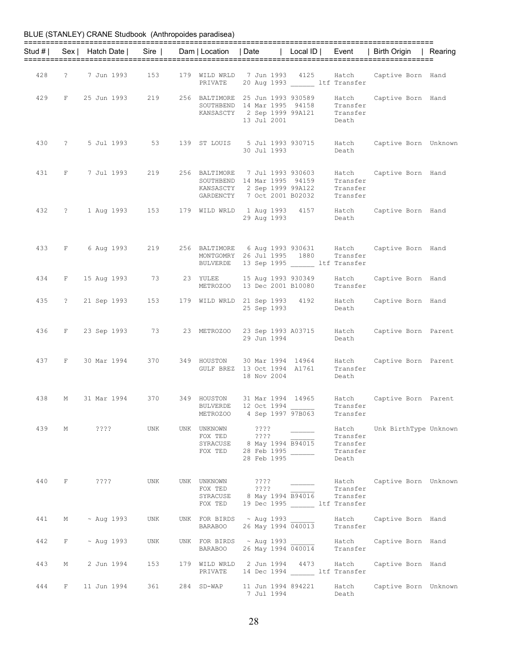| BLUE (STANLEY) CRANE Studbook (Anthropoides paradisea) |  |  |
|--------------------------------------------------------|--|--|
|--------------------------------------------------------|--|--|

| Stud # I |                | Sex   Hatch Date | Sire                                                                                                          | Dam   Location   Date                  |                                                                                                                                                        | Local ID | Event                                              | Birth Origin                                          | Rearing |
|----------|----------------|------------------|---------------------------------------------------------------------------------------------------------------|----------------------------------------|--------------------------------------------------------------------------------------------------------------------------------------------------------|----------|----------------------------------------------------|-------------------------------------------------------|---------|
| 428      | $\tilde{?}$    | 7 Jun 1993       | 153                                                                                                           | PRIVATE                                | 179 WILD WRLD 7 Jun 1993 4125<br>20 Aug 1993 ltf Transfer                                                                                              |          | Hatch                                              | Captive Born Hand                                     |         |
| 429      | $\mathbf{F}$   | 25 Jun 1993      | 219                                                                                                           |                                        | 256 BALTIMORE 25 Jun 1993 930589<br>SOUTHBEND 14 Mar 1995 94158<br>KANSASCTY 2 Sep 1999 99A121<br>13 Jul 2001                                          |          | Hatch<br>Transfer<br>Transfer<br>Death             | Captive Born Hand                                     |         |
| 430      |                | ? 5 Jul 1993 53  |                                                                                                               |                                        | 139 ST LOUIS 5 Jul 1993 930715<br>30 Jul 1993                                                                                                          |          | Death                                              | Hatch Captive Born Unknown                            |         |
| 431      | F              | 7 Jul 1993       | 219                                                                                                           |                                        | 256 BALTIMORE 7 Jul 1993 930603<br>SOUTHBEND 14 Mar 1995 94159<br>SOUTHBEND 13 199 - 100<br>KANSASCTY 2 Sep 1999 99A122<br>GARDENCTY 7 Oct 2001 B02032 |          | Hatch<br>Transfer<br>Transfer<br>Transfer          | Captive Born Hand                                     |         |
| 432      |                | ? 1 Aug 1993 153 |                                                                                                               |                                        | 29 Aug 1993                                                                                                                                            |          | Death                                              | 179 WILD WRLD 1 Aug 1993 4157 Hatch Captive Born Hand |         |
| 433      | F              | 6 Aug 1993 219   |                                                                                                               | BULVERDE                               | 256 BALTIMORE 6 Aug 1993 930631<br>MONTGOMRY 26 Jul 1995 1880<br>13 Sep 1995 ltf Transfer                                                              |          | Hatch<br>Transfer                                  | Captive Born Hand                                     |         |
| 434      | F              | 15 Aug 1993 73   |                                                                                                               | 23 YULEE<br>METROZOO                   | 15 Aug 1993 930349<br>13 Dec 2001 B10080                                                                                                               |          | Hatch<br>Transfer                                  | Captive Born Hand                                     |         |
| 435      | $\overline{?}$ | 21 Sep 1993 153  |                                                                                                               |                                        | 179 WILD WRLD 21 Sep 1993 4192<br>25 Sep 1993                                                                                                          |          | Hatch<br>Death                                     | Captive Born Hand                                     |         |
| 436      | F              | 23 Sep 1993      | 73 — 173 — 174 — 175 — 175 — 175 — 175 — 175 — 175 — 175 — 175 — 175 — 175 — 175 — 175 — 175 — 175 — 175 — 17 | 23 METROZOO                            | 23 Sep 1993 A03715<br>29 Jun 1994                                                                                                                      |          | Death                                              | Hatch Captive Born Parent                             |         |
| 437      | F              | 30 Mar 1994 370  |                                                                                                               | 349 HOUSTON                            | 30 Mar 1994 14964<br>GULF BREZ 13 Oct 1994 A1761<br>18 Nov 2004                                                                                        |          | Hatch<br>Transfer<br>Death                         | Captive Born Parent                                   |         |
| 438      | М              | 31 Mar 1994      | 370                                                                                                           | 349 HOUSTON<br><b>BULVERDE</b>         | 31 Mar 1994 14965<br>12 Oct 1994<br>METROZOO 4 Sep 1997 97B063                                                                                         |          | Hatch<br>Transfer<br>Transfer                      | Captive Born Parent                                   |         |
|          |                | 439 M ????       | UNK                                                                                                           | UNK UNKNOWN<br>FOX TED                 | ? ? ? ?<br>? ? ? ?<br>SYRACUSE 8 May 1994 B94015<br>FOX TED 28 Feb 1995<br>28 Feb 1995                                                                 |          | Hatch<br>Transfer<br>Transfer<br>Transfer<br>Death | Unk BirthType Unknown                                 |         |
| 440      | $\mathbf{F}$   | ? ? ? ?          | UNK                                                                                                           | UNK UNKNOWN<br>FOX TED ????<br>FOX TED | ? ? ? ?<br>SYRACUSE 8 May 1994 B94016<br>19 Dec 1995 _______ ltf Transfer                                                                              |          | Transfer<br>Transfer                               | Hatch Captive Born Unknown                            |         |
| 441      |                | M ~ Aug 1993     | UNK                                                                                                           | <b>BARABOO</b>                         | UNK FOR BIRDS $\sim$ Aug 1993<br>26 May 1994 040013                                                                                                    |          | Hatch<br>Transfer                                  | Captive Born Hand                                     |         |
| 442      | F              | $\sim$ Aug 1993  | UNK                                                                                                           | <b>BARABOO</b>                         | UNK FOR BIRDS ~ Aug 1993<br>26 May 1994 040014                                                                                                         |          | Hatch<br>Transfer                                  | Captive Born Hand                                     |         |
| 443      | М              | 2 Jun 1994       | 153                                                                                                           |                                        | 179 WILD WRLD 2 Jun 1994 4473<br>PRIVATE 14 Dec 1994 ltf Transfer                                                                                      |          | Hatch                                              | Captive Born Hand                                     |         |
| 444      | F              |                  |                                                                                                               | 284 SD-WAP                             | 11 Jun 1994 894221<br>7 Jul 1994                                                                                                                       |          | Hatch<br>Death                                     | Captive Born Unknown                                  |         |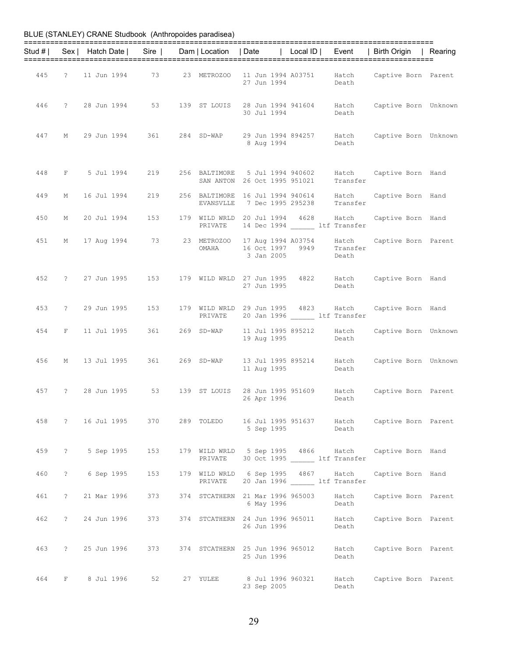| BLUE (STANLEY) CRANE Studbook (Anthropoides paradisea) |  |  |
|--------------------------------------------------------|--|--|
|--------------------------------------------------------|--|--|

|     |            |                  |                                           |              |                                                                 |                                                                                                 | Stud #   Sex   Hatch Date   Sire   Dam   Location   Date   Local ID   Event   Birth Origin   Rearing |  |
|-----|------------|------------------|-------------------------------------------|--------------|-----------------------------------------------------------------|-------------------------------------------------------------------------------------------------|------------------------------------------------------------------------------------------------------|--|
|     |            |                  |                                           |              | 27 Jun 1994                                                     | Death                                                                                           | 445 ? 11 Jun 1994 73 23 METROZOO 11 Jun 1994 A03751 Hatch Captive Born Parent                        |  |
|     |            |                  | 446 ? 28 Jun 1994 53                      | 139 ST LOUIS | 30 Jul 1994                                                     | Death                                                                                           | 28 Jun 1994 941604 Hatch Captive Born Unknown                                                        |  |
| 447 | М          |                  | 29 Jun 1994       361        284   SD-WAP |              | 8 Aug 1994                                                      | Death                                                                                           | 29 Jun 1994 894257 Hatch Captive Born Unknown                                                        |  |
|     |            |                  | 448 F 5 Jul 1994 219                      |              | 256 BALTIMORE 5 Jul 1994 940602<br>SAN ANTON 26 Oct 1995 951021 | Transfer                                                                                        | Hatch Captive Born Hand                                                                              |  |
| 449 | М          | 16 Jul 1994      | 219                                       | EVANSVLLE    |                                                                 | 256 BALTIMORE 16 Jul 1994 940614 Hatch<br>7 Dec 1995 295238 Transfer                            | Captive Born Hand                                                                                    |  |
| 450 | М          |                  | 20 Jul 1994 153                           |              |                                                                 | 179 WILD WRLD 20 Jul 1994 4628 Hatch<br>PRIVATE 14 Dec 1994 ltf Transfer                        | Captive Born Hand                                                                                    |  |
|     |            |                  |                                           | OMAHA        | 3 Jan 2005                                                      | 451 M 17 Aug 1994 73 23 METROZOO 17 Aug 1994 A03754 Hatch<br>16 Oct 1997 9949 Transfer<br>Death | Captive Born Parent                                                                                  |  |
| 452 |            |                  | ? 27 Jun 1995 153                         |              | 27 Jun 1995                                                     | Death                                                                                           | 179 WILD WRLD 27 Jun 1995 4822 Hatch Captive Born Hand                                               |  |
| 453 |            |                  | ? 29 Jun 1995 153                         | PRIVATE      |                                                                 | 179 WILD WRLD 29 Jun 1995 4823 Hatch<br>20 Jan 1996 ltf Transfer                                | Captive Born Hand                                                                                    |  |
|     |            |                  | 454 F 11 Jul 1995 361 269 SD-WAP          |              | 19 Aug 1995                                                     | 11 Jul 1995 895212 Hatch<br>Death                                                               | Captive Born Unknown                                                                                 |  |
|     |            |                  | 456 M 13 Jul 1995 361 269 SD-WAP          |              | 11 Aug 1995                                                     | Death                                                                                           | 13 Jul 1995 895214 Hatch Captive Born Unknown                                                        |  |
| 457 |            |                  |                                           |              | 26 Apr 1996                                                     | Death                                                                                           | ? 28 Jun 1995 53 139 ST LOUIS 28 Jun 1995 951609 Hatch Captive Born Parent                           |  |
| 458 |            |                  |                                           |              | 5 Sep 1995                                                      | Death                                                                                           | 289 TOLEDO 16 Jul 1995 951637 Hatch Captive Born Parent                                              |  |
| 459 | $\ddot{?}$ | 5 Sep 1995       | 153                                       | PRIVATE      | 179 WILD WRLD 5 Sep 1995 4866 Hatch                             | 30 Oct 1995 ltf Transfer                                                                        | Captive Born Hand                                                                                    |  |
| 460 | $\ddot{?}$ | 6 Sep 1995       | 153                                       | PRIVATE      | 179 WILD WRLD 6 Sep 1995 4867 Hatch                             | 20 Jan 1996 ltf Transfer                                                                        | Captive Born Hand                                                                                    |  |
| 461 | $\ddot{?}$ |                  | 21 Mar 1996 373                           |              | 374 STCATHERN 21 Mar 1996 965003<br>6 May 1996                  | Hatch<br>Death                                                                                  | Captive Born Parent                                                                                  |  |
| 462 |            | ? 24 Jun 1996    | 373                                       |              | 374 STCATHERN 24 Jun 1996 965011<br>26 Jun 1996                 | Hatch<br>Death                                                                                  | Captive Born Parent                                                                                  |  |
| 463 |            |                  | ? 25 Jun 1996 373                         |              | 374 STCATHERN 25 Jun 1996 965012 Hatch<br>25 Jun 1996           | Death                                                                                           | Captive Born Parent                                                                                  |  |
|     |            | 464 F 8 Jul 1996 |                                           | 27 YULEE     | 8 Jul 1996 960321<br>23 Sep 2005                                | Hatch<br>Death                                                                                  | Captive Born Parent                                                                                  |  |

29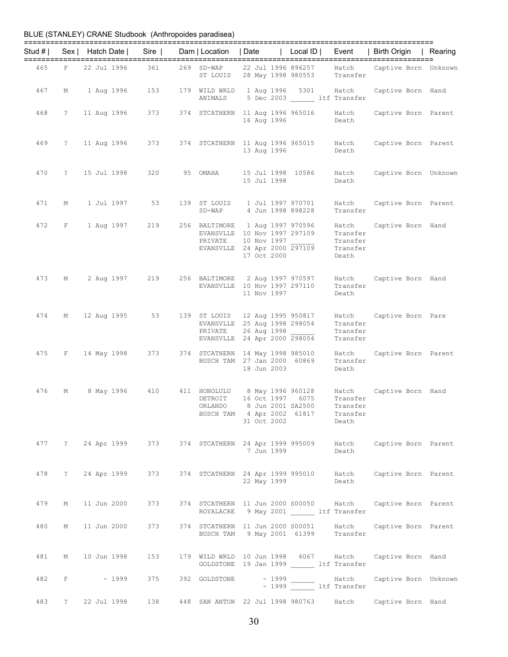| Stud # I |             |               |             | Sex   Hatch Date   Sire   Dam   Location   Date   Local ID                   |                                                                 |                                  |                                                                                                                        | Event                                     | Birth Origin   Rearing  |  |
|----------|-------------|---------------|-------------|------------------------------------------------------------------------------|-----------------------------------------------------------------|----------------------------------|------------------------------------------------------------------------------------------------------------------------|-------------------------------------------|-------------------------|--|
| 465      |             | F 22 Jul 1996 |             | 361                                                                          | 269 SD-WAP                                                      |                                  | SD-WAP 22 Jul 1996 896257 Hatch<br>ST LOUIS 28 May 1998 980553 Transfer                                                |                                           | Captive Born Unknown    |  |
| 467      |             |               |             | M 1 Aug 1996 153                                                             |                                                                 |                                  | 179 WILD WRLD 1 Aug 1996 5301 Hatch<br>ANIMALS 5 Dec 2003 1tf Transfer                                                 |                                           | Captive Born Hand       |  |
| 468      |             |               |             | ? 11 Aug 1996 373 374 STCATHERN 11 Aug 1996 965016 Hatch                     |                                                                 | 16 Aug 1996                      |                                                                                                                        | Death                                     | Captive Born Parent     |  |
| 469      |             |               |             | ? 11 Aug 1996 373 374 STCATHERN 11 Aug 1996 965015 Hatch Captive Born Parent |                                                                 | 13 Aug 1996                      |                                                                                                                        | Death                                     |                         |  |
| 470      |             |               |             | ? 15 Jul 1998 320 95 OMAHA                                                   |                                                                 | 15 Jul 1998                      | 15 Jul 1998 10586                                                                                                      | Hatch<br>Death                            | Captive Born Unknown    |  |
| 471      |             |               |             | M 1 Jul 1997 53                                                              | 139 ST LOUIS<br>$SD-WAP$                                        |                                  | 1 Jul 1997 970701<br>4 Jun 1998 898228                                                                                 | Hatch<br>Transfer                         | Captive Born Parent     |  |
| 472      |             |               |             | F 1 Aug 1997 219                                                             | PRIVATE                                                         | 10 Nov 1997<br>17 Oct 2000       | 256 BALTIMORE  1 Aug 1997 970596<br>EVANSVLLE 10 Nov 1997 297109<br>EVANSVLLE 24 Apr 2000 $\overline{297109}$ Transfer | Hatch<br>Transfer<br>Transfer<br>Death    | Captive Born Hand       |  |
| 473      | М           |               |             | 2 Aug 1997 219                                                               | 256 BALTIMORE 2 Aug 1997 970597<br>EVANSVLLE 10 Nov 1997 297110 | 11 Nov 1997                      |                                                                                                                        | Transfer<br>Death                         | Hatch Captive Born Hand |  |
| 474      |             |               |             | M 12 Aug 1995 53                                                             | 139 ST LOUIS<br>PRIVATE                                         |                                  | 12 Aug 1995 950817<br>EVANSVLLE 25 Aug 1998 298054<br>26 Aug 1998<br>EVANSVLLE 24 Apr 2000 298054                      | Transfer<br>Transfer<br>Transfer          | Hatch Captive Born Pare |  |
| 475      |             |               |             | F 14 May 1998 373                                                            | BUSCH TAM 27 Jan 2000 60869                                     | 18 Jun 2003                      | 374 STCATHERN 14 May 1998 985010                                                                                       | Hatch<br>Transfer<br>Death                | Captive Born Parent     |  |
| 476      | М           |               |             | 8 May 1996 410                                                               | DETROIT<br>ORLANDO                                              | 8 Jun 2001 SA2500<br>31 Oct 2002 | 411 HONOLULU 8 May 1996 960128 Hatch<br>16 Oct 1997 6075<br>BUSCH TAM 4 Apr 2002 61817                                 | Transfer<br>Transfer<br>Transfer<br>Death | Captive Born Hand       |  |
|          |             |               |             | 477 ? 24 Apr 1999 373                                                        |                                                                 | 7 Jun 1999                       | 374 STCATHERN 24 Apr 1999 995009 Hatch                                                                                 | Death                                     | Captive Born Parent     |  |
| 478      | $\ddot{?}$  | 24 Apr 1999   |             | 373                                                                          |                                                                 | 22 May 1999                      | 374 STCATHERN 24 Apr 1999 995010 Hatch                                                                                 | Death                                     | Captive Born Parent     |  |
| 479      | М           | 11 Jun 2000   |             | 373                                                                          |                                                                 |                                  | 374 STCATHERN 11 Jun 2000 S00050 Hatch<br>ROYALACRE 9 May 2001 ________ ltf Transfer                                   |                                           | Captive Born Parent     |  |
| 480      | М           | 11 Jun 2000   |             | 373                                                                          |                                                                 |                                  | 374 STCATHERN 11 Jun 2000 S00051<br>BUSCH TAM 9 May 2001 61399 Transfer                                                | Hatch                                     | Captive Born Parent     |  |
| 481      | М           | 10 Jun 1998   |             | 153                                                                          |                                                                 |                                  | 179 WILD WRLD 10 Jun 1998 6067 Hatch<br>GOLDSTONE 19 Jan 1999 ltf Transfer                                             |                                           | Captive Born Hand       |  |
| 482      | F           |               | $\sim 1999$ | 375                                                                          | 392 GOLDSTONE                                                   |                                  | ~ 1999 ltf Transfer                                                                                                    | Hatch                                     | Captive Born Unknown    |  |
| 483      | $\tilde{?}$ | 22 Jul 1998   |             | 138                                                                          | 448 SAN ANTON 22 Jul 1998 980763                                |                                  |                                                                                                                        | Hatch                                     | Captive Born Hand       |  |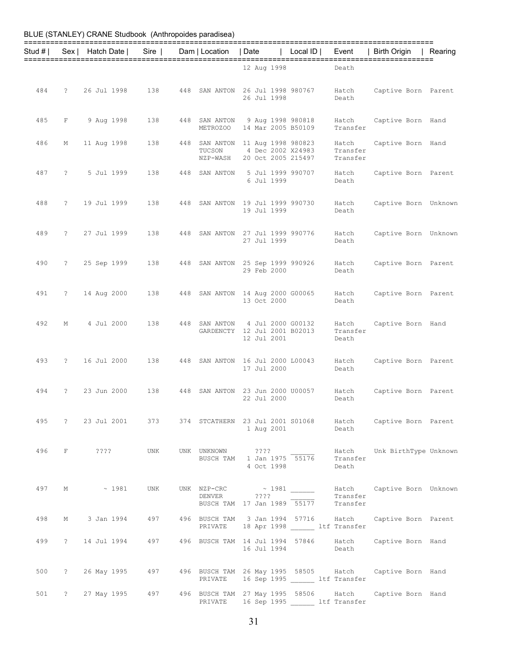| Stud # | Sex            | Hatch Date                                              | Sire |     | Dam   Location                                 | Date        | Local $ D $                                                   | Event                                                                    | Birth Origin                                                                     | Rearing |
|--------|----------------|---------------------------------------------------------|------|-----|------------------------------------------------|-------------|---------------------------------------------------------------|--------------------------------------------------------------------------|----------------------------------------------------------------------------------|---------|
|        |                |                                                         |      |     |                                                | 12 Aug 1998 |                                                               | Death                                                                    |                                                                                  |         |
| 484    | ?              | 26 Jul 1998                                             | 138  | 448 | SAN ANTON                                      | 26 Jul 1998 | 26 Jul 1998 980767                                            | Hatch<br>Death                                                           | Captive Born Parent                                                              |         |
| 485    | F              | 9 Aug 1998                                              | 138  | 448 | SAN ANTON<br>METROZOO                          |             | 9 Aug 1998 980818<br>14 Mar 2005 B50109                       | Hatch<br>Transfer                                                        | Captive Born Hand                                                                |         |
| 486    | Μ              | 11 Aug 1998                                             | 138  | 448 | SAN ANTON<br>TUCSON<br>NZP-WASH                |             | 11 Aug 1998 980823<br>4 Dec 2002 X24983<br>20 Oct 2005 215497 | Hatch<br>Transfer<br>Transfer                                            | Captive Born Hand                                                                |         |
| 487    | $\tilde{ }$    | 5 Jul 1999                                              | 138  | 448 | SAN ANTON                                      | 6 Jul 1999  | 5 Jul 1999 990707                                             | Hatch<br>Death                                                           | Captive Born Parent                                                              |         |
| 488    | $\tilde{ }$    | 19 Jul 1999                                             | 138  | 448 | SAN ANTON                                      | 19 Jul 1999 | 19 Jul 1999 990730                                            | Hatch<br>Death                                                           | Captive Born Unknown                                                             |         |
| 489    | $\overline{?}$ | 27 Jul 1999                                             | 138  | 448 | SAN ANTON                                      | 27 Jul 1999 | 27 Jul 1999 990776                                            | Hatch<br>Death                                                           | Captive Born Unknown                                                             |         |
| 490    | $\tilde{ }$ ?  | 25 Sep 1999                                             | 138  | 448 | SAN ANTON                                      | 29 Feb 2000 | 25 Sep 1999 990926                                            | Hatch<br>Death                                                           | Captive Born Parent                                                              |         |
| 491    | $\tilde{ }$    | 14 Aug 2000                                             | 138  | 448 | SAN ANTON                                      | 13 Oct 2000 | 14 Aug 2000 G00065                                            | Hatch<br>Death                                                           | Captive Born Parent                                                              |         |
| 492    | М              | 4 Jul 2000                                              | 138  | 448 | SAN ANTON<br>GARDENCTY                         | 12 Jul 2001 | 4 Jul 2000 G00132<br>12 Jul 2001 B02013                       | Hatch<br>Transfer<br>Death                                               | Captive Born Hand                                                                |         |
| 493    | $\tilde{ }$    | 16 Jul 2000                                             | 138  | 448 | SAN ANTON                                      | 17 Jul 2000 | 16 Jul 2000 L00043                                            | Hatch<br>Death                                                           | Captive Born Parent                                                              |         |
| 494    | $\tilde{ }$    | 23 Jun 2000                                             | 138  | 448 | SAN ANTON                                      | 22 Jul 2000 | 23 Jun 2000 U00057                                            | Hatch<br>Death                                                           | Captive Born Parent                                                              |         |
|        |                |                                                         |      |     |                                                | 1 Aug 2001  |                                                               | Death                                                                    | 495 ? 23 Jul 2001 373 374 STCATHERN 23 Jul 2001 S01068 Hatch Captive Born Parent |         |
| 496    |                | F ????                                                  | UNK  |     | UNK UNKNOWN ????<br>BUSCH TAM 1 Jan 1975 55176 | 4 Oct 1998  |                                                               | Transfer<br>Death                                                        | Hatch Unk BirthType Unknown                                                      |         |
| 497    |                | $M \sim 1981$                                           | UNK  |     | DENVER ????<br>BUSCH TAM 17 Jan 1989 55177     |             |                                                               | Transfer<br>Transfer                                                     | UNK NZP-CRC ~ 1981 Match Captive Born Unknown                                    |         |
| 498    |                | M 3 Jan 1994 497                                        |      |     |                                                |             |                                                               | 496 BUSCH TAM 3 Jan 1994 57716 Hatch<br>PRIVATE 18 Apr 1998 ltf Transfer | Captive Born Parent                                                              |         |
| 499    |                | ? 14 Jul 1994 497 496 BUSCH TAM 14 Jul 1994 57846 Hatch |      |     |                                                | 16 Jul 1994 |                                                               | Death                                                                    | Captive Born Hand                                                                |         |
| 500    | $\ddot{?}$     | 26 May 1995 497                                         |      |     | PRIVATE                                        |             |                                                               | 16 Sep 1995 ltf Transfer                                                 | 496 BUSCH TAM 26 May 1995 58505 Hatch Captive Born Hand                          |         |
| 501    |                | ? 27 May 1995 497                                       |      |     | PRIVATE                                        |             |                                                               | 496 BUSCH TAM 27 May 1995 58506 Hatch<br>16 Sep 1995 ltf Transfer        | Captive Born Hand                                                                |         |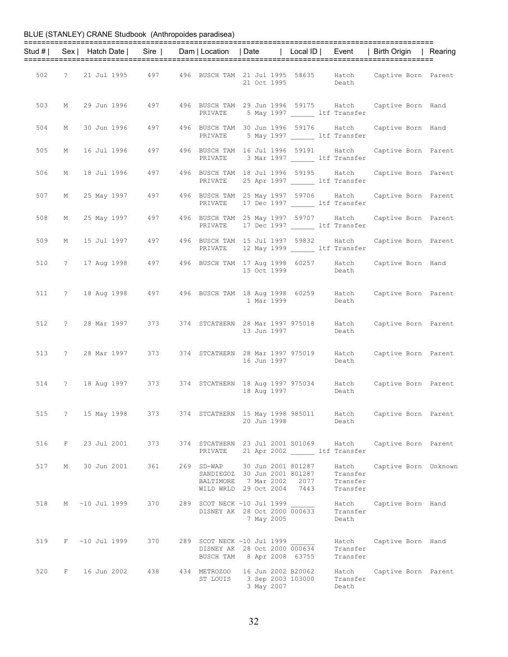|     |   |                |                   |     |          |                                                                                                                          |                                           | Stud #   Sex   Hatch Date   Sire   Dam   Location   Date   Local ID   Event   Birth Origin   Rearing |  |
|-----|---|----------------|-------------------|-----|----------|--------------------------------------------------------------------------------------------------------------------------|-------------------------------------------|------------------------------------------------------------------------------------------------------|--|
|     |   |                |                   |     |          |                                                                                                                          |                                           |                                                                                                      |  |
| 502 |   |                |                   |     |          | 21 Oct 1995                                                                                                              | Death                                     | ? 21 Jul 1995 497 496 BUSCH TAM 21 Jul 1995 58635 Hatch Captive Born Parent                          |  |
| 503 |   |                |                   |     | PRIVATE  | 5 May 1997 btf Transfer                                                                                                  |                                           | M 29 Jun 1996 497 496 BUSCH TAM 29 Jun 1996 59175 Hatch Captive Born Hand                            |  |
| 504 | М |                | 30 Jun 1996 - 497 |     |          | 496 BUSCH TAM 30 Jun 1996 59176 Hatch<br>PRIVATE 5 May 1997 ltf Transfer                                                 |                                           | Captive Born Hand                                                                                    |  |
| 505 |   |                |                   |     |          | M 16 Jul 1996 497 496 BUSCH TAM 16 Jul 1996 59191 Hatch<br>PRIVATE 3 Mar 1997 _______ ltf Transfer                       |                                           | Captive Born Parent                                                                                  |  |
| 506 |   |                |                   |     |          | M 18 Jul 1996 497 496 BUSCH TAM 18 Jul 1996 59195 Hatch<br>PRIVATE 25 Apr 1997 ltf Transfer                              |                                           | Captive Born Parent                                                                                  |  |
| 507 |   |                | M 25 May 1997 497 |     |          | 496 BUSCH TAM 25 May 1997 59706 Hatch<br>PRIVATE 17 Dec 1997 ltf Transfer                                                |                                           | Captive Born Parent                                                                                  |  |
| 508 |   |                | M 25 May 1997 497 |     |          | 496 BUSCH TAM 25 May 1997 59707 Hatch<br>PRIVATE 17 Dec 1997 ltf Transfer                                                |                                           | Captive Born Parent                                                                                  |  |
| 509 |   |                |                   |     |          | M 15 Jul 1997 497 496 BUSCH TAM 15 Jul 1997 59832 Hatch<br>PRIVATE 12 May 1999 ______ ltf Transfer                       |                                           | Captive Born Parent                                                                                  |  |
| 510 |   |                |                   |     |          | 15 Oct 1999                                                                                                              | Death                                     | ? 17 Aug 1998 497 496 BUSCH TAM 17 Aug 1998 60257 Hatch Captive Born Hand                            |  |
|     |   |                |                   |     |          | 1 Mar 1999                                                                                                               | Death                                     | 511 ? 18 Aug 1998 497 496 BUSCH TAM 18 Aug 1998 60259 Hatch Captive Born Parent                      |  |
|     |   |                |                   |     |          | 13 Jun 1997                                                                                                              | Death                                     | 512 ? 28 Mar 1997 373 374 STCATHERN 28 Mar 1997 975018 Hatch Captive Born Parent                     |  |
|     |   |                |                   |     |          | 513 ? 28 Mar 1997 373 374 STCATHERN 28 Mar 1997 975019 Hatch<br>16 Jun 1997                                              | Death                                     | Captive Born Parent                                                                                  |  |
|     |   |                |                   |     |          | 18 Aug 1997                                                                                                              | Death                                     | 514 ? 18 Aug 1997 373 374 STCATHERN 18 Aug 1997 975034 Hatch Captive Born Parent                     |  |
| 515 |   | ? 15 May 1998  |                   | 373 |          | 374 STCATHERN 15 May 1998 985011<br>20 Jun 1998                                                                          | Hatch<br>Death                            | Captive Born Parent                                                                                  |  |
| 516 | F | 23 Jul 2001    | 373               |     | PRIVATE  | 374 STCATHERN 23 Jul 2001 S01069 Hatch<br>21 Apr 2002 ltf Transfer                                                       |                                           | Captive Born Parent                                                                                  |  |
| 517 | М | 30 Jun 2001    | 361               |     |          | 269 SD-WAP 30 Jun 2001 801287<br>SANDIEGOZ 30 Jun 2001 801287<br>BALTIMORE 7 Mar 2002 2077<br>WILD WRLD 29 Oct 2004 7443 | Hatch<br>Transfer<br>Transfer<br>Transfer | Captive Born Unknown                                                                                 |  |
| 518 |   | M ~10 Jul 1999 | 370               |     |          | 289 SCOT NECK ~10 Jul 1999<br>DISNEY AK 28 Oct 2000 000633<br>7 May 2005                                                 | Hatch<br>Transfer<br>Death                | Captive Born Hand                                                                                    |  |
| 519 |   | F ~10 Jul 1999 | 370               |     |          | 289 SCOT NECK ~10 Jul 1999<br>DISNEY AK 28 Oct 2000 000634<br>BUSCH TAM 8 Apr 2008 63755                                 | Hatch<br>Transfer<br>Transfer             | Captive Born Hand                                                                                    |  |
| 520 |   | F 16 Jun 2002  | 438               |     | ST LOUIS | 434 METROZOO 16 Jun 2002 B20062<br>3 Sep 2003 103000<br>3 May 2007                                                       | Hatch<br>Transfer<br>Death                | Captive Born Parent                                                                                  |  |

32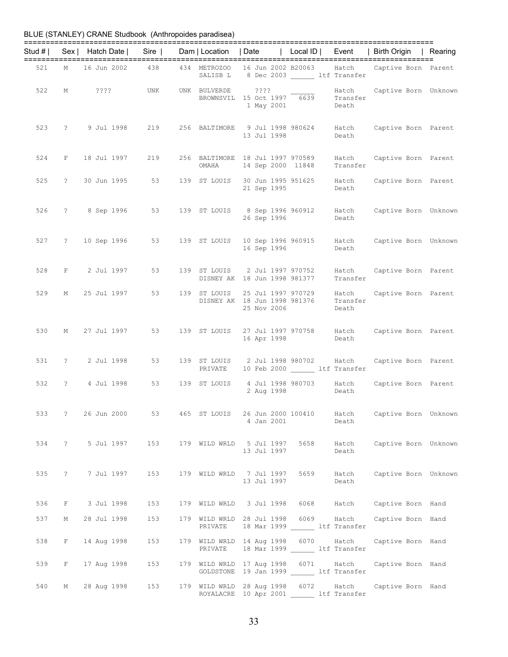| Stud # $\vert$ |                   | Sex   Hatch Date   Sire   Dam   Location   Date |     |                 |                                                                                   |      |                | Local ID   Event   Birth Origin   Rearing                                                          |  |
|----------------|-------------------|-------------------------------------------------|-----|-----------------|-----------------------------------------------------------------------------------|------|----------------|----------------------------------------------------------------------------------------------------|--|
|                |                   |                                                 |     |                 | SALISB L 8 Dec 2003 ltf Transfer                                                  |      |                | 521 M 16 Jun 2002 438 434 METROZOO 16 Jun 2002 B20063 Hatch Captive Born Parent                    |  |
|                |                   | 522 M ???? UNK                                  |     |                 | UNK BULVERDE 3??? Hatch<br>BROWNSVIL 15 Oct 1997 6639 Transfer<br>1 May 2001      |      | Death          | Hatch Captive Born Unknown                                                                         |  |
|                |                   |                                                 |     |                 | 13 Jul 1998                                                                       |      | Death          | 523 ? 9 Jul 1998 219 256 BALTIMORE 9 Jul 1998 980624 Hatch Captive Born Parent                     |  |
|                |                   | 524 F 18 Jul 1997 219                           |     |                 | 256 BALTIMORE 18 Jul 1997 970589<br>OMAHA 14 Sep 2000 11848                       |      | Transfer       | Hatch Captive Born Parent                                                                          |  |
| 525            |                   | ? 30 Jun 1995                                   |     |                 | 21 Sep 1995                                                                       |      | Death          | 53 139 ST LOUIS 30 Jun 1995 951625 Hatch Captive Born Parent                                       |  |
|                |                   |                                                 |     |                 | 26 Sep 1996                                                                       |      | Death          | 526 ? 8 Sep 1996 53 139 ST LOUIS 8 Sep 1996 960912 Hatch Captive Born Unknown                      |  |
|                |                   |                                                 |     |                 | 16 Sep 1996                                                                       |      | Death          | 527 ? 10 Sep 1996 53 139 ST LOUIS 10 Sep 1996 960915 Hatch Captive Born Unknown                    |  |
|                |                   | 528 F 2 Jul 1997                                |     |                 | 53 139 ST LOUIS 2 Jul 1997 970752<br>DISNEY AK 18 Jun 1998 981377                 |      | Transfer       | Hatch Captive Born Parent                                                                          |  |
|                |                   | 529 M 25 Jul 1997                               | 53  |                 | 25 Nov 2006                                                                       |      | Death          | 139 ST LOUIS 25 Jul 1997 970729 Hatch Captive Born Parent<br>DISNEY AK 18 Jun 1998 981376 Transfer |  |
|                |                   | 530 M 27 Jul 1997                               |     |                 | 16 Apr 1998                                                                       |      | Death          | 53 139 ST LOUIS 27 Jul 1997 970758 Hatch Captive Born Parent                                       |  |
|                |                   | 531 ? 2 Jul 1998                                |     | PRIVATE         | 10 Feb 2000 LLE Transfer                                                          |      |                | 53 139 ST LOUIS 2 Jul 1998 980702 Hatch Captive Born Parent                                        |  |
| 532            |                   | ? 4 Jul 1998                                    |     | 53 139 ST LOUIS | 4 Jul 1998 980703 Hatch<br>2 Aug 1998                                             |      | Death          | Captive Born Parent                                                                                |  |
| 533 ?          |                   | 26 Jun 2000                                     | 53  | 465 ST LOUIS    | 26 Jun 2000 100410<br>4 Jan 2001                                                  |      | Hatch<br>Death | Captive Born Unknown                                                                               |  |
| 534            |                   | ? 5 Jul 1997 153 179 WILD WRLD 5 Jul 1997 5658  |     |                 | 13 Jul 1997                                                                       |      | Hatch<br>Death | Captive Born Unknown                                                                               |  |
| 535            | $\ddot{\text{?}}$ | 7 Jul 1997 153                                  |     |                 | 179 WILD WRLD 7 Jul 1997<br>13 Jul 1997                                           | 5659 | Hatch<br>Death | Captive Born Unknown                                                                               |  |
| 536            | F                 | 3 Jul 1998                                      | 153 |                 |                                                                                   |      |                | 179 WILD WRLD 3 Jul 1998 6068 Hatch Captive Born Hand                                              |  |
| 537            | М                 | 28 Jul 1998                                     | 153 | PRIVATE         | 179 WILD WRLD 28 Jul 1998 6069 Hatch<br>18 Mar 1999 ltf Transfer                  |      |                | Captive Born Hand                                                                                  |  |
| 538            | F                 | 14 Aug 1998                                     | 153 | PRIVATE         | 179 WILD WRLD 14 Aug 1998 6070 Hatch<br>18 Mar 1999 ltf Transfer                  |      |                | Captive Born Hand                                                                                  |  |
| 539            | F                 | 17 Aug 1998                                     | 153 |                 | 179 WILD WRLD 17 Aug 1998 6071 Hatch<br>GOLDSTONE 19 Jan 1999 ltf Transfer        |      |                | Captive Born Hand                                                                                  |  |
| 540            | М                 | 28 Aug 1998 153                                 |     |                 | 179 WILD WRLD 28 Aug 1998 6072 Hatch<br>ROYALACRE 10 Apr 2001 ______ ltf Transfer |      |                | Captive Born Hand                                                                                  |  |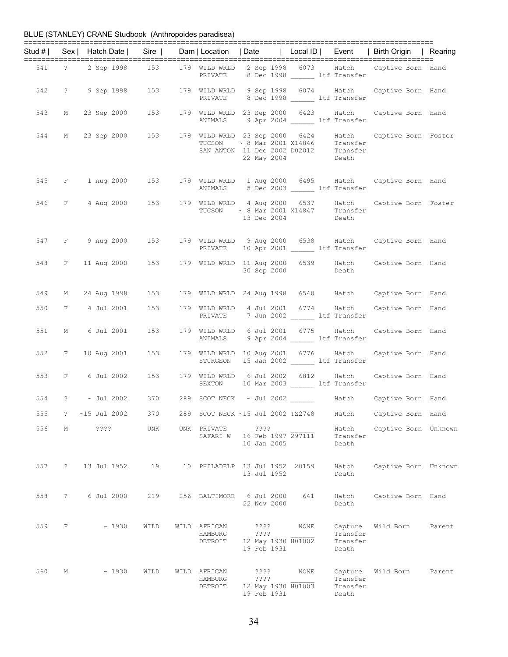|     |              |                |            | Stud #   Sex   Hatch Date   Sire   Dam   Location   Date   Local ID   Event   Birth Origin   Rearing                |     |                                                                                                                                                                           |                                    |                           |                            |                                          |                   |                      |
|-----|--------------|----------------|------------|---------------------------------------------------------------------------------------------------------------------|-----|---------------------------------------------------------------------------------------------------------------------------------------------------------------------------|------------------------------------|---------------------------|----------------------------|------------------------------------------|-------------------|----------------------|
|     |              |                |            | 541 ? 2 Sep 1998 153 179 WILD WRLD 2 Sep 1998 6073 Hatch Captive Born Hand                                          |     | PRIVATE 8 Dec 1998 ltf Transfer                                                                                                                                           |                                    |                           |                            |                                          |                   |                      |
|     |              |                |            | 542 ? 9 Sep 1998 153                                                                                                |     | 179 WILD WRLD 9 Sep 1998 6074 Hatch Captive Born Hand<br>PRIVATE 8 Dec 1998 1tf Transfer                                                                                  |                                    |                           |                            |                                          |                   |                      |
|     |              |                |            | 543 M 23 Sep 2000 153                                                                                               |     | 179 WILD WRLD 23 Sep 2000 6423 Hatch Captive Born Hand<br>ANIMALS 9 Apr 2004 1tf Transfer                                                                                 |                                    |                           |                            |                                          |                   |                      |
| 544 |              |                |            | M 23 Sep 2000 153 179 WILD WRLD 23 Sep 2000 6424 Hatch Captive Born Foster                                          |     | $\begin{tabular}{lllll} TUCSON & $\sim$ 8 Mar & 2001 X14846 & \hspace{0.2cm} Transfer \\ \text{SAN ANTON} & 11 Dec & 2002 D02012 & \hspace{0.2cm} Transfer \end{tabular}$ |                                    |                           | 22 May 2004 Death          |                                          |                   |                      |
|     |              |                |            | 545 F 1 Aug 2000 153 179 WILD WRLD 1 Aug 2000 6495 Hatch Captive Born Hand                                          |     | ANIMALS 5 Dec 2003 1tf Transfer                                                                                                                                           |                                    |                           |                            |                                          |                   |                      |
|     |              |                |            | 546 F 4 Aug 2000 153 179 WILD WRLD 4 Aug 2000 6537 Hatch Captive Born Foster<br>TUCSON ~ 8 Mar 2001 X14847 Transfer |     |                                                                                                                                                                           |                                    | 13 Dec 2004               |                            | Death                                    |                   |                      |
|     |              |                |            | 547 F 9 Aug 2000 153                                                                                                |     | 179 WILD WRLD 9 Aug 2000 6538 Hatch Captive Born Hand<br>PRIVATE                                                                                                          |                                    |                           |                            | 10 Apr 2001 _______ ltf Transfer         |                   |                      |
|     |              |                |            | 548 F 11 Aug 2000 153                                                                                               |     | 179 WILD WRLD 11 Aug 2000 6539 Hatch Captive Born Hand                                                                                                                    |                                    | 30 Sep 2000               |                            | Death                                    |                   |                      |
| 549 |              |                |            | M 24 Aug 1998 153                                                                                                   |     | 179 WILD WRLD 24 Aug 1998 6540 Hatch Captive Born Hand                                                                                                                    |                                    |                           |                            |                                          |                   |                      |
| 550 |              | F 4 Jul 2001   |            | 153                                                                                                                 |     | 179 WILD WRLD 4 Jul 2001 6774 Hatch Captive Born Hand<br>PRIVATE 7 Jun 2002 1tf Transfer                                                                                  |                                    |                           |                            |                                          |                   |                      |
| 551 |              |                |            | M 6 Jul 2001 153                                                                                                    |     | 179 WILD WRLD 6 Jul 2001 6775 Hatch<br>ANIMALS                                                                                                                            |                                    |                           |                            | 9 Apr 2004 ltf Transfer                  | Captive Born Hand |                      |
| 552 |              |                |            | F 10 Aug 2001 153                                                                                                   |     | 179 WILD WRLD 10 Aug 2001 6776 Hatch<br>STURGEON                                                                                                                          |                                    |                           |                            | 15 Jan 2002 ltf Transfer                 | Captive Born Hand |                      |
|     |              |                |            | 553 F 6 Jul 2002 153                                                                                                |     | 179 WILD WRLD 6 Jul 2002 6812 Hatch<br>SEXTON 10 Mar 2003 ltf Transfer                                                                                                    |                                    |                           |                            |                                          | Captive Born Hand |                      |
|     |              |                |            | 554 ? ~ Jul 2002 370 289 SCOT NECK ~ Jul 2002 _______ Hatch Captive Born Hand                                       |     |                                                                                                                                                                           |                                    |                           |                            |                                          |                   |                      |
| 555 | ?            | $~15$ Jul 2002 |            | 370                                                                                                                 | 289 | SCOT NECK ~15 Jul 2002 TZ2748                                                                                                                                             |                                    |                           |                            | Hatch                                    | Captive Born Hand |                      |
| 556 | М            | $??\,?\,?$     |            | <b>UNK</b>                                                                                                          | UNK | PRIVATE<br>SAFARI W                                                                                                                                                       | ????                               | 10 Jan 2005               | 16 Feb 1997 297111         | Hatch<br>Transfer<br>Death               |                   | Captive Born Unknown |
| 557 | $\tilde{E}$  | 13 Jul 1952    |            | 19                                                                                                                  |     | 10 PHILADELP 13 Jul 1952 20159                                                                                                                                            |                                    | 13 Jul 1952               |                            | Hatch<br>Death                           |                   | Captive Born Unknown |
| 558 | $\mathbb{R}$ |                | 6 Jul 2000 | 219                                                                                                                 |     | 256 BALTIMORE                                                                                                                                                             |                                    | 6 Jul 2000<br>22 Nov 2000 | 641                        | Hatch<br>Death                           | Captive Born Hand |                      |
| 559 | F            |                | ~1930      | WILD                                                                                                                |     | WILD AFRICAN<br>HAMBURG<br>DETROIT                                                                                                                                        | $??\mathord{?}\mathord{?}$<br>???? | 19 Feb 1931               | NONE<br>12 May 1930 H01002 | Capture<br>Transfer<br>Transfer<br>Death | Wild Born         | Parent               |
| 560 | М            |                | ~1930      | WILD                                                                                                                |     | WILD AFRICAN<br>HAMBURG<br>DETROIT                                                                                                                                        | ????<br>????                       | 19 Feb 1931               | NONE<br>12 May 1930 H01003 | Capture<br>Transfer<br>Transfer<br>Death | Wild Born         | Parent               |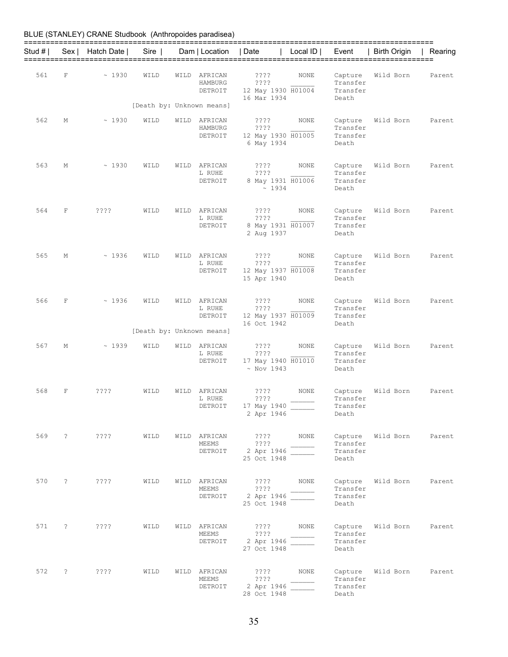| Stud # I |   | Sex   Hatch Date             | Sire                      |      | Dam   Location                     | Date                                                              | Local $ID \mid$ | Event                                    | Birth Origin             | Rearing |
|----------|---|------------------------------|---------------------------|------|------------------------------------|-------------------------------------------------------------------|-----------------|------------------------------------------|--------------------------|---------|
| 561      | F | ~1930                        | WILD                      | WILD | AFRICAN<br>HAMBURG<br>DETROIT      | ????<br>????<br>12 May 1930 H01004<br>16 Mar 1934                 | NONE            | Capture<br>Transfer<br>Transfer<br>Death | Wild Born                | Parent  |
|          |   |                              | [Death by: Unknown means] |      |                                    |                                                                   |                 |                                          |                          |         |
| 562      | М | ~1930                        | WILD                      |      | WILD AFRICAN<br>HAMBURG<br>DETROIT | ????<br>????<br>12 May 1930 H01005<br>6 May 1934                  | NONE            | Capture<br>Transfer<br>Transfer<br>Death | Wild Born                | Parent  |
| 563      | М | ~1930                        | WILD                      | WILD | AFRICAN<br>L RUHE<br>DETROIT       | ????<br>????<br>8 May 1931 H01006<br>~1934                        | NONE            | Capture<br>Transfer<br>Transfer<br>Death | Wild Born                | Parent  |
| 564      | F | ????                         | WILD                      | WILD | AFRICAN<br>L RUHE<br>DETROIT       | ????<br>????<br>8 May 1931 H01007<br>2 Aug 1937                   | NONE            | Capture<br>Transfer<br>Transfer<br>Death | Wild Born                | Parent  |
| 565      | М | ~1936                        | WILD                      | WILD | AFRICAN<br>L RUHE<br>DETROIT       | ????<br>????<br>12 May 1937 H01008<br>15 Apr 1940                 | NONE            | Capture<br>Transfer<br>Transfer<br>Death | Wild Born                | Parent  |
| 566      | F | ~1936                        | WILD                      | WILD | AFRICAN<br>L RUHE<br>DETROIT       | ????<br>????<br>12 May 1937 H01009<br>16 Oct 1942                 | NONE            | Capture<br>Transfer<br>Transfer<br>Death | Wild Born                | Parent  |
|          |   |                              | [Death by: Unknown means] |      |                                    |                                                                   |                 |                                          |                          |         |
| 567      | М | ~1939                        | WILD                      | WILD | AFRICAN<br>L RUHE<br>DETROIT       | ????<br>????<br>17 May 1940 H01010<br>$~\sim$ Nov 1943            | NONE            | Capture<br>Transfer<br>Transfer<br>Death | Wild Born                | Parent  |
| 568      | F | ????                         | WILD                      | WILD | AFRICAN<br>L RUHE                  | ????<br>????<br>DETROIT 17 May 1940<br>2 Apr 1946                 | NONE            | Capture<br>Transfer<br>Transfer<br>Death | Wild Born                | Parent  |
|          |   | 569 ? ???? WILD WILD AFRICAN |                           |      |                                    | $? ? ? ?$ NONE<br>MEEMS ????<br>DETROIT 2 Apr 1946<br>25 Oct 1948 |                 | Transfer<br>Transfer<br>Death            | Capture Wild Born Parent |         |
|          |   |                              | WILD                      |      | WILD AFRICAN<br>MEEMS              | ????<br>DETROIT 2 Apr 1946<br>25 Oct 1948                         | ???? NONE       | Transfer<br>Transfer<br>Death            | Capture Wild Born Parent |         |
|          |   |                              | WILD                      |      | WILD AFRICAN<br>MEEMS              | DETROIT 2 Apr 1946<br>27 Oct 1948                                 |                 | Transfer<br>Transfer<br>Death            | Capture Wild Born        | Parent  |
|          |   | 572 ? ????                   | WILD                      |      | WILD AFRICAN<br>MEEMS              | ????<br>????<br>DETROIT 2 Apr 1946<br>28 Oct 1948                 | NONE            | Transfer<br>Transfer<br>Death            | Capture Wild Born Parent |         |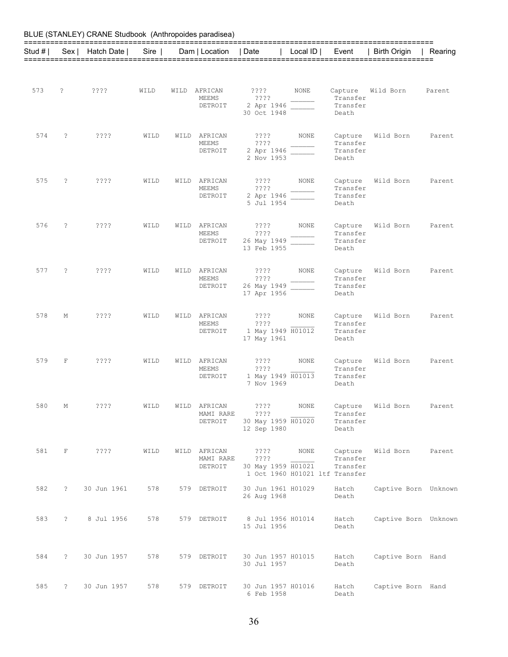|          |                      | BLUE (STANLEY) CRANE Studbook (Anthropoides paradisea) |      |      |                                      |                                                              |              |                                                                   |                      |         |
|----------|----------------------|--------------------------------------------------------|------|------|--------------------------------------|--------------------------------------------------------------|--------------|-------------------------------------------------------------------|----------------------|---------|
| Stud # I |                      | Sex   Hatch Date                                       | Sire |      | Dam   Location                       | Date                                                         | Local ID $ $ | Event                                                             | Birth Origin         | Rearing |
| 573      | ?                    | $??\,?\,?$                                             | WILD |      | WILD AFRICAN<br>MEEMS<br>DETROIT     | $??\mathord ??$<br>? ? ? ?<br>2 Apr 1946<br>30 Oct 1948      | NONE         | Capture<br>Transfer<br>Transfer<br>Death                          | Wild Born            | Parent  |
| 574      | ?                    | ????                                                   | WILD | WILD | AFRICAN<br>MEEMS<br>DETROIT          | ????<br>????<br>2 Apr 1946<br>2 Nov 1953                     | NONE         | Capture<br>Transfer<br>Transfer<br>Death                          | Wild Born            | Parent  |
| 575      | S.                   | ????                                                   | WILD | WILD | AFRICAN<br>MEEMS<br>DETROIT          | ????<br>????<br>2 Apr 1946<br>5 Jul 1954                     | NONE         | Capture<br>Transfer<br>Transfer<br>Death                          | Wild Born            | Parent  |
| 576      | S.                   | ????                                                   | WILD | WILD | AFRICAN<br>MEEMS<br>DETROIT          | ????<br>????<br>26 May 1949<br>13 Feb 1955                   | NONE         | Capture<br>Transfer<br>Transfer<br>Death                          | Wild Born            | Parent  |
| 577      | S.                   | ????                                                   | WILD | WILD | AFRICAN<br>MEEMS<br>DETROIT          | ????<br>????<br>26 May 1949<br>17 Apr 1956                   | <b>NONE</b>  | Capture<br>Transfer<br>Transfer<br>Death                          | Wild Born            | Parent  |
| 578      | М                    | ????                                                   | WILD | WILD | AFRICAN<br>MEEMS<br>DETROIT          | ????<br>????<br>1 May 1949 H01012<br>17 May 1961             | NONE         | Capture<br>Transfer<br>Transfer<br>Death                          | Wild Born            | Parent  |
| 579      | $\mathbf F$          | ????                                                   | WILD | WILD | AFRICAN<br>MEEMS<br>DETROIT          | ????<br>????<br>1 May 1949 H01013<br>7 Nov 1969              | NONE         | Capture<br>Transfer<br>Transfer<br>Death                          | Wild Born            | Parent  |
| 580      | М                    | $??\mathbf{??}$                                        | WILD |      | WILD AFRICAN<br>MAMI RARE<br>DETROIT | $??\,\,?\,?$<br>? ? ? ?<br>30 May 1959 H01020<br>12 Sep 1980 | NONE         | Capture<br>Transfer<br>Transfer<br>Death                          | Wild Born            | Parent  |
| 581      | F                    | $??\,?\,?$                                             | WILD |      | WILD AFRICAN<br>MAMI RARE<br>DETROIT | $??\,\,?\,?$<br>? ? ? ?<br>30 May 1959 H01021                | NONE         | Capture<br>Transfer<br>Transfer<br>1 Oct 1960 H01021 ltf Transfer | Wild Born            | Parent  |
| 582      | $\overline{?}$       | 30 Jun 1961                                            | 578  |      | 579 DETROIT                          | 30 Jun 1961 H01029<br>26 Aug 1968                            |              | Hatch<br>Death                                                    | Captive Born Unknown |         |
| 583      | $\overline{?}$       | 8 Jul 1956                                             | 578  |      | 579 DETROIT                          | 8 Jul 1956 H01014<br>15 Jul 1956                             |              | Hatch<br>Death                                                    | Captive Born Unknown |         |
| 584      | $\ddot{\phantom{0}}$ | 30 Jun 1957                                            | 578  |      | 579 DETROIT                          | 30 Jun 1957 H01015<br>30 Jul 1957                            |              | Hatch<br>Death                                                    | Captive Born Hand    |         |
| 585      | $\ddot{\phantom{0}}$ | 30 Jun 1957                                            | 578  |      | 579 DETROIT                          | 30 Jun 1957 H01016<br>6 Feb 1958                             |              | Hatch<br>Death                                                    | Captive Born Hand    |         |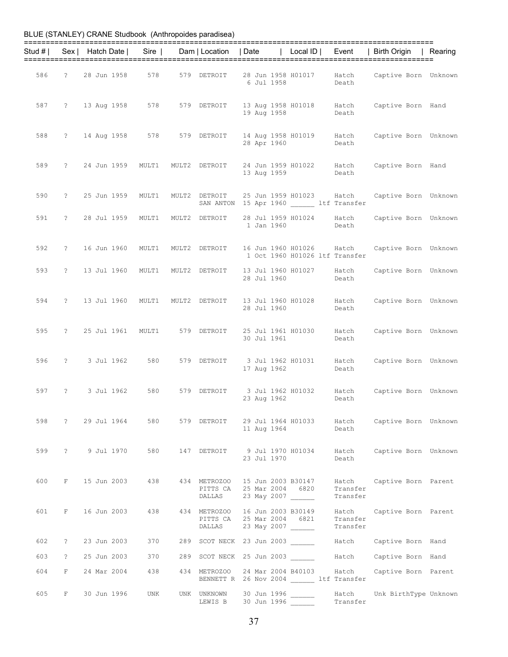| BLUE (STANLEY) CRANE Studbook (Anthropoides paradisea) |  |  |
|--------------------------------------------------------|--|--|
|--------------------------------------------------------|--|--|

|     |            |               |                                   |                     | Stud #   Sex   Hatch Date   Sire   Dam   Location   Date               |                                                       | Local ID   Event                                               |                               | Birth Origin   Rearing                                                          |  |
|-----|------------|---------------|-----------------------------------|---------------------|------------------------------------------------------------------------|-------------------------------------------------------|----------------------------------------------------------------|-------------------------------|---------------------------------------------------------------------------------|--|
| 586 |            |               | ? 28 Jun 1958 578                 |                     | 579 DETROIT                                                            | 6 Jul 1958                                            |                                                                | Death                         | 28 Jun 1958 H01017    Hatch    Captive Born Unknown                             |  |
|     |            |               | 587 ? 13 Aug 1958 578             |                     | 579 DETROIT                                                            | 19 Aug 1958                                           | 13 Aug 1958 H01018 Hatch                                       | Death                         | Captive Born Hand                                                               |  |
| 588 |            |               |                                   |                     | ? 14 Aug 1958 578 579 DETROIT 14 Aug 1958 H01019 Hatch                 | 28 Apr 1960                                           |                                                                | Death                         | Captive Born Unknown                                                            |  |
| 589 |            |               | ? 24 Jun 1959 MULT1 MULT2 DETROIT |                     |                                                                        | 13 Aug 1959                                           |                                                                | Death                         | 24 Jun 1959 H01022 Hatch Captive Born Hand                                      |  |
| 590 |            | ? 25 Jun 1959 | MULT1                             | MULT2 DETROIT       |                                                                        |                                                       | 25 Jun 1959 H01023 Hatch<br>SAN ANTON 15 Apr 1960 ltf Transfer |                               | Captive Born Unknown                                                            |  |
| 591 |            | ? 28 Jul 1959 | MULT1                             |                     | MULT2 DETROIT                                                          | 1 Jan 1960                                            | 28 Jul 1959 H01024 Hatch                                       | Death                         | Captive Born Unknown                                                            |  |
| 592 | $\ddot{?}$ | 16 Jun 1960   | MULT1                             |                     | MULT2 DETROIT                                                          |                                                       | 16 Jun 1960 H01026 Hatch<br>1 Oct 1960 H01026 ltf Transfer     |                               | Captive Born Unknown                                                            |  |
| 593 |            | ? 13 Jul 1960 |                                   | MULT1 MULT2 DETROIT |                                                                        | 28 Jul 1960                                           | 13 Jul 1960 H01027    Hatch                                    | Death                         | Captive Born Unknown                                                            |  |
| 594 |            |               |                                   |                     |                                                                        | 28 Jul 1960                                           |                                                                | Death                         | ? 13 Jul 1960 MULT1 MULT2 DETROIT 13 Jul 1960 H01028 Hatch Captive Born Unknown |  |
| 595 |            |               |                                   |                     |                                                                        | 30 Jul 1961                                           |                                                                | Death                         | ? 25 Jul 1961 MULT1 579 DETROIT 25 Jul 1961 H01030 Hatch Captive Born Unknown   |  |
|     |            |               |                                   |                     |                                                                        | 17 Aug 1962                                           |                                                                | Death                         | 596 ? 3 Jul 1962 580 579 DETROIT 3 Jul 1962 H01031 Hatch Captive Born Unknown   |  |
| 597 |            |               | ? 3 Jul 1962 580 579 DETROIT      |                     |                                                                        | 23 Aug 1962                                           |                                                                | Death                         | 3 Jul 1962 H01032 Hatch Captive Born Unknown                                    |  |
| 598 |            |               | ? 29 Jul 1964                     | 580                 | 579 DETROIT                                                            | 11 Aug 1964                                           | 29 Jul 1964 H01033                                             | Death                         | Hatch Captive Born Unknown                                                      |  |
| 599 |            |               | ? 9 Jul 1970                      | 580                 | 147 DETROIT                                                            | 23 Jul 1970                                           | 9 Jul 1970 H01034                                              | Hatch<br>Death                | Captive Born Unknown                                                            |  |
| 600 | $F -$      |               | 15 Jun 2003<br>438                |                     | 434 METROZOO<br>PITTS CA<br>DALLAS                                     | 15 Jun 2003 B30147<br>25 Mar 2004 6820<br>23 May 2007 |                                                                | Hatch<br>Transfer<br>Transfer | Captive Born Parent                                                             |  |
| 601 |            | F 16 Jun 2003 | 438                               |                     | 434 METROZOO 16 Jun 2003 B30149<br>PITTS CA 25 Mar 2004 6821<br>DALLAS | 23 May 2007 ______                                    |                                                                | Hatch<br>Transfer<br>Transfer | Captive Born Parent                                                             |  |
| 602 | $\ddot{?}$ | 23 Jun 2003   | 370                               |                     | 289 SCOT NECK 23 Jun 2003                                              |                                                       |                                                                |                               | Hatch Captive Born Hand                                                         |  |
| 603 | $\ddot{?}$ | 25 Jun 2003   | 370                               |                     | 289 SCOT NECK 25 Jun 2003                                              |                                                       |                                                                | Hatch                         | Captive Born Hand                                                               |  |
| 604 | F          |               | 24 Mar 2004<br>438                |                     | 434 METROZOO                                                           |                                                       | 24 Mar 2004 B40103<br>BENNETT R 26 Nov 2004 Ltf Transfer       | Hatch                         | Captive Born Parent                                                             |  |
| 605 | F          | 30 Jun 1996   | UNK                               |                     | UNK UNKNOWN<br>LEWIS B                                                 | 30 Jun 1996<br>30 Jun 1996                            |                                                                | Hatch<br>Transfer             | Unk BirthType Unknown                                                           |  |

37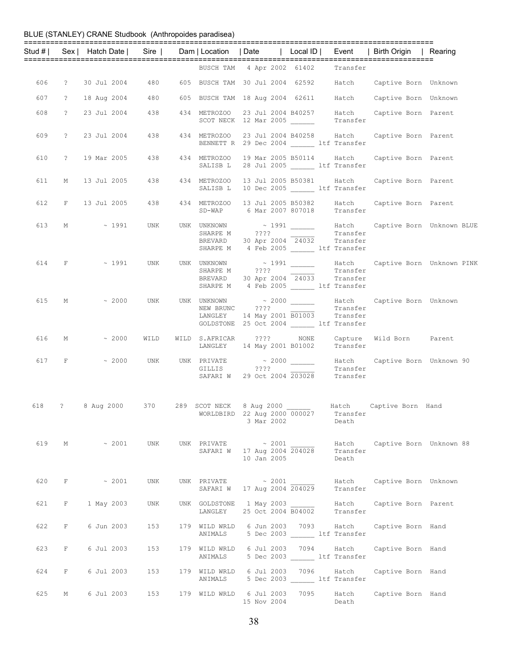|     |             | Stud #   Sex   Hatch Date   Sire   Dam   Location   Date   Local ID   Event   Birth Origin   Rearing |     |                          |                                                                                                |      |                                  |                                                                                                            |                                                                 |
|-----|-------------|------------------------------------------------------------------------------------------------------|-----|--------------------------|------------------------------------------------------------------------------------------------|------|----------------------------------|------------------------------------------------------------------------------------------------------------|-----------------------------------------------------------------|
|     |             |                                                                                                      |     |                          | BUSCH TAM 4 Apr 2002 61402 Transfer                                                            |      |                                  |                                                                                                            |                                                                 |
|     |             | 606 ? 30 Jul 2004                                                                                    |     |                          |                                                                                                |      |                                  | 480 605 BUSCH TAM 30 Jul 2004 62592 Hatch Captive Born Unknown                                             |                                                                 |
|     |             | 607 ? 18 Aug 2004 480 605 BUSCH TAM 18 Aug 2004 62611 Hatch Captive Born Unknown                     |     |                          |                                                                                                |      |                                  |                                                                                                            |                                                                 |
| 608 |             | ? 23 Jul 2004                                                                                        | 438 |                          | 434 METROZOO 23 Jul 2004 B40257                                                                |      |                                  | METROZOO 23 Jul 2004 B40257 Hatch Captive Born Parent<br>SCOT NECK 12 Mar 2005 _________ Transfer          |                                                                 |
| 609 |             | ? 23 Jul 2004                                                                                        | 438 |                          | BENNETT R 29 Dec 2004 Lif Transfer                                                             |      |                                  | 434 METROZOO 23 Jul 2004 B40258 Hatch Captive Born Parent                                                  |                                                                 |
| 610 | $\ddot{?}$  | 19 Mar 2005                                                                                          | 438 | 434 METROZOO<br>SALISB L | 28 Jul 2005 ltf Transfer                                                                       |      |                                  | 19 Mar 2005 B50114 Hatch Captive Born Parent                                                               |                                                                 |
|     |             | 611 M 13 Jul 2005                                                                                    | 438 | 434 METROZOO<br>SALISB L | 10 Dec 2005 ______ ltf Transfer                                                                |      |                                  | 13 Jul 2005 B50381 Hatch Captive Born Parent                                                               |                                                                 |
|     |             | 612 F 13 Jul 2005                                                                                    |     |                          |                                                                                                |      |                                  | 438  434 METROZOO  13 Jul 2005  B50382  Hatch  Captive Born Parent<br>SD-WAP  6 Mar 2007  807018  Transfer |                                                                 |
| 613 |             | $M \sim 1991$                                                                                        | UNK |                          | SHARPE M ????<br>BREVARD 30 Apr 2004 24032 Transfer<br>SHARPE M 4 Feb 2005 ______ ltf Transfer |      | Transfer                         |                                                                                                            | UNK UNKNOWN $\sim$ 1991 _______ Hatch Captive Born Unknown BLUE |
|     |             | 614 F $\sim$ 1991                                                                                    |     |                          | BREVARD 30 Apr 2004 24033 Transfer<br>SHARPE M 4 Feb 2005 ltf Transfer                         |      | Transfer                         |                                                                                                            | Hatch Captive Born Unknown PINK                                 |
|     |             | 615 M ~ 2000 UNK UNK UNKNOWN ~ 2000 ______ Hatch Captive Born Unknown                                |     |                          | NEW BRUNC ????<br>LANGLEY 14 May 2001 B01003 Transfer<br>GOLDSTONE 25 Oct 2004 ltf Transfer    |      | Transfer                         |                                                                                                            |                                                                 |
|     |             | 616 M $\sim 2000$                                                                                    |     |                          | WILD WILD S.AFRICAR ???? NONE<br>LANGLEY 14 May 2001 B01002                                    |      | Transfer                         | Capture Wild Born Parent                                                                                   |                                                                 |
|     | 617 F       |                                                                                                      |     |                          | GILLIS ????<br>SAFARI W 29 Oct 2004 203028 Transfer                                            |      | Transfer                         | Hatch Captive Born Unknown 90                                                                              |                                                                 |
| 618 |             | ? 8 Aug 2000 370 289 SCOT NECK 8 Aug 2000 _______ Hatch Captive Born Hand                            |     |                          | WORLDBIRD 22 Aug 2000 000027<br>3 Mar 2002                                                     |      | Transfer<br>Death                |                                                                                                            |                                                                 |
|     |             | 619 M ~ 2001                                                                                         | UNK |                          | UNK PRIVATE $\sim 2001$<br>SAFARI W 17 Aug 2004 204028<br>10 Jan 2005                          |      | Transfer<br>Death                | Hatch Captive Born Unknown 88                                                                              |                                                                 |
| 620 | $F$ and $F$ | $\sim 2001$                                                                                          | UNK | SAFARI W                 | UNK PRIVATE $\sim 2001$<br>17 Aug 2004 204029                                                  |      | Transfer                         | Hatch Captive Born Unknown                                                                                 |                                                                 |
| 621 | F           | 1 May 2003                                                                                           | UNK | LANGLEY                  | UNK GOLDSTONE 1 May 2003<br>25 Oct 2004 B04002                                                 |      | Hatch<br>Transfer                | Captive Born Parent                                                                                        |                                                                 |
| 622 | F           | 6 Jun 2003                                                                                           | 153 | 179 WILD WRLD<br>ANIMALS | 6 Jun 2003 – 7093                                                                              |      | 5 Dec 2003 ltf Transfer          | Hatch Captive Born Hand                                                                                    |                                                                 |
| 623 | F           | 6 Jul 2003                                                                                           | 153 | 179 WILD WRLD<br>ANIMALS | 6 Jul 2003 7094                                                                                |      | Hatch<br>5 Dec 2003 ltf Transfer | Captive Born Hand                                                                                          |                                                                 |
| 624 | F           | 6 Jul 2003                                                                                           | 153 | 179 WILD WRLD<br>ANIMALS | 6 Jul 2003                                                                                     | 7096 | Hatch<br>5 Dec 2003 ltf Transfer | Captive Born Hand                                                                                          |                                                                 |
| 625 | М           | 6 Jul 2003                                                                                           | 153 |                          | 179 WILD WRLD 6 Jul 2003 7095<br>15 Nov 2004                                                   |      | Hatch<br>Death                   | Captive Born Hand                                                                                          |                                                                 |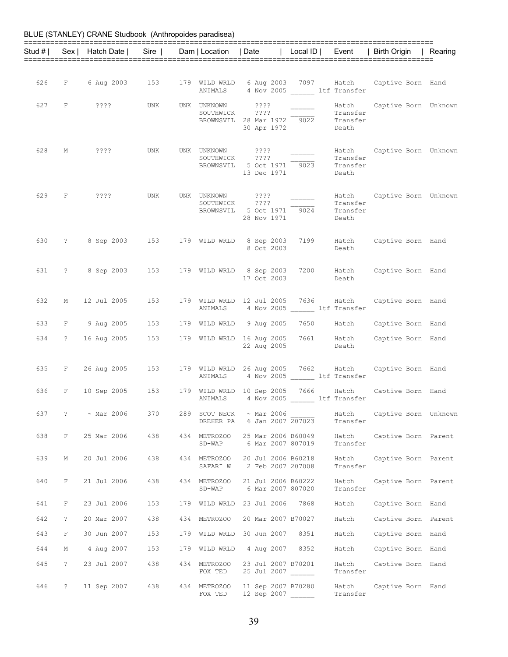|     |                |                                                |     |                          |                                                                                 |                               | Stud #   Sex   Hatch Date   Sire   Dam   Location   Date   Local ID   Event   Birth Origin   Rearing |  |
|-----|----------------|------------------------------------------------|-----|--------------------------|---------------------------------------------------------------------------------|-------------------------------|------------------------------------------------------------------------------------------------------|--|
|     |                |                                                |     |                          |                                                                                 |                               |                                                                                                      |  |
|     |                | 626 F 6 Aug 2003 153                           |     |                          | ANIMALS 4 Nov 2005 ltf Transfer                                                 |                               | 179 WILD WRLD 6 Aug 2003 7097 Hatch Captive Born Hand                                                |  |
|     |                | 627 F ????                                     | UNK |                          | UNK UNKNOWN ????<br>SOUTHWICK ????<br>BROWNSVIL 28 Mar 1972 9022<br>30 Apr 1972 | Transfer<br>Transfer<br>Death | Hatch Captive Born Unknown                                                                           |  |
| 628 | M              | ? ? ? ?                                        | UNK | UNK UNKNOWN ????         | SOUTHWICK ????<br>BROWNSVIL 5 Oct 1971 9023<br>13 Dec 1971                      | Transfer<br>Transfer<br>Death | Hatch Captive Born Unknown                                                                           |  |
|     |                | 629 F ????                                     | UNK |                          | UNK UNKNOWN ????<br>SOUTHWICK ????<br>BROWNSVIL 5 Oct 1971 9024<br>28 Nov 1971  | Transfer<br>Transfer<br>Death | Hatch Captive Born Unknown                                                                           |  |
| 630 |                | ? 8 Sep 2003 153 179 WILD WRLD 8 Sep 2003 7199 |     |                          | 8 Oct 2003                                                                      | Death                         | Hatch Captive Born Hand                                                                              |  |
| 631 |                | ? 8 Sep 2003 153 179 WILD WRLD 8 Sep 2003 7200 |     |                          | 17 Oct 2003                                                                     | Death                         | Hatch Captive Born Hand                                                                              |  |
| 632 | М              | 12 Jul 2005                                    | 153 |                          | 179 WILD WRLD 12 Jul 2005 7636 Hatch<br>ANIMALS 4 Nov 2005 1tf Transfer         |                               | Captive Born Hand                                                                                    |  |
| 633 |                | F 9 Aug 2005                                   | 153 |                          |                                                                                 |                               | 179 WILD WRLD 9 Aug 2005 7650 Hatch Captive Born Hand                                                |  |
| 634 | $\overline{?}$ | 16 Aug 2005                                    | 153 |                          | 22 Aug 2005                                                                     | Death                         | 179 WILD WRLD 16 Aug 2005 7661 Hatch Captive Born Hand                                               |  |
| 635 |                | F 26 Aug 2005 153                              |     |                          | ANIMALS 4 Nov 2005 1tf Transfer                                                 |                               | 179 WILD WRLD 26 Aug 2005 7662 Hatch Captive Born Hand                                               |  |
| 636 | $F$ and $F$    | 10 Sep 2005 153                                |     |                          | 179 WILD WRLD 10 Sep 2005 7666 Hatch<br>ANIMALS 4 Nov 2005 1tf Transfer         |                               | Captive Born Hand                                                                                    |  |
| 637 |                | $? \sim \text{Mar } 2006$                      | 370 | DREHER PA                | 289 SCOT NECK ~ Mar 2006<br>6 Jan 2007 207023                                   | Transfer                      | Hatch Captive Born Unknown                                                                           |  |
| 638 | $\mathbf{F}$   | 25 Mar 2006                                    | 438 | 434 METROZOO<br>SD-WAP   | 25 Mar 2006 B60049<br>6 Mar 2007 807019                                         | Hatch<br>Transfer             | Captive Born Parent                                                                                  |  |
| 639 | М              | 20 Jul 2006                                    | 438 | 434 METROZOO<br>SAFARI W | 20 Jul 2006 B60218<br>2 Feb 2007 207008                                         | Hatch<br>Transfer             | Captive Born Parent                                                                                  |  |
| 640 | $\mathbf{F}$   | 21 Jul 2006                                    | 438 | 434 METROZOO<br>SD-WAP   | 21 Jul 2006 B60222<br>6 Mar 2007 807020                                         | Hatch<br>Transfer             | Captive Born Parent                                                                                  |  |
| 641 | F              | 23 Jul 2006                                    | 153 |                          | 179 WILD WRLD 23 Jul 2006 7868                                                  | Hatch                         | Captive Born Hand                                                                                    |  |
| 642 | $\ddot{?}$     | 20 Mar 2007                                    | 438 | 434 METROZOO             | 20 Mar 2007 B70027                                                              | Hatch                         | Captive Born Parent                                                                                  |  |
| 643 | $F^-$          | 30 Jun 2007                                    | 153 |                          | 179 WILD WRLD 30 Jun 2007 8351                                                  | Hatch                         | Captive Born Hand                                                                                    |  |
| 644 | М              | 4 Aug 2007                                     | 153 | 179 WILD WRLD            | 4 Aug 2007 8352                                                                 | Hatch                         | Captive Born Hand                                                                                    |  |
| 645 | $\mathbb{R}$   | 23 Jul 2007                                    | 438 | 434 METROZOO<br>FOX TED  | 23 Jul 2007 B70201<br>25 Jul 2007 ______                                        | Hatch<br>Transfer             | Captive Born Hand                                                                                    |  |
| 646 | $\ddot{?}$     | 11 Sep 2007                                    | 438 | 434 METROZOO<br>FOX TED  | 11 Sep 2007 B70280<br>12 Sep 2007                                               | Hatch<br>Transfer             | Captive Born Hand                                                                                    |  |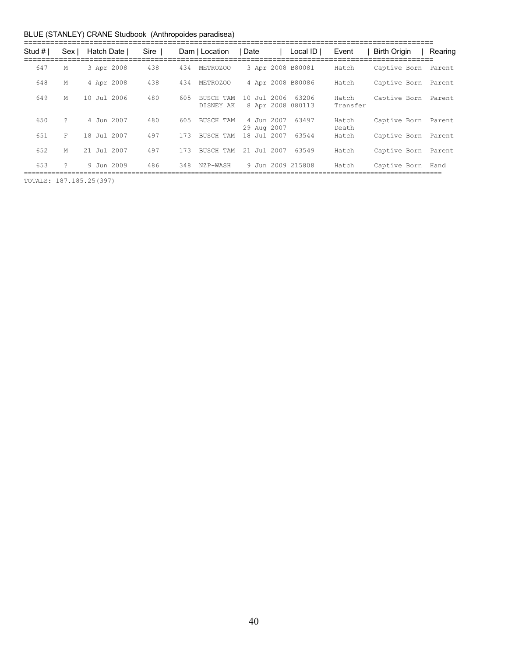| Stud # | Sex | Hatch Date I | Sire |     | Dam   Location         | ∣ Date                    | Local $ID \mid$            | Event             | Birth Origin        | Rearing |
|--------|-----|--------------|------|-----|------------------------|---------------------------|----------------------------|-------------------|---------------------|---------|
| 647    | М   | 3 Apr 2008   | 438  | 434 | METROZOO               |                           | 3 Apr 2008 B80081          | Hatch             | Captive Born Parent |         |
| 648    | М   | 4 Apr 2008   | 438  | 434 | METROZOO               |                           | 4 Apr 2008 B80086          | Hatch             | Captive Born        | Parent  |
| 649    | M   | 10 Jul 2006  | 480  | 605 | BUSCH TAM<br>DISNEY AK | 10 Jul 2006               | 63206<br>8 Apr 2008 080113 | Hatch<br>Transfer | Captive Born        | Parent  |
| 650    | ?   | 4 Jun 2007   | 480  | 605 | <b>BUSCH TAM</b>       | 4 Jun 2007<br>29 Aug 2007 | 63497                      | Hatch<br>Death    | Captive Born        | Parent  |
| 651    | F   | 18 Jul 2007  | 497  | 173 | <b>BUSCH TAM</b>       | 18 Jul 2007               | 63544                      | Hatch             | Captive Born        | Parent  |
| 652    | M   | 21 Jul 2007  | 497  | 173 | BUSCH TAM              | 21 Jul 2007               | 63549                      | Hatch             | Captive Born        | Parent  |
| 653    | 2   | 9 Jun 2009   | 486  | 348 | NZP-WASH               |                           | 9 Jun 2009 215808          | Hatch             | Captive Born        | Hand    |

TOTALS: 187.185.25(397)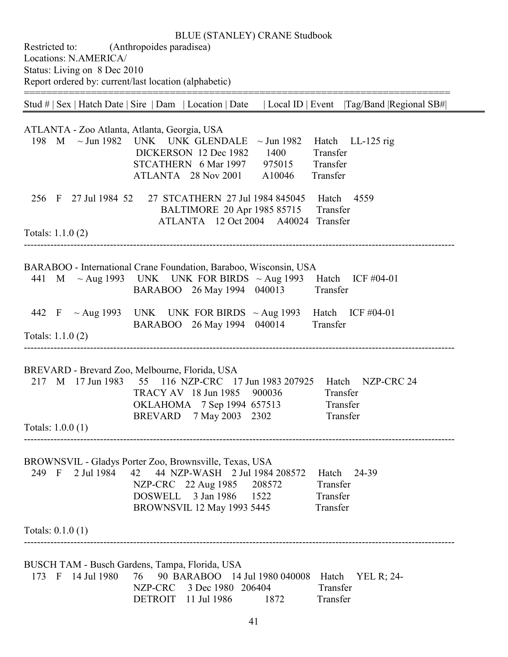Restricted to: (Anthropoides paradisea) Locations: N.AMERICA/ Status: Living on 8 Dec 2010 Report ordered by: current/last location (alphabetic)

============================================================================ Stud # | Sex | Hatch Date | Sire | Dam | Location | Date | Local ID | Event |Tag/Band |Regional SB#| ATLANTA - Zoo Atlanta, Atlanta, Georgia, USA 198 M  $\sim$  Jun 1982 UNK UNK GLENDALE  $\sim$  Jun 1982 Hatch LL-125 rig DICKERSON 12 Dec 1982 1400 Transfer STCATHERN 6 Mar 1997 975015 Transfer ATLANTA 28 Nov 2001 A10046 Transfer 256 F 27 Jul 1984 52 27 STCATHERN 27 Jul 1984 845045 Hatch 4559 BALTIMORE 20 Apr 1985 85715 Transfer ATLANTA 12 Oct 2004 A40024 Transfer Totals: 1.1.0 (2) ---------------------------------------------------------------------------------------------------------------------------------- BARABOO - International Crane Foundation, Baraboo, Wisconsin, USA 441 M ~ Aug 1993 UNK UNK FOR BIRDS ~ Aug 1993 Hatch ICF #04-01 BARABOO 26 May 1994 040013 Transfer 442 F  $\sim$  Aug 1993 UNK UNK FOR BIRDS  $\sim$  Aug 1993 Hatch ICF #04-01 BARABOO 26 May 1994 040014 Transfer Totals: 1.1.0 (2) ---------------------------------------------------------------------------------------------------------------------------------- BREVARD - Brevard Zoo, Melbourne, Florida, USA 217 M 17 Jun 1983 55 116 NZP-CRC 17 Jun 1983 207925 Hatch NZP-CRC 24 TRACY AV 18 Jun 1985 900036 Transfer OKLAHOMA 7 Sep 1994 657513 Transfer BREVARD 7 May 2003 2302 Transfer Totals: 1.0.0 (1) ---------------------------------------------------------------------------------------------------------------------------------- BROWNSVIL - Gladys Porter Zoo, Brownsville, Texas, USA 42 44 NZP-WASH 2 Jul 1984 208572 Hatch 24-39 NZP-CRC 22 Aug 1985 208572 Transfer<br>DOSWELL 3 Jan 1986 1522 Transfer DOSWELL 3 Jan 1986 1522 BROWNSVIL 12 May 1993 5445 Transfer Totals: 0.1.0 (1) ---------------------------------------------------------------------------------------------------------------------------------- BUSCH TAM - Busch Gardens, Tampa, Florida, USA 173 F 14 Jul 1980 76 90 BARABOO 14 Jul 1980 040008 Hatch YEL R; 24- NZP-CRC 3 Dec 1980 206404 Transfer DETROIT 11 Jul 1986 1872 Transfer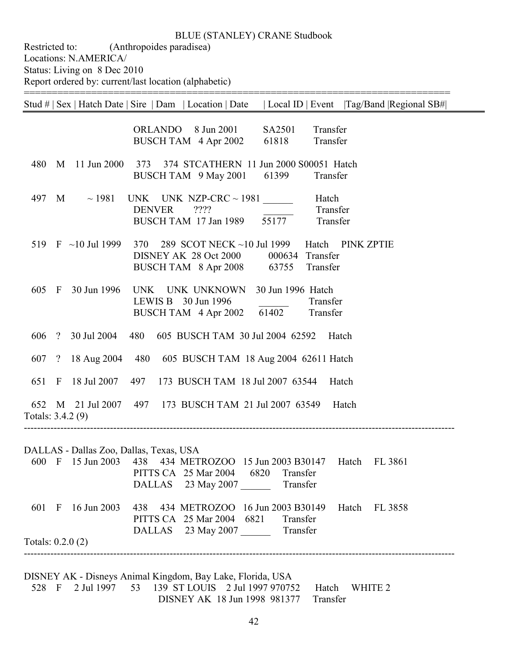============================================================================

Restricted to: (Anthropoides paradisea) Locations: N.AMERICA/ Status: Living on 8 Dec 2010 Report ordered by: current/last location (alphabetic)

|                    |              |                              | Local ID   Event   Tag/Band   Regional SB# <br>Stud #   Sex   Hatch Date   Sire   Dam   Location   Date                                           |
|--------------------|--------------|------------------------------|---------------------------------------------------------------------------------------------------------------------------------------------------|
|                    |              |                              | ORLANDO 8 Jun 2001<br>SA2501<br>Transfer<br>Transfer<br>BUSCH TAM 4 Apr 2002<br>61818                                                             |
| 480                | M            |                              | 11 Jun 2000 373 374 STCATHERN 11 Jun 2000 S00051 Hatch<br>BUSCH TAM 9 May 2001<br>61399<br>Transfer                                               |
| 497                | M            | $\sim$ 1981                  | UNK UNK NZP-CRC $\sim$ 1981<br>Hatch<br><b>DENVER</b><br>??<br>Transfer<br>55177<br>BUSCH TAM 17 Jan 1989<br>Transfer                             |
|                    |              | 519 $\,$ F $\,$ ~10 Jul 1999 | 370 289 SCOT NECK ~10 Jul 1999<br>Hatch PINK ZPTIE<br>DISNEY AK 28 Oct 2000<br>000634 Transfer<br>Transfer<br>BUSCH TAM 8 Apr 2008 63755          |
| 605                | $\mathbf{F}$ | 30 Jun 1996                  | UNK UNK UNKNOWN<br>30 Jun 1996 Hatch<br>LEWIS B 30 Jun 1996<br>Transfer<br>BUSCH TAM 4 Apr 2002 61402<br>Transfer                                 |
|                    |              | 606 ? 30 Jul 2004            | 480 605 BUSCH TAM 30 Jul 2004 62592<br>Hatch                                                                                                      |
| 607 ?              |              | 18 Aug 2004                  | 480 605 BUSCH TAM 18 Aug 2004 62611 Hatch                                                                                                         |
| 651 F              |              | 18 Jul 2007                  | 497 173 BUSCH TAM 18 Jul 2007 63544<br>Hatch                                                                                                      |
| Totals: 3.4.2 (9)  |              |                              | 652 M 21 Jul 2007 497 173 BUSCH TAM 21 Jul 2007 63549 Hatch                                                                                       |
|                    |              |                              | DALLAS - Dallas Zoo, Dallas, Texas, USA                                                                                                           |
|                    |              |                              | 600 F 15 Jun 2003 438 434 METROZOO 15 Jun 2003 B30147<br>Hatch<br>FL 3861<br>PITTS CA 25 Mar 2004 6820 Transfer<br>DALLAS 23 May 2007<br>Transfer |
| 601 F              |              |                              | 16 Jun 2003 438 434 METROZOO 16 Jun 2003 B30149<br>Hatch FL 3858<br>PITTS CA 25 Mar 2004 6821<br>Transfer                                         |
| Totals: $0.2.0(2)$ |              |                              | DALLAS 23 May 2007 Transfer                                                                                                                       |
|                    |              |                              |                                                                                                                                                   |

DISNEY AK - Disneys Animal Kingdom, Bay Lake, Florida, USA 139 ST LOUIS 2 Jul 1997 970752 Hatch WHITE 2 DISNEY AK 18 Jun 1998 981377 Transfer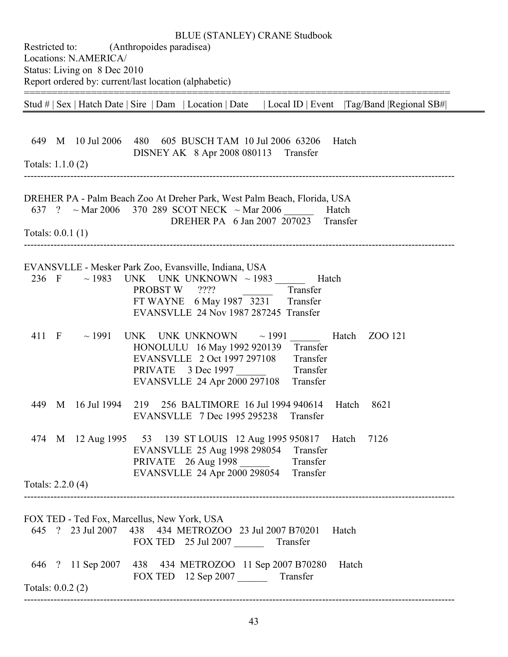| <b>BLUE (STANLEY) CRANE Studbook</b><br>Restricted to: (Anthropoides paradisea)<br>Locations: N.AMERICA/<br>Status: Living on 8 Dec 2010<br>Report ordered by: current/last location (alphabetic)                                        |
|------------------------------------------------------------------------------------------------------------------------------------------------------------------------------------------------------------------------------------------|
| Stud #   Sex   Hatch Date   Sire   Dam   Location   Date   Local ID   Event   Tag/Band   Regional SB#                                                                                                                                    |
| 649 M 10 Jul 2006<br>480 605 BUSCH TAM 10 Jul 2006 63206<br>Hatch<br>DISNEY AK 8 Apr 2008 080113 Transfer<br>Totals: $1.1.0(2)$                                                                                                          |
| DREHER PA - Palm Beach Zoo At Dreher Park, West Palm Beach, Florida, USA<br>637 ? ~ Mar 2006 370 289 SCOT NECK ~ Mar 2006<br>Hatch<br>DREHER PA 6 Jan 2007 207023 Transfer                                                               |
| Totals: $0.0.1(1)$                                                                                                                                                                                                                       |
| EVANSVLLE - Mesker Park Zoo, Evansville, Indiana, USA<br>236 F ~ 1983 UNK UNK UNKNOWN ~ 1983 ______<br>Hatch<br>PROBST W ????<br>Transfer<br>FT WAYNE 6 May 1987 3231<br>Transfer<br>EVANSVLLE 24 Nov 1987 287245 Transfer               |
| 411 F $\sim$ 1991<br>UNK UNK UNKNOWN<br>$\sim$ 1991<br>Hatch ZOO 121<br>HONOLULU 16 May 1992 920139<br>Transfer<br>Transfer<br>EVANSVLLE 2 Oct 1997 297108<br>PRIVATE 3 Dec 1997<br>Transfer<br>EVANSVLLE 24 Apr 2000 297108<br>Transfer |
| 449 M 16 Jul 1994 219 256 BALTIMORE 16 Jul 1994 940614 Hatch 8621<br>EVANSVLLE 7 Dec 1995 295238 Transfer                                                                                                                                |
| 474 M 12 Aug 1995 53 139 ST LOUIS 12 Aug 1995 950817 Hatch 7126<br>EVANSVLLE 25 Aug 1998 298054 Transfer<br>PRIVATE 26 Aug 1998 Transfer<br>EVANSVLLE 24 Apr 2000 298054 Transfer                                                        |
| Totals: 2.2.0 (4)                                                                                                                                                                                                                        |
| FOX TED - Ted Fox, Marcellus, New York, USA<br>645 ? 23 Jul 2007 438 434 METROZOO 23 Jul 2007 B70201<br>Hatch<br>FOX TED 25 Jul 2007 Transfer                                                                                            |
| 646 ? 11 Sep 2007 438 434 METROZOO 11 Sep 2007 B70280<br>Hatch<br>FOX TED 12 Sep 2007 Transfer<br>Totals: $0.0.2(2)$                                                                                                                     |
|                                                                                                                                                                                                                                          |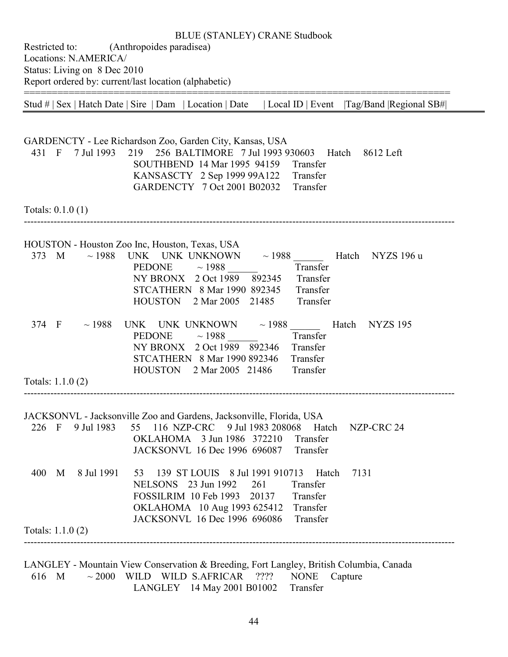Restricted to: (Anthropoides paradisea) Locations: N.AMERICA/ Status: Living on 8 Dec 2010 Report ordered by: current/last location (alphabetic) ============================================================================

Stud # | Sex | Hatch Date | Sire | Dam | Location | Date | Local ID | Event |Tag/Band |Regional SB#|

GARDENCTY - Lee Richardson Zoo, Garden City, Kansas, USA 431 F 7 Jul 1993 219 256 BALTIMORE 7 Jul 1993 930603 Hatch 8612 Left SOUTHBEND 14 Mar 1995 94159 Transfer KANSASCTY 2 Sep 1999 99A122 Transfer GARDENCTY 7 Oct 2001 B02032 Transfer Totals: 0.1.0 (1) ---------------------------------------------------------------------------------------------------------------------------------- HOUSTON - Houston Zoo Inc, Houston, Texas, USA 373 M ~ 1988 UNK UNK UNKNOWN ~ 1988 Hatch NYZS 196 u PEDONE  $\sim$  1988 Transfer NY BRONX 2 Oct 1989 892345 Transfer STCATHERN 8 Mar 1990 892345 Transfer HOUSTON 2 Mar 2005 21485 Transfer 374 F ~ 1988 UNK UNK UNKNOWN ~ 1988 Hatch NYZS 195<br>PEDONE ~ 1988 Transfer PEDONE  $\sim$  1988 NY BRONX 2 Oct 1989 892346 Transfer STCATHERN 8 Mar 1990 892346 Transfer HOUSTON 2 Mar 2005 21486 Transfer Totals: 1.1.0 (2) ---------------------------------------------------------------------------------------------------------------------------------- JACKSONVL - Jacksonville Zoo and Gardens, Jacksonville, Florida, USA 226 F 9 Jul 1983 55 116 NZP-CRC 9 Jul 1983 208068 Hatch NZP-CRC 24 OKLAHOMA 3 Jun 1986 372210 Transfer JACKSONVL 16 Dec 1996 696087 Transfer 400 M 8 Jul 1991 53 139 ST LOUIS 8 Jul 1991 910713 Hatch 7131 NELSONS 23 Jun 1992 261 Transfer FOSSILRIM 10 Feb 1993 20137 Transfer OKLAHOMA 10 Aug 1993 625412 Transfer JACKSONVL 16 Dec 1996 696086 Transfer Totals: 1.1.0 (2) ----------------------------------------------------------------------------------------------------------------------------------

LANGLEY - Mountain View Conservation & Breeding, Fort Langley, British Columbia, Canada 616 M  $\sim$  2000 WILD WILD S.AFRICAR ???? NONE Capture LANGLEY 14 May 2001 B01002 Transfer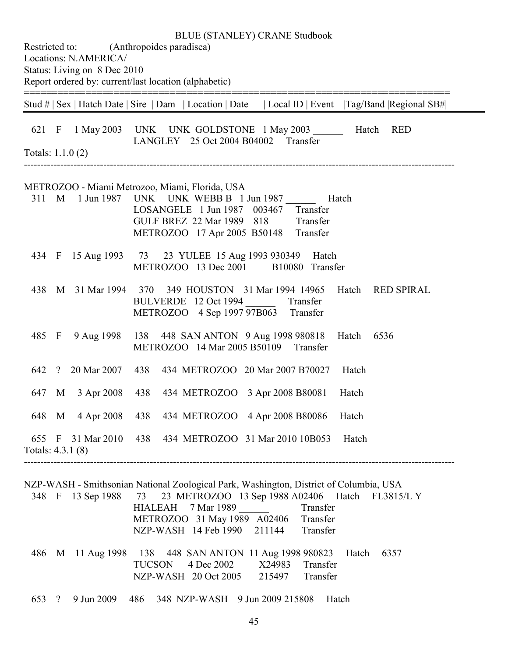Restricted to: (Anthropoides paradisea) Locations: N.AMERICA/ Status: Living on 8 Dec 2010 Report ordered by: current/last location (alphabetic) ============================================================================ Stud # | Sex | Hatch Date | Sire | Dam | Location | Date | Local ID | Event |Tag/Band |Regional SB#| 621 F 1 May 2003 UNK UNK GOLDSTONE 1 May 2003 \_\_\_\_\_\_ Hatch RED LANGLEY 25 Oct 2004 B04002 Transfer Totals: 1.1.0 (2) ---------------------------------------------------------------------------------------------------------------------------------- METROZOO - Miami Metrozoo, Miami, Florida, USA 311 M 1 Jun 1987 UNK UNK WEBB B 1 Jun 1987 Hatch LOSANGELE 1 Jun 1987 003467 Transfer GULF BREZ 22 Mar 1989 818 Transfer METROZOO 17 Apr 2005 B50148 Transfer 434 F 15 Aug 1993 73 23 YULEE 15 Aug 1993 930349 Hatch METROZOO 13 Dec 2001 B10080 Transfer 438 M 31 Mar 1994 370 349 HOUSTON 31 Mar 1994 14965 Hatch RED SPIRAL BULVERDE 12 Oct 1994 \_\_\_\_\_\_ Transfer METROZOO 4 Sep 1997 97B063 Transfer 485 F 9 Aug 1998 138 448 SAN ANTON 9 Aug 1998 980818 Hatch 6536 METROZOO 14 Mar 2005 B50109 Transfer 642 ? 20 Mar 2007 438 434 METROZOO 20 Mar 2007 B70027 Hatch 647 M 3 Apr 2008 438 434 METROZOO 3 Apr 2008 B80081 Hatch 648 M 4 Apr 2008 438 434 METROZOO 4 Apr 2008 B80086 Hatch 655 F 31 Mar 2010 438 434 METROZOO 31 Mar 2010 10B053 Hatch Totals: 4.3.1 (8) ----------------------------------------------------------------------------------------------------------------------------------

BLUE (STANLEY) CRANE Studbook

|  | NZP-WASH - Smithsonian National Zoological Park, Washington, District of Columbia, USA |  |                    |                                      |          |      |
|--|----------------------------------------------------------------------------------------|--|--------------------|--------------------------------------|----------|------|
|  | 348 F 13 Sep 1988 73 23 METROZOO 13 Sep 1988 A02406 Hatch FL3815/L Y                   |  |                    |                                      |          |      |
|  |                                                                                        |  | HIALEAH 7 Mar 1989 |                                      | Transfer |      |
|  |                                                                                        |  |                    | METROZOO 31 May 1989 A02406 Transfer |          |      |
|  |                                                                                        |  |                    | NZP-WASH 14 Feb 1990 211144 Transfer |          |      |
|  |                                                                                        |  |                    |                                      |          |      |
|  | 486 M 11 Aug 1998 138 448 SAN ANTON 11 Aug 1998 980823 Hatch                           |  |                    |                                      |          | 6357 |
|  |                                                                                        |  |                    | TUCSON 4 Dec 2002 X24983 Transfer    |          |      |
|  |                                                                                        |  |                    | NZP-WASH 20 Oct 2005 215497 Transfer |          |      |
|  |                                                                                        |  |                    |                                      |          |      |
|  | 653 ? 9 Jun 2009                                                                       |  |                    | 486 348 NZP-WASH 9 Jun 2009 215808   | Hatch    |      |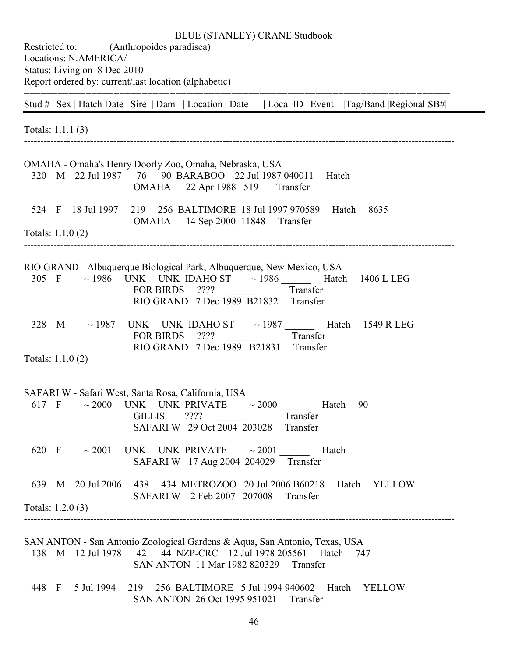| Restricted to: (Anthropoides paradisea)<br>Locations: N.AMERICA/<br>Status: Living on 8 Dec 2010<br>Report ordered by: current/last location (alphabetic)                                                                   |  |
|-----------------------------------------------------------------------------------------------------------------------------------------------------------------------------------------------------------------------------|--|
| Stud #   Sex   Hatch Date   Sire   Dam   Location   Date   Local ID   Event   Tag/Band   Regional SB#                                                                                                                       |  |
| Totals: 1.1.1 (3)                                                                                                                                                                                                           |  |
| OMAHA - Omaha's Henry Doorly Zoo, Omaha, Nebraska, USA<br>320 M 22 Jul 1987<br>76 90 BARABOO 22 Jul 1987 040011<br>Hatch<br>OMAHA 22 Apr 1988 5191 Transfer                                                                 |  |
| 219 256 BALTIMORE 18 Jul 1997 970589<br>524 F<br>18 Jul 1997<br>Hatch<br>8635<br>OMAHA 14 Sep 2000 11848 Transfer<br>Totals: $1.1.0(2)$                                                                                     |  |
| RIO GRAND - Albuquerque Biological Park, Albuquerque, New Mexico, USA<br>$\sim$ 1986 UNK UNK IDAHO ST $\sim$ 1986 Hatch 1406 L LEG<br>305 F<br><b>FOR BIRDS</b><br>????<br>Transfer<br>RIO GRAND 7 Dec 1989 B21832 Transfer |  |
| UNK UNK IDAHO ST $\sim$ 1987 Hatch 1549 R LEG<br>328 M ~ 1987<br>????<br><b>FOR BIRDS</b><br>Transfer<br>RIO GRAND 7 Dec 1989 B21831<br>Transfer<br>Totals: $1.1.0(2)$                                                      |  |
| SAFARI W - Safari West, Santa Rosa, California, USA<br>$\sim$ 2000 UNK UNK PRIVATE $\sim$ 2000 Hatch 90<br>617 F<br>Transfer<br><b>GILLIS</b><br>????<br>SAFARI W 29 Oct 2004 203028<br>Transfer                            |  |
| 620 F $\sim$ 2001 UNK UNK PRIVATE $\sim$ 2001<br>Hatch<br>SAFARI W 17 Aug 2004 204029 Transfer                                                                                                                              |  |
| 639 M 20 Jul 2006 438 434 METROZOO 20 Jul 2006 B60218<br>Hatch<br><b>YELLOW</b><br>SAFARI W 2 Feb 2007 207008<br>Transfer                                                                                                   |  |
| Totals: $1.2.0(3)$                                                                                                                                                                                                          |  |
| SAN ANTON - San Antonio Zoological Gardens & Aqua, San Antonio, Texas, USA<br>42 44 NZP-CRC 12 Jul 1978 205561 Hatch<br>138 M 12 Jul 1978<br>747<br>SAN ANTON 11 Mar 1982 820329<br>Transfer                                |  |
| 219 256 BALTIMORE 5 Jul 1994 940602 Hatch<br>448 F<br>5 Jul 1994<br><b>YELLOW</b><br>SAN ANTON 26 Oct 1995 951021 Transfer                                                                                                  |  |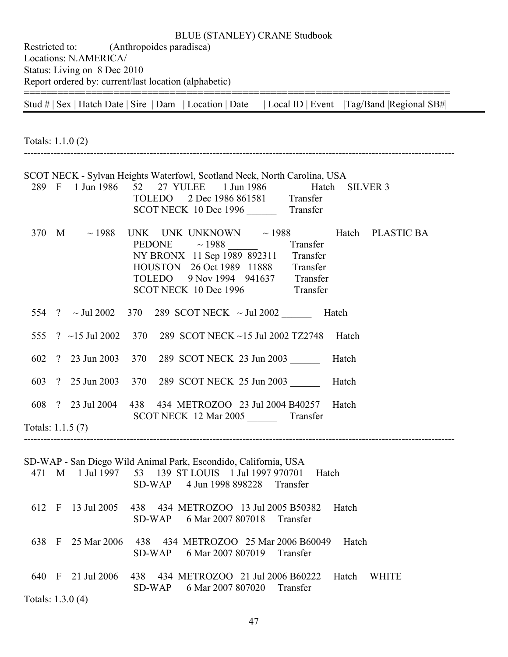Restricted to: (Anthropoides paradisea) Locations: N.AMERICA/ Status: Living on 8 Dec 2010 Report ordered by: current/last location (alphabetic) ============================================================================

Stud # | Sex | Hatch Date | Sire | Dam | Location | Date | Local ID | Event |Tag/Band |Regional SB#|

Totals: 1.1.0 (2) ---------------------------------------------------------------------------------------------------------------------------------- SCOT NECK - Sylvan Heights Waterfowl, Scotland Neck, North Carolina, USA 289 F 1 Jun 1986 52 27 YULEE 1 Jun 1986 Hatch SILVER 3 TOLEDO 2 Dec 1986 861581 Transfer SCOT NECK 10 Dec 1996 \_\_\_\_\_\_\_\_ Transfer 370 M  $\sim$  1988 UNK UNK UNKNOWN  $\sim$  1988 Hatch PLASTIC BA PEDONE  $\sim$  1988 Transfer NY BRONX 11 Sep 1989 892311 Transfer HOUSTON 26 Oct 1989 11888 Transfer TOLEDO 9 Nov 1994 941637 Transfer SCOT NECK 10 Dec 1996 Transfer 554 ?  $\sim$  Jul 2002 370 289 SCOT NECK  $\sim$  Jul 2002 Hatch 555 ? ~15 Jul 2002 370 289 SCOT NECK ~15 Jul 2002 TZ2748 Hatch 602 ? 23 Jun 2003 370 289 SCOT NECK 23 Jun 2003 \_\_\_\_\_\_ Hatch 603 ? 25 Jun 2003 370 289 SCOT NECK 25 Jun 2003 \_\_\_\_\_\_ Hatch 608 ? 23 Jul 2004 438 434 METROZOO 23 Jul 2004 B40257 Hatch SCOT NECK 12 Mar 2005 Transfer Totals: 1.1.5 (7) ---------------------------------------------------------------------------------------------------------------------------------- SD-WAP - San Diego Wild Animal Park, Escondido, California, USA 471 M 1 Jul 1997 53 139 ST LOUIS 1 Jul 1997 970701 Hatch SD-WAP 4 Jun 1998 898228 Transfer 612 F 13 Jul 2005 438 434 METROZOO 13 Jul 2005 B50382 Hatch SD-WAP 6 Mar 2007 807018 Transfer 638 F 25 Mar 2006 438 434 METROZOO 25 Mar 2006 B60049 Hatch SD-WAP 6 Mar 2007 807019 Transfer 640 F 21 Jul 2006 438 434 METROZOO 21 Jul 2006 B60222 Hatch WHITE SD-WAP 6 Mar 2007 807020 Transfer Totals: 1.3.0 (4)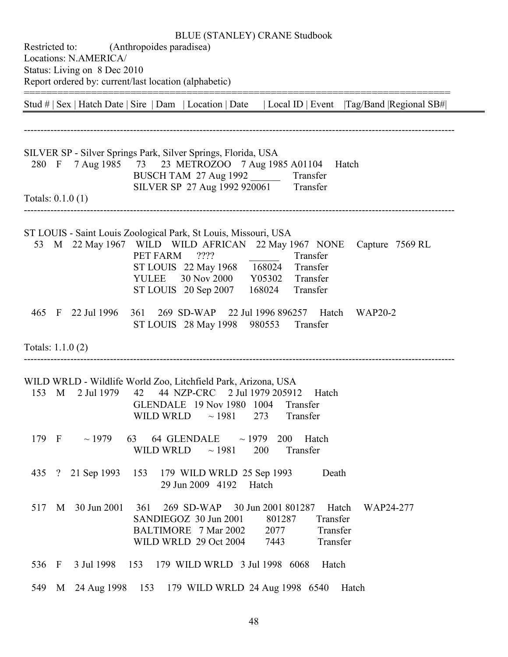| Restricted to:     |                                                                        | <b>BLUE (STANLEY) CRANE Studbook</b><br>(Anthropoides paradisea)                                                                                                                                                                                                                                                        |  |
|--------------------|------------------------------------------------------------------------|-------------------------------------------------------------------------------------------------------------------------------------------------------------------------------------------------------------------------------------------------------------------------------------------------------------------------|--|
|                    | Locations: N.AMERICA/<br>Status: Living on 8 Dec 2010<br>_____________ | Report ordered by: current/last location (alphabetic)                                                                                                                                                                                                                                                                   |  |
|                    |                                                                        | Stud #   Sex   Hatch Date   Sire   Dam   Location   Date   Local ID   Event   Tag/Band   Regional SB#                                                                                                                                                                                                                   |  |
|                    |                                                                        |                                                                                                                                                                                                                                                                                                                         |  |
| 280 F              |                                                                        | SILVER SP - Silver Springs Park, Silver Springs, Florida, USA<br>7 Aug 1985 73 23 METROZOO 7 Aug 1985 A01104<br>Hatch<br>BUSCH TAM 27 Aug 1992 Transfer<br>SILVER SP 27 Aug 1992 920061 Transfer                                                                                                                        |  |
| Totals: $0.1.0(1)$ |                                                                        |                                                                                                                                                                                                                                                                                                                         |  |
|                    |                                                                        | ST LOUIS - Saint Louis Zoological Park, St Louis, Missouri, USA<br>53 M 22 May 1967 WILD WILD AFRICAN 22 May 1967 NONE<br>Capture 7569 RL<br>????<br>PET FARM<br>Transfer<br>ST LOUIS 22 May 1968 168024<br>Transfer<br><b>YULEE</b><br>30 Nov 2000<br>Y05302<br>Transfer<br>ST LOUIS 20 Sep 2007<br>168024<br>Transfer |  |
|                    | 465 F 22 Jul 1996                                                      | 269 SD-WAP<br>22 Jul 1996 896257 Hatch<br>361<br><b>WAP20-2</b><br>ST LOUIS 28 May 1998 980553<br>Transfer                                                                                                                                                                                                              |  |
| Totals: 1.1.0 (2)  |                                                                        |                                                                                                                                                                                                                                                                                                                         |  |
| 153 M              | 2 Jul 1979                                                             | WILD WRLD - Wildlife World Zoo, Litchfield Park, Arizona, USA<br>42 44 NZP-CRC 2 Jul 1979 205912<br>Hatch<br>GLENDALE 19 Nov 1980 1004<br>Transfer<br>273<br><b>WILD WRLD</b><br>$\sim$ 1981<br>Transfer                                                                                                                |  |
| 179 F              | $\sim$ 1979                                                            | 63 64 GLENDALE $\sim$ 1979 200 Hatch<br>WILD WRLD<br>$\sim$ 1981<br>200<br>Transfer                                                                                                                                                                                                                                     |  |
|                    | 435 ? 21 Sep 1993                                                      | 153 179 WILD WRLD 25 Sep 1993<br>Death<br>29 Jun 2009 4192 Hatch                                                                                                                                                                                                                                                        |  |
| 517                | M 30 Jun 2001                                                          | 361<br>269 SD-WAP 30 Jun 2001 801287<br>Hatch<br>WAP24-277<br>SANDIEGOZ 30 Jun 2001<br>Transfer<br>801287<br>BALTIMORE 7 Mar 2002<br>Transfer<br>2077<br>WILD WRLD 29 Oct 2004<br>Transfer<br>7443                                                                                                                      |  |
| 536 F              |                                                                        | 3 Jul 1998 153 179 WILD WRLD 3 Jul 1998 6068<br>Hatch                                                                                                                                                                                                                                                                   |  |
| 549                | M 24 Aug 1998 153                                                      | 179 WILD WRLD 24 Aug 1998 6540<br>Hatch                                                                                                                                                                                                                                                                                 |  |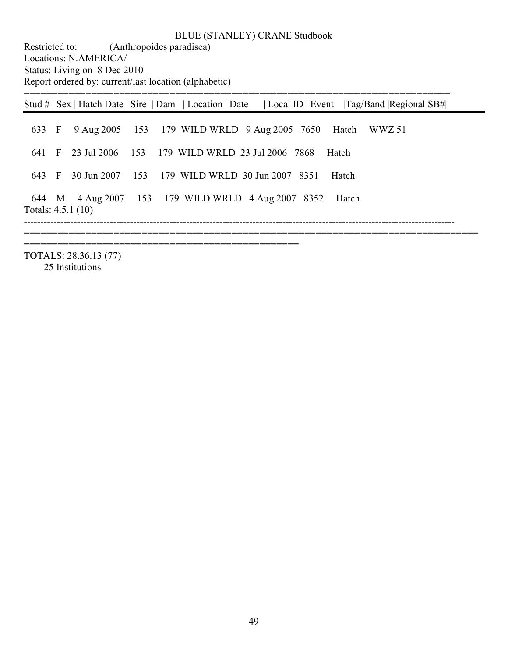Restricted to: (Anthropoides paradisea) Locations: N.AMERICA/ Status: Living on 8 Dec 2010 Report ordered by: current/last location (alphabetic)

=================================================

| 633 F 9 Aug 2005 153 179 WILD WRLD 9 Aug 2005 7650 Hatch WWZ 51<br>641 F 23 Jul 2006 153 179 WILD WRLD 23 Jul 2006 7868 Hatch<br>30 Jun 2007 153 179 WILD WRLD 30 Jun 2007 8351 |       |  |  |  |         | Stud #   Sex   Hatch Date   Sire   Dam   Location   Date   Local ID   Event   Tag/Band   Regional SB# |  |
|---------------------------------------------------------------------------------------------------------------------------------------------------------------------------------|-------|--|--|--|---------|-------------------------------------------------------------------------------------------------------|--|
|                                                                                                                                                                                 |       |  |  |  |         |                                                                                                       |  |
|                                                                                                                                                                                 |       |  |  |  |         |                                                                                                       |  |
|                                                                                                                                                                                 | 643 F |  |  |  | – Hatch |                                                                                                       |  |
| 644 M 4 Aug 2007 153 179 WILD WRLD 4 Aug 2007 8352<br>– Hatch<br>Totals: $4.5.1(10)$                                                                                            |       |  |  |  |         |                                                                                                       |  |

TOTALS: 28.36.13 (77) 25 Institutions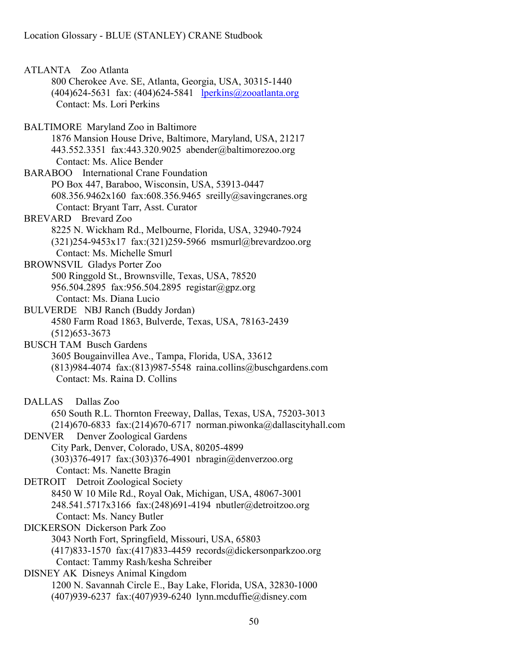ATLANTA Zoo Atlanta 800 Cherokee Ave. SE, Atlanta, Georgia, USA, 30315-1440 (404)624-5631 fax: (404)624-5841 lperkins@zooatlanta.org Contact: Ms. Lori Perkins BALTIMORE Maryland Zoo in Baltimore 1876 Mansion House Drive, Baltimore, Maryland, USA, 21217 443.552.3351 fax:443.320.9025 abender@baltimorezoo.org Contact: Ms. Alice Bender BARABOO International Crane Foundation PO Box 447, Baraboo, Wisconsin, USA, 53913-0447 608.356.9462x160 fax:608.356.9465 sreilly@savingcranes.org Contact: Bryant Tarr, Asst. Curator BREVARD Brevard Zoo 8225 N. Wickham Rd., Melbourne, Florida, USA, 32940-7924 (321)254-9453x17 fax:(321)259-5966 msmurl@brevardzoo.org Contact: Ms. Michelle Smurl BROWNSVIL Gladys Porter Zoo 500 Ringgold St., Brownsville, Texas, USA, 78520 956.504.2895 fax:956.504.2895 registar@gpz.org Contact: Ms. Diana Lucio BULVERDE NBJ Ranch (Buddy Jordan) 4580 Farm Road 1863, Bulverde, Texas, USA, 78163-2439 (512)653-3673 BUSCH TAM Busch Gardens 3605 Bougainvillea Ave., Tampa, Florida, USA, 33612 (813)984-4074 fax:(813)987-5548 raina.collins@buschgardens.com Contact: Ms. Raina D. Collins DALLAS Dallas Zoo 650 South R.L. Thornton Freeway, Dallas, Texas, USA, 75203-3013 (214)670-6833 fax:(214)670-6717 norman.piwonka@dallascityhall.com DENVER Denver Zoological Gardens City Park, Denver, Colorado, USA, 80205-4899 (303)376-4917 fax:(303)376-4901 nbragin@denverzoo.org Contact: Ms. Nanette Bragin DETROIT Detroit Zoological Society 8450 W 10 Mile Rd., Royal Oak, Michigan, USA, 48067-3001 248.541.5717x3166 fax:(248)691-4194 nbutler@detroitzoo.org Contact: Ms. Nancy Butler DICKERSON Dickerson Park Zoo 3043 North Fort, Springfield, Missouri, USA, 65803 (417)833-1570 fax:(417)833-4459 records@dickersonparkzoo.org Contact: Tammy Rash/kesha Schreiber DISNEY AK Disneys Animal Kingdom 1200 N. Savannah Circle E., Bay Lake, Florida, USA, 32830-1000 (407)939-6237 fax:(407)939-6240 lynn.mcduffie@disney.com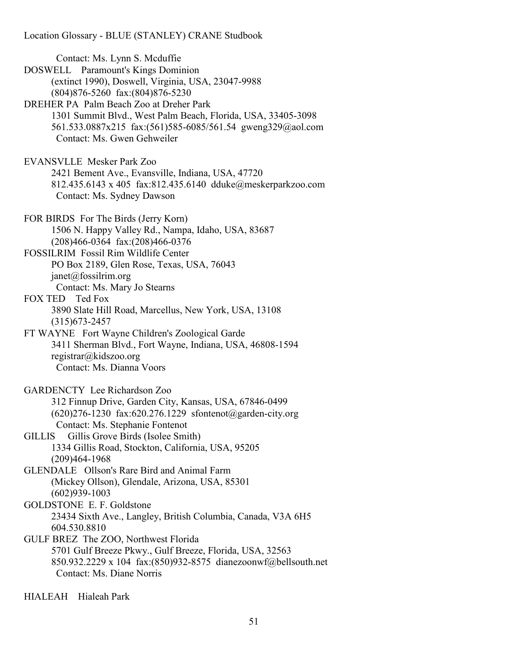Contact: Ms. Lynn S. Mcduffie DOSWELL Paramount's Kings Dominion (extinct 1990), Doswell, Virginia, USA, 23047-9988 (804)876-5260 fax:(804)876-5230 DREHER PA Palm Beach Zoo at Dreher Park 1301 Summit Blvd., West Palm Beach, Florida, USA, 33405-3098 561.533.0887x215 fax:(561)585-6085/561.54 gweng329@aol.com Contact: Ms. Gwen Gehweiler EVANSVLLE Mesker Park Zoo 2421 Bement Ave., Evansville, Indiana, USA, 47720 812.435.6143 x 405 fax:812.435.6140 dduke@meskerparkzoo.com Contact: Ms. Sydney Dawson FOR BIRDS For The Birds (Jerry Korn) 1506 N. Happy Valley Rd., Nampa, Idaho, USA, 83687 (208)466-0364 fax:(208)466-0376 FOSSILRIM Fossil Rim Wildlife Center PO Box 2189, Glen Rose, Texas, USA, 76043  $i$ anet $(a)$ fossilrim.org Contact: Ms. Mary Jo Stearns FOX TED Ted Fox 3890 Slate Hill Road, Marcellus, New York, USA, 13108 (315)673-2457 FT WAYNE Fort Wayne Children's Zoological Garde 3411 Sherman Blvd., Fort Wayne, Indiana, USA, 46808-1594 registrar@kidszoo.org Contact: Ms. Dianna Voors GARDENCTY Lee Richardson Zoo 312 Finnup Drive, Garden City, Kansas, USA, 67846-0499 (620)276-1230 fax:620.276.1229 sfontenot@garden-city.org Contact: Ms. Stephanie Fontenot GILLIS Gillis Grove Birds (Isolee Smith) 1334 Gillis Road, Stockton, California, USA, 95205 (209)464-1968 GLENDALE Ollson's Rare Bird and Animal Farm (Mickey Ollson), Glendale, Arizona, USA, 85301 (602)939-1003 GOLDSTONE E. F. Goldstone 23434 Sixth Ave., Langley, British Columbia, Canada, V3A 6H5 604.530.8810 GULF BREZ The ZOO, Northwest Florida 5701 Gulf Breeze Pkwy., Gulf Breeze, Florida, USA, 32563 850.932.2229 x 104 fax:(850)932-8575 dianezoonwf@bellsouth.net Contact: Ms. Diane Norris

HIALEAH Hialeah Park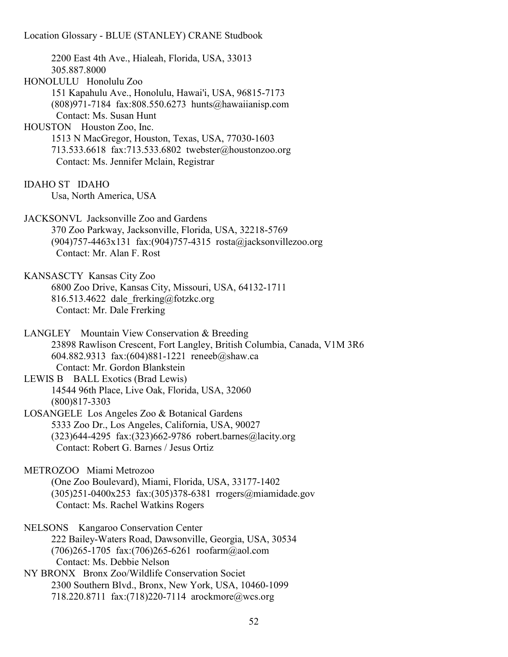2200 East 4th Ave., Hialeah, Florida, USA, 33013 305.887.8000 HONOLULU Honolulu Zoo 151 Kapahulu Ave., Honolulu, Hawai'i, USA, 96815-7173 (808)971-7184 fax:808.550.6273 hunts@hawaiianisp.com Contact: Ms. Susan Hunt HOUSTON Houston Zoo, Inc. 1513 N MacGregor, Houston, Texas, USA, 77030-1603 713.533.6618 fax:713.533.6802 twebster@houstonzoo.org Contact: Ms. Jennifer Mclain, Registrar IDAHO ST IDAHO Usa, North America, USA JACKSONVL Jacksonville Zoo and Gardens 370 Zoo Parkway, Jacksonville, Florida, USA, 32218-5769 (904)757-4463x131 fax:(904)757-4315 rosta@jacksonvillezoo.org Contact: Mr. Alan F. Rost KANSASCTY Kansas City Zoo 6800 Zoo Drive, Kansas City, Missouri, USA, 64132-1711 816.513.4622 dale frerking@fotzkc.org Contact: Mr. Dale Frerking LANGLEY Mountain View Conservation & Breeding 23898 Rawlison Crescent, Fort Langley, British Columbia, Canada, V1M 3R6 604.882.9313 fax:(604)881-1221 reneeb@shaw.ca Contact: Mr. Gordon Blankstein LEWIS B BALL Exotics (Brad Lewis) 14544 96th Place, Live Oak, Florida, USA, 32060 (800)817-3303 LOSANGELE Los Angeles Zoo & Botanical Gardens 5333 Zoo Dr., Los Angeles, California, USA, 90027 (323)644-4295 fax:(323)662-9786 robert.barnes@lacity.org Contact: Robert G. Barnes / Jesus Ortiz METROZOO Miami Metrozoo (One Zoo Boulevard), Miami, Florida, USA, 33177-1402 (305)251-0400x253 fax:(305)378-6381 rrogers@miamidade.gov Contact: Ms. Rachel Watkins Rogers NELSONS Kangaroo Conservation Center 222 Bailey-Waters Road, Dawsonville, Georgia, USA, 30534 (706)265-1705 fax:(706)265-6261 roofarm@aol.com Contact: Ms. Debbie Nelson NY BRONX Bronx Zoo/Wildlife Conservation Societ 2300 Southern Blvd., Bronx, New York, USA, 10460-1099 718.220.8711 fax:(718)220-7114 arockmore@wcs.org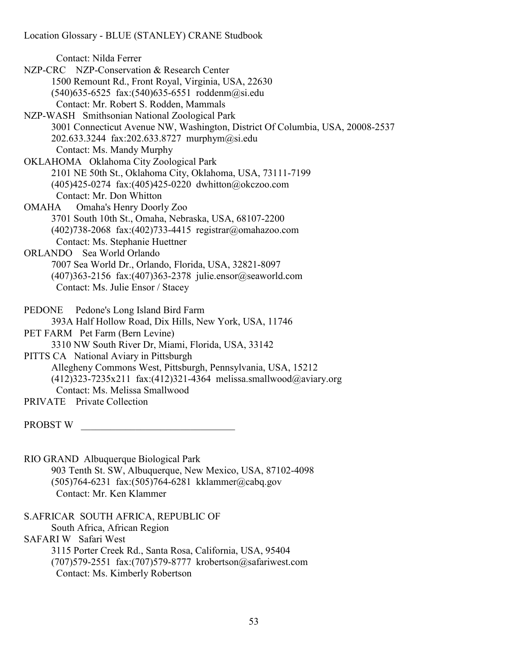Contact: Nilda Ferrer

- NZP-CRC NZP-Conservation & Research Center 1500 Remount Rd., Front Royal, Virginia, USA, 22630 (540)635-6525 fax:(540)635-6551 roddenm@si.edu Contact: Mr. Robert S. Rodden, Mammals
- NZP-WASH Smithsonian National Zoological Park 3001 Connecticut Avenue NW, Washington, District Of Columbia, USA, 20008-2537 202.633.3244 fax:202.633.8727 murphym@si.edu Contact: Ms. Mandy Murphy
- OKLAHOMA Oklahoma City Zoological Park 2101 NE 50th St., Oklahoma City, Oklahoma, USA, 73111-7199 (405)425-0274 fax:(405)425-0220 dwhitton@okczoo.com Contact: Mr. Don Whitton
- OMAHA Omaha's Henry Doorly Zoo 3701 South 10th St., Omaha, Nebraska, USA, 68107-2200 (402)738-2068 fax:(402)733-4415 registrar@omahazoo.com Contact: Ms. Stephanie Huettner
- ORLANDO Sea World Orlando 7007 Sea World Dr., Orlando, Florida, USA, 32821-8097 (407)363-2156 fax:(407)363-2378 julie.ensor@seaworld.com Contact: Ms. Julie Ensor / Stacey
- PEDONE Pedone's Long Island Bird Farm 393A Half Hollow Road, Dix Hills, New York, USA, 11746
- PET FARM Pet Farm (Bern Levine)

3310 NW South River Dr, Miami, Florida, USA, 33142

- PITTS CA National Aviary in Pittsburgh Allegheny Commons West, Pittsburgh, Pennsylvania, USA, 15212 (412)323-7235x211 fax:(412)321-4364 melissa.smallwood@aviary.org Contact: Ms. Melissa Smallwood
- PRIVATE Private Collection

PROBST W

RIO GRAND Albuquerque Biological Park 903 Tenth St. SW, Albuquerque, New Mexico, USA, 87102-4098 (505)764-6231 fax:(505)764-6281 kklammer@cabq.gov Contact: Mr. Ken Klammer

S.AFRICAR SOUTH AFRICA, REPUBLIC OF

South Africa, African Region

SAFARI W Safari West

 3115 Porter Creek Rd., Santa Rosa, California, USA, 95404 (707)579-2551 fax:(707)579-8777 krobertson@safariwest.com

Contact: Ms. Kimberly Robertson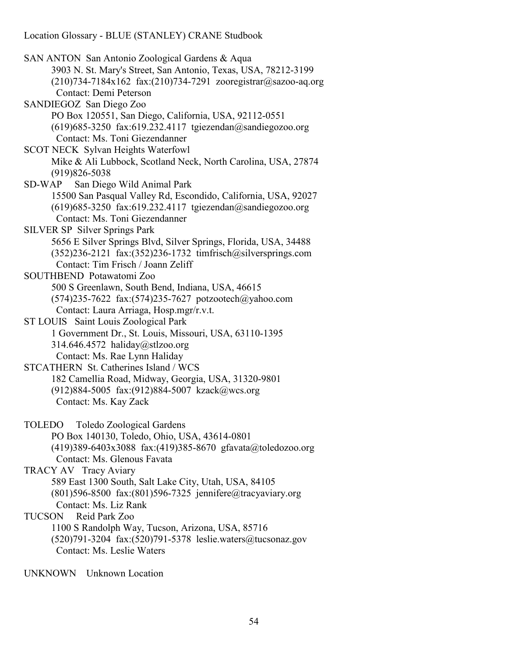SAN ANTON San Antonio Zoological Gardens & Aqua 3903 N. St. Mary's Street, San Antonio, Texas, USA, 78212-3199 (210)734-7184x162 fax:(210)734-7291 zooregistrar@sazoo-aq.org Contact: Demi Peterson SANDIEGOZ San Diego Zoo PO Box 120551, San Diego, California, USA, 92112-0551 (619)685-3250 fax:619.232.4117 tgiezendan@sandiegozoo.org Contact: Ms. Toni Giezendanner SCOT NECK Sylvan Heights Waterfowl Mike & Ali Lubbock, Scotland Neck, North Carolina, USA, 27874 (919)826-5038 SD-WAP San Diego Wild Animal Park 15500 San Pasqual Valley Rd, Escondido, California, USA, 92027 (619)685-3250 fax:619.232.4117 tgiezendan@sandiegozoo.org Contact: Ms. Toni Giezendanner SILVER SP Silver Springs Park 5656 E Silver Springs Blvd, Silver Springs, Florida, USA, 34488 (352)236-2121 fax:(352)236-1732 timfrisch@silversprings.com Contact: Tim Frisch / Joann Zeliff SOUTHBEND Potawatomi Zoo 500 S Greenlawn, South Bend, Indiana, USA, 46615 (574)235-7622 fax:(574)235-7627 potzootech@yahoo.com Contact: Laura Arriaga, Hosp.mgr/r.v.t. ST LOUIS Saint Louis Zoological Park 1 Government Dr., St. Louis, Missouri, USA, 63110-1395 314.646.4572 haliday@stlzoo.org Contact: Ms. Rae Lynn Haliday STCATHERN St. Catherines Island / WCS 182 Camellia Road, Midway, Georgia, USA, 31320-9801 (912)884-5005 fax:(912)884-5007 kzack@wcs.org Contact: Ms. Kay Zack TOLEDO Toledo Zoological Gardens PO Box 140130, Toledo, Ohio, USA, 43614-0801 (419)389-6403x3088 fax:(419)385-8670 gfavata@toledozoo.org Contact: Ms. Glenous Favata TRACY AV Tracy Aviary 589 East 1300 South, Salt Lake City, Utah, USA, 84105 (801)596-8500 fax:(801)596-7325 jennifere@tracyaviary.org Contact: Ms. Liz Rank TUCSON Reid Park Zoo 1100 S Randolph Way, Tucson, Arizona, USA, 85716 (520)791-3204 fax:(520)791-5378 leslie.waters@tucsonaz.gov Contact: Ms. Leslie Waters

UNKNOWN Unknown Location